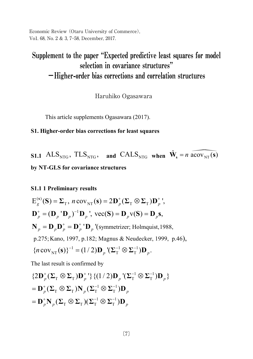Economic Review (Otaru University of Commerce), Vo1. 68, No. 2 & 3, 7–58, December, 2017.

### selection in covariance structures"  $-$ Higher-order bias corrections and correlation structures **– Higher-order bias corrections and correlation structures** Supplement to the paper "Expected predictive least squares for model

Haruhiko Ogasawara Haruhiko Ogasawara

This article supplements Ogasawara (2017).

#### **S1. Higher-order bias corrections for least squares**

**S1.1** ALS<sub>NTG</sub>, TLS<sub>NTG</sub>, and CALS<sub>NTG</sub> when  $\hat{\mathbf{W}}_s = n \widehat{\text{acov}_{NT}(s)}$ **by NT-GLS for covariance structures**

#### **S1.1 1 Preliminary results**

$$
E_g^{(s)}(S) = \Sigma_T, n \text{ cov}_{NT}(s) = 2D_p^+(\Sigma_T \otimes \Sigma_T)D_p^+,
$$
  
\n
$$
D_p^+ = (D_p^{\prime} D_p)^{-1} D_p^{\prime}, \text{ vec}(S) = D_p \text{ v}(S) = D_p \text{s},
$$
  
\n
$$
N_p = D_p D_p^+ = D_p^{\prime} D_p^{\prime} \text{ (symmetricer; Holmquist, 1988, p.275; Kano, 1997, p.182; Magnus & Neudecker, 1999, p.46),}
$$
  
\n
$$
\{n \text{ cov}_{NT}(s)\}^{-1} = (1/2)D_p^{\prime} (\Sigma_T^{-1} \otimes \Sigma_T^{-1})D_p.
$$

The last result is confirmed by

$$
\{2\mathbf{D}_p^+(\Sigma_\mathrm{T}\otimes\Sigma_\mathrm{T})\mathbf{D}_p^+\} \{ (1/2)\mathbf{D}_p^-(\Sigma_\mathrm{T}^{-1}\otimes\Sigma_\mathrm{T}^{-1})\mathbf{D}_p \}
$$
  
=  $\mathbf{D}_p^+(\Sigma_\mathrm{T}\otimes\Sigma_\mathrm{T})\mathbf{N}_p(\Sigma_\mathrm{T}^{-1}\otimes\Sigma_\mathrm{T}^{-1})\mathbf{D}_p$   
=  $\mathbf{D}_p^+\mathbf{N}_p(\Sigma_\mathrm{T}\otimes\Sigma_\mathrm{T})(\Sigma_\mathrm{T}^{-1}\otimes\Sigma_\mathrm{T}^{-1})\mathbf{D}_p$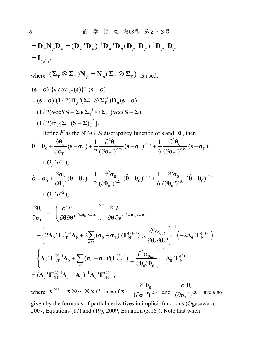$$
= \mathbf{D}_{p}^{+} \mathbf{N}_{p} \mathbf{D}_{p} = (\mathbf{D}_{p}^{+} \mathbf{D}_{p})^{-1} \mathbf{D}_{p}^{+} \mathbf{D}_{p} (\mathbf{D}_{p}^{+} \mathbf{D}_{p})^{-1} \mathbf{D}_{p}^{+} \mathbf{D}_{p}
$$
\n
$$
= \mathbf{I}_{(p^{+})},
$$
\nwhere  $(\Sigma_{\text{T}} \otimes \Sigma_{\text{T}}) \mathbf{N}_{p} = \mathbf{N}_{p} (\Sigma_{\text{T}} \otimes \Sigma_{\text{T}}) \text{ is used.}$   
\n $(\mathbf{s} - \sigma)^{t} \{n \text{cov}_{\text{NT}}(\mathbf{s})\}^{-1} (\mathbf{s} - \sigma)$   
\n $= (\mathbf{s} - \sigma)^{t} (1/2) \mathbf{D}_{p}^{+} (\Sigma_{\text{T}}^{-1} \otimes \Sigma_{\text{T}}^{-1}) \mathbf{D}_{p} (\mathbf{s} - \sigma)$   
\n $= (1/2) \text{vec}^{t} (\mathbf{S} - \Sigma)(\Sigma_{\text{T}}^{-1} \otimes \Sigma_{\text{T}}^{-1}) \text{vec} (\mathbf{S} - \Sigma)$   
\n $= (1/2) \text{tr} [\{\Sigma_{\text{T}}^{-1} (\mathbf{S} - \Sigma)\}^{2}].$   
\nDefine *F* as the NT-GLS discrepancy function of **s** and  $\sigma$ , then  
\n $\hat{\theta} = \theta_{0} + \frac{\partial \theta_{0}}{\partial \sigma_{\text{T}}}, (\mathbf{s} - \sigma_{\text{T}}) + \frac{1}{2} \frac{\partial^{2} \theta_{0}}{(\partial \sigma_{\text{T}})^{2}} (\mathbf{s} - \sigma_{\text{T}})^{2} + \frac{1}{6} \frac{\partial^{3} \theta_{0}}{(\partial \sigma_{\text{T}})^{3}} (\mathbf{s} - \sigma_{\text{T}})^{3} + O_{p} (n^{-2}),$   
\n $\hat{\sigma} = \sigma_{0} + \frac{\partial \sigma_{0}}{\partial \theta_{0}^{+}} (\hat{\theta} - \theta_{0}) + \frac{1}{2} \frac{\partial^{2} \sigma_{0}}{(\partial \theta_{0}^{+})^{2}} (\hat{\theta} - \theta_{0})^{2} + \frac{1}{6} \frac{\partial^{3} \sigma_{0}}$ 

where  $\mathbf{x}^{} = \mathbf{x} \otimes \cdots \otimes \mathbf{x}$  (*k* times of **x**);  $^{2}$  $\theta_{0}$  $(\partial \sigma_T^{\vphantom{2}})^{<2>}\,$  $\partial$  $\widehat{o}$ **θ**  $\overline{\sigma_{\text{T}}}$ <sup>'</sup>)<sup><2></sup> and  $^3\mathbf{\theta}_0$  $\left(\partial \sigma_{\text{T}}\right)^{<3>}$  $\partial$  $\hat{o}$ **θ**  $\overline{\sigma_{\text{T}}}$ <sup>'</sup>)<sup><3></sup> are also

given by the formulas of partial derivatives in implicit functions (Ogasawara, 2007, Equations (17) and (19); 2009, Equation (3.16)). Note that when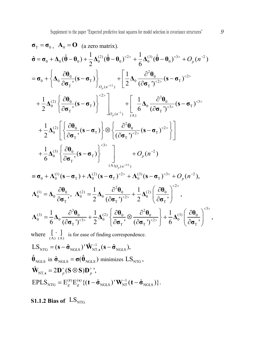$$
\sigma_{\rm T} = \sigma_{0}, \quad A_{0} = \mathbf{O} \text{ (a zero matrix)}.
$$
\n
$$
\hat{\sigma} = \sigma_{0} + \Delta_{0}(\hat{\theta} - \theta_{0}) + \frac{1}{2}\Delta_{0}^{(2)}(\hat{\theta} - \theta_{0})^{2} + \frac{1}{6}\Delta_{0}^{(3)}(\hat{\theta} - \theta_{0})^{5} + O_{p}(n^{-2})
$$
\n
$$
= \sigma_{0} + \left\{\Delta_{0} \frac{\partial \theta_{0}}{\partial \sigma_{\rm T}} (\mathbf{s} - \sigma_{\rm T})\right\}_{O_{p}(n^{-1/2})} + \left[\frac{1}{2}\Delta_{0} \frac{\partial^{2} \theta_{0}}{(\partial \sigma_{\rm T})^{5}} (\mathbf{s} - \sigma_{\rm T})^{5} + \frac{1}{2}\Delta_{0}^{(2)}\left[\frac{\partial \theta_{0}}{\partial \sigma_{\rm T}} (\mathbf{s} - \sigma_{\rm T})\right]^{5} \right]_{O_{p}(n^{-1})} + \left[\frac{1}{6}\Delta_{0} \frac{\partial^{3} \theta_{0}}{(\partial \sigma_{\rm T})^{5}} (\mathbf{s} - \sigma_{\rm T})^{3} + \frac{1}{2}\Delta_{0}^{(2)}\left[\frac{\partial \theta_{0}}{\partial \sigma_{\rm T}} (\mathbf{s} - \sigma_{\rm T})\right] \otimes \left\{\frac{\partial^{2} \theta_{0}}{(\partial \sigma_{\rm T})^{5}} (\mathbf{s} - \sigma_{\rm T})^{5} \right\} \right]
$$
\n
$$
+ \frac{1}{6}\Delta_{0}^{(3)}\left\{\frac{\partial \theta_{0}}{\partial \sigma_{\rm T}} (\mathbf{s} - \sigma_{\rm T})\right\}^{5} + O_{p}(n^{-2})
$$
\n
$$
= \sigma_{0} + \Lambda_{0}^{(1)}(\mathbf{s} - \sigma_{\rm T}) + \Lambda_{0}^{(2)}(\mathbf{s} - \sigma_{\rm T})^{5} + O_{p}(n^{-2})
$$
\n
$$
\Delta_{0}^{(1)} = \Delta_{0} \frac{\partial \theta_{0}}{\partial \sigma_{\rm T}}, \quad \Delta_{0}^{(2)} = \frac{1}{2}\Delta_{0} \frac{\partial^{2} \theta_{0}}{(\partial \sigma_{\rm T})^{5}} + \frac{1}{2}\Delta_{0}^{(2)}\left(\frac{\partial \theta_{0
$$

 $\text{EPLS}_{\text{NTG}} = \text{E}^{(\textbf{t})}_g \text{E}^{(\textbf{s})}_g \{ (\textbf{t} - \hat{\boldsymbol{\sigma}}_{\text{NGLS}})^{\text{T}} \textbf{W}_{\text{NT}}^{-1} (\textbf{t} - \hat{\boldsymbol{\sigma}}_{\text{NGLS}}) \}.$  $t = \mathrm{E}_{\varphi}^{(\mathbf{t})} \mathrm{E}_{\varphi}^{(\mathbf{s})} \{ (\mathbf{t} - \hat{\mathbf{\sigma}}_{\mathrm{NGLS}})^\mathbf{t} \} \mathbf{W}_{\mathrm{NT}}^{-1} (\mathbf{t} - \hat{\mathbf{\sigma}})$ 

**S1.1.2 Bias of**  $\text{LS}_{NTG}$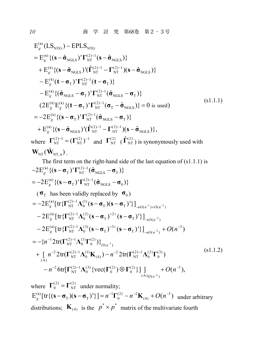$$
E_g^{(s)}(LS_{NTG}) - EPLS_{NTG}
$$
\n
$$
= E_g^{(s)} \{ (s - \hat{\sigma}_{NGLS})^{\dagger} \Gamma_{NT}^{(2)-1} (s - \hat{\sigma}_{NGLS}) \}
$$
\n
$$
+ E_g^{(s)} \{ (s - \hat{\sigma}_{NGLS})^{\dagger} \Gamma_{NT}^{(2)-1} - \Gamma_{NT}^{(2)-1} ) (s - \hat{\sigma}_{NGLS}) \}
$$
\n
$$
- E_g^{(t)} (t - \sigma_T)^{\dagger} \Gamma_{NT}^{(2)-1} (t - \sigma_T) \}
$$
\n
$$
- E_g^{(s)} \{ (\hat{\sigma}_{NGLS} - \sigma_T)^{\dagger} \Gamma_{NT}^{(2)-1} (\hat{\sigma}_{NGLS} - \sigma_T) \}
$$
\n
$$
(2 E_g^{(t)} E_g^{(s)} \{ (t - \sigma_T)^{\dagger} \Gamma_{NT}^{(2)-1} (\sigma_T - \hat{\sigma}_{NGLS}) \} = 0 \text{ is used})
$$
\n
$$
= -2 E_g^{(s)} \{ (s - \sigma_T)^{\dagger} \Gamma_{NT}^{(2)-1} (\hat{\sigma}_{NGLS} - \sigma_T) \}
$$
\n
$$
+ E_g^{(s)} \{ (s - \hat{\sigma}_{NGLS})^{\dagger} (\hat{\Gamma}_{NT}^{(2)-1} - \Gamma_{NT}^{(2)-1}) (s - \hat{\sigma}_{NGLS}) \},
$$
\nwhere  $\Gamma_{NT}^{(2)-1} = (\Gamma_{NT}^{(2)})^{-1}$  and  $\Gamma_{NT}^{(2)}$  ( $\hat{\Gamma}_{NT}^{(2)}$ ) is synonymously used with

$$
\mathbf{W}_{\text{NT}}(\hat{\mathbf{W}}_{\text{NT},s})
$$

The first term on the right-hand side of the last equation of (s1.1.1) is  
\n
$$
-2E_g^{(s)}\{(\mathbf{s}-\sigma_T)^T\Gamma_{NT}^{(2)-1}(\hat{\sigma}_{NGLS}-\sigma_T)\}\
$$
\n
$$
= -2E_g^{(s)}\{(\mathbf{s}-\sigma_T)^T\Gamma_{NT}^{(2)-1}(\hat{\sigma}_{NGLS}-\sigma_0)\}\
$$
\n
$$
(\sigma_T \text{ has been validly replaced by } \sigma_0)
$$
\n
$$
= -2E_g^{(s)}[\text{tr}\{\Gamma_{NT}^{(2)-1}\Lambda_0^{(1)}(\mathbf{s}-\sigma_T)(\mathbf{s}-\sigma_T)^T\}]_{\to O(n^{-1})+O(n^{-2})}
$$
\n
$$
-2E_g^{(s)}[\text{tr}\{\Gamma_{NT}^{(2)-1}\Lambda_0^{(2)}(\mathbf{s}-\sigma_T)^{<2>}(\mathbf{s}-\sigma_T)^T\}]_{\to O(n^{-2})}
$$
\n
$$
-2E_g^{(s)}[\text{tr}\{\Gamma_{NT}^{(2)-1}\Lambda_0^{(3)}(\mathbf{s}-\sigma_T)^{<3>}(\mathbf{s}-\sigma_T)^T\}]_{\to O(n^{-2})} + O(n^{-3})
$$
\n
$$
= -\{n^{-1}2\text{tr}(\Gamma_{NT}^{(2)-1}\Lambda_0^{(1)}\Gamma_0^{(2)})\}_{O(n^{-1})}
$$
\n+  $\left[n^{-2}2\text{tr}(\Gamma_{NT}^{(2)-1}\Lambda_0^{(1)}\mathbf{K}_{(4)}) - n^{-2}2\text{tr}(\Gamma_{NT}^{(2)-1}\Lambda_0^{(2)}\Gamma_0^{(3)})\right]$ \n
$$
-n^{-2}6\text{tr}[\Gamma_{NT}^{(2)-1}\Lambda_0^{(3)}\{\text{vec}(\Gamma_0^{(2)})\otimes\Gamma_0^{(2)}\}]\big|_{(A)O(n^{-2})} + O(n^{-3}),
$$
\n(81.1.2)

where  $\Gamma_0^{(2)} = \Gamma_{NT}^{(2)}$  under normality;  $E_g^{(s)}$ [tr{( $s - \sigma_T$ )( $s - \sigma_T$ )'}] =  $n^{-1}\Gamma_0^{(2)} - n^{-2}\mathbf{K}_{(4)} + O(n^{-3})$  under arbitrary distributions;  $\mathbf{K}_{(4)}$  is the  $p^* \times p^*$  matrix of the multivariate fourth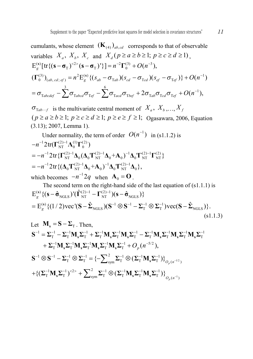cumulants, whose element  $(\mathbf{K}_{(4)})_{ab,cd}$  corresponds to that of observable variables  $X_a$ ,  $X_b$ ,  $X_c$  and  $X_d$  ( $p \ge a \ge b \ge 1$ ;  $p \ge c \ge d \ge 1$ ).  $\mathbf{E}_g^{(s)}[\text{tr}\{(\mathbf{s}-\boldsymbol{\sigma}_T)^{<2>}\left(\mathbf{s}-\boldsymbol{\sigma}_T\right)^r\}]=n^{-2}\Gamma_0^{(3)}+O(n^{-3}),$  $(\Gamma_0^{(3)})_{(ab,\,cd;\,ef)} = n^2 \mathcal{E}_g^{(s)} \{ (s_{ab} - \sigma_{\text{Tab}}) (s_{cd} - \sigma_{\text{Tot}}) (s_{ef} - \sigma_{\text{Def}}) \} + O(n^{-1})$  $\sigma = \sigma_{\mathrm{T} abcdef} - \sum_{i=1}^{3} \sigma_{\mathrm{T} abcd} \sigma_{\mathrm{T} ef} - \sum_{i=1}^{6} \sigma_{\mathrm{T} acd} \sigma_{\mathrm{T} bef} + 2 \sigma_{\mathrm{T} ab} \sigma_{\mathrm{T} cd} \sigma_{\mathrm{T} ef} + O(n^{-1}),$ 

 $\sigma_{\text{Tab}\cdots f}$  is the multivariate central moment of  $X_a$ ,  $X_b$ ,...,  $X_f$  $(p \ge a \ge b \ge 1; p \ge c \ge d \ge 1; p \ge e \ge f \ge 1;$  Ogasawara, 2006, Equation (3.13); 2007, Lemma 1).

Under normality, the term of order 
$$
O(n^{-1})
$$
 in (s1.1.2) is  
\n
$$
-n^{-1} 2 \text{tr}(\Gamma_{\text{NT}}^{(2)-1} \Lambda_0^{(1)} \Gamma_0^{(2)})
$$
\n
$$
= -n^{-1} 2 \text{tr} \{ \Gamma_{\text{NT}}^{(2)-1} \Lambda_0 (\Lambda_0 \Gamma_{\text{NT}}^{(2)-1} \Lambda_0 + A_0)^{-1} \Lambda_0 \Gamma_{\text{NT}}^{(2)-1} \Gamma_{\text{NT}}^{(2)} \}
$$
\n
$$
= -n^{-1} 2 \text{tr} \{ (\Lambda_0 \Gamma_{\text{NT}}^{(2)-1} \Lambda_0 + A_0)^{-1} \Lambda_0 \Gamma_{\text{NT}}^{(2)-1} \Lambda_0 \},
$$
\nwhich becomes  $-n^{-1} 2q$  when  $\Lambda_0 = 0$ .

The second term on the right-hand side of the last equation of (s1.1.1) is  
\n
$$
E_g^{(s)} \{ (\mathbf{s} - \hat{\mathbf{\sigma}}_{\text{NGLS}})'(\hat{\mathbf{\Gamma}}_{\text{NT}}^{(2)-1} - \mathbf{\Gamma}_{\text{NT}}^{(2)-1}) (\mathbf{s} - \hat{\mathbf{\sigma}}_{\text{NGLS}}) \}
$$
\n
$$
= E_g^{(s)} \{ (1/2) \text{vec}^{\prime} (\mathbf{S} - \hat{\boldsymbol{\Sigma}}_{\text{NGLS}}) (\mathbf{S}^{-1} \otimes \mathbf{S}^{-1} - \boldsymbol{\Sigma}_{\text{T}}^{-1} \otimes \boldsymbol{\Sigma}_{\text{T}}^{-1}) \text{vec} (\mathbf{S} - \hat{\boldsymbol{\Sigma}}_{\text{NGLS}}) \}. \tag{s1.1.3}
$$

Let 
$$
\mathbf{M_s} = \mathbf{S} - \Sigma_T
$$
. Then, 
$$
\mathbf{S}^{-1} = \Sigma_T^{-1} - \Sigma_T^{-1} \mathbf{M_s} \Sigma_T^{-1} + \Sigma_T^{-1} \mathbf{M_s} \Sigma_T^{-1} \mathbf{M_s} \Sigma_T^{-1} - \Sigma_T^{-1} \mathbf{M_s} \Sigma_T^{-1} \mathbf{M_s} \Sigma_T^{-1} \mathbf{M_s} \Sigma_T^{-1} + \Sigma_T^{-1} \mathbf{M_s} \Sigma_T^{-1} \mathbf{M_s} \Sigma_T^{-1} \mathbf{M_s} \Sigma_T^{-1} \mathbf{M_s} \Sigma_T^{-1} \mathbf{M_s} \Sigma_T^{-1} + O_p(n^{-5/2}),
$$
\n
$$
\mathbf{S}^{-1} \otimes \mathbf{S}^{-1} - \Sigma_T^{-1} \otimes \Sigma_T^{-1} = \{-\sum_{sym}^2 \Sigma_T^{-1} \otimes (\Sigma_T^{-1} \mathbf{M_s} \Sigma_T^{-1})\}_{O_p(n^{-1/2})} + \{(\Sigma_T^{-1} \mathbf{M_s} \Sigma_T^{-1})^{<2>} + \sum_{sym}^2 \Sigma_T^{-1} \otimes (\Sigma_T^{-1} \mathbf{M_s} \Sigma_T^{-1} \mathbf{M_s} \Sigma_T^{-1})\}_{O_p(n^{-1})}
$$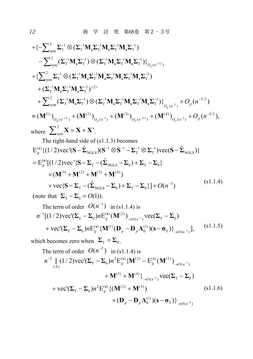+{
$$
\{\sum_{sym}^{2}} \Sigma_{T}^{-1} \otimes (\Sigma_{T}^{-1} \mathbf{M}_{s} \Sigma_{T}^{-1} \mathbf{M}_{s} \Sigma_{T}^{-1} \mathbf{M}_{s} \Sigma_{T}^{-1})
$$
  
\n $- \sum_{sym}^{2} (\Sigma_{T}^{-1} \mathbf{M}_{s} \Sigma_{T}^{-1}) \otimes (\Sigma_{T}^{-1} \mathbf{M}_{s} \Sigma_{T}^{-1} \mathbf{M}_{s} \Sigma_{T}^{-1})\}_{O_{\rho}(n^{-3/2})}$   
\n+{ $\{\sum_{sym}^{2}} \Sigma_{T}^{-1} \otimes (\Sigma_{T}^{-1} \mathbf{M}_{s} \Sigma_{T}^{-1} \mathbf{M}_{s} \Sigma_{T}^{-1} \mathbf{M}_{s} \Sigma_{T}^{-1} \mathbf{M}_{s} \Sigma_{T}^{-1})$   
\n+ ( $\Sigma_{T}^{-1} \mathbf{M}_{s} \Sigma_{T}^{-1} \mathbf{M}_{s} \Sigma_{T}^{-1})^{-2>}$   
\n+  $\sum_{sym}^{2} (\Sigma_{T}^{-1} \mathbf{M}_{s} \Sigma_{T}^{-1}) \otimes (\Sigma_{T}^{-1} \mathbf{M}_{s} \Sigma_{T}^{-1} \mathbf{M}_{s} \Sigma_{T}^{-1} \mathbf{M}_{s} \Sigma_{T}^{-1})\}_{O_{\rho}(n^{-2})}$  +  $O_{\rho}(n^{-5/2})$   
\n= ( $\mathbf{M}^{(1)}\)_{O_{\rho}(n^{-1/2})}$  + ( $\mathbf{M}^{(2)}\)_{O_{\rho}(n^{-1})}$  + ( $\mathbf{M}^{(3)}\)_{O_{\rho}(n^{-3/2})}$  + ( $\mathbf{M}^{(4)}\)_{O_{\rho}(n^{-2})}$  +  $O_{\rho}(n^{-5/2})$ ,  
\nwhere  $\sum_{sym}^{2} \mathbf{X} = \mathbf{X} + \mathbf{X}'$ .  
\nThe right-hand side of (s1.1.3) becomes  
\n $E_{g}^{(s)}\{(1/2) \text{vec}(\mathbf{S} - \hat{\Sigma}_{NGLS})(\mathbf{S}^{-1} \otimes \mathbf{S}^{-1} - \Sigma_{T}^{-1} \otimes \Sigma_{T}^{-1}) \text{vec}(\mathbf{S} - \hat{\Sigma}_{NGLS})\}$   
\n=  $E$ 

$$
\times \text{vec}\{\mathbf{S} - \boldsymbol{\Sigma}_{\text{T}} - (\hat{\boldsymbol{\Sigma}}_{\text{NGLS}} - \boldsymbol{\Sigma}_{0}) + \boldsymbol{\Sigma}_{\text{T}} - \boldsymbol{\Sigma}_{0}\} + O(n^{-3})
$$
\n
$$
(81.1.4)
$$

(note that  $\Sigma_{\text{T}} - \Sigma_0 = O(1)$ ).

The term of order 
$$
O(n^{-1})
$$
 in (s1.1.4) is  
\n
$$
n^{-1}[(1/2)\text{vec}(\Sigma_T - \Sigma_0)nE_g^{(s)}(\mathbf{M}^{(2)})_{\rightarrow O(n^{-1})}\text{vec}(\Sigma_T - \Sigma_0)
$$
\n+ vec'(\Sigma\_T - \Sigma\_0)nE\_g^{(s)}(\mathbf{M}^{(1)}(\mathbf{D}\_p - \mathbf{D}\_p\Lambda\_0^{(1)})(\mathbf{s} - \sigma\_T)\mathbf{d}\_{\rightarrow O(n^{-1})}], (s1.1.5)

which becomes zero when  $\Sigma_T = \Sigma_0$ .<br>The term of order  $O(n^{-2})$  in (s)

The term of order 
$$
O(n^{-2})
$$
 in (s1.1.4) is  
\n
$$
n^{-2} \left[ (1/2) \text{vec}(\Sigma_{\text{T}} - \Sigma_{0}) n^{2} \text{E}_{g}^{(s)} \{ \mathbf{M}^{(2)} - \text{E}_{g}^{(s)} (\mathbf{M}^{(2)})_{\rightarrow O(n^{-1})} + \mathbf{M}^{(3)} + \mathbf{M}^{(4)} \} \right]_{\rightarrow O(n^{-2})} \text{vec}(\Sigma_{\text{T}} - \Sigma_{0})
$$
\n
$$
+ \text{vec}(\Sigma_{\text{T}} - \Sigma_{0}) n^{2} \text{E}_{g}^{(s)} \{ (\mathbf{M}^{(2)} + \mathbf{M}^{(3)}) \times (\mathbf{D}_{p} - \mathbf{D}_{p} \Lambda_{0}^{(1)}) (\mathbf{s} - \mathbf{\sigma}_{\text{T}}) \} \right]_{\rightarrow O(n^{-2})}
$$
\n(s1.1.6)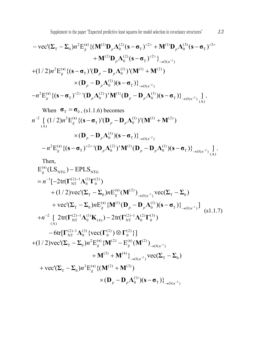Supplement to the paper "Expected predictive least squares for model selection in covariance structures" 13

$$
- \text{vec}(\Sigma_{\text{T}} - \Sigma_{0}) n^{2} \text{E}_{g}^{(\text{s})} \{ (\mathbf{M}^{(1)} \mathbf{D}_{p} \Lambda_{0}^{(2)} (\mathbf{s} - \boldsymbol{\sigma}_{\text{T}})^{2} + \mathbf{M}^{(1)} \mathbf{D}_{p} \Lambda_{0}^{(3)} (\mathbf{s} - \boldsymbol{\sigma}_{\text{T}})^{3} + \mathbf{M}^{(2)} \mathbf{D}_{p} \Lambda_{0}^{(2)} (\mathbf{s} - \boldsymbol{\sigma}_{\text{T}})^{2} \}^{+}_{\rightarrow O(n^{2})}
$$
  
+ 
$$
(1/2) n^{2} \text{E}_{g}^{(\text{s})} \{ (\mathbf{s} - \boldsymbol{\sigma}_{\text{T}})^{'} (\mathbf{D}_{p} - \mathbf{D}_{p} \Lambda_{0}^{(1)})^{'} (\mathbf{M}^{(1)} + \mathbf{M}^{(2)}) + \mathbf{M}^{(2)} \} \times (\mathbf{D}_{p} - \mathbf{D}_{p} \Lambda_{0}^{(1)}) (\mathbf{s} - \boldsymbol{\sigma}_{\text{T}}) \}^{+}_{\rightarrow O(n^{2})}
$$
  
- 
$$
n^{2} \text{E}_{g}^{(\text{s})} \{ (\mathbf{s} - \boldsymbol{\sigma}_{\text{T}})^{2} \}^{'} (\mathbf{D}_{p} \Lambda_{0}^{(2)})^{'} \mathbf{M}^{(1)} (\mathbf{D}_{p} - \mathbf{D}_{p} \Lambda_{0}^{(1)}) (\mathbf{s} - \boldsymbol{\sigma}_{\text{T}}) \}^{'}_{\rightarrow O(n^{2})} \}^{'}_{(A)}.
$$

When  $\sigma$ <sup>T</sup> =  $\sigma$ <sub>0</sub>, (s1.1.6) becomes  $\times (\mathbf{D}_{p} - \mathbf{D}_{p} \Lambda_{0}^{(1)}) (\mathbf{s} - \mathbf{\sigma}_{T})\}_{\rightarrow O(n^{-2})}$  $n^{-2} \left[ (1/2)n^2 \mathbf{E}_g^{(s)} \{ (\mathbf{s} - \mathbf{\sigma}_T) (\mathbf{D}_p - \mathbf{D}_p \mathbf{\Lambda}_0^{(1)})' (\mathbf{M}^{(1)} + \mathbf{M}^{(2)}) \right]$ 

$$
-n^2\mathbf{E}_g^{(s)}\{(\mathbf{s}-\boldsymbol{\sigma}_T)^{2} \mathbf{V}(\mathbf{D}_p\boldsymbol{\Lambda}_0^{(2)})^{\dagger}\mathbf{M}^{(1)}(\mathbf{D}_p-\mathbf{D}_p\boldsymbol{\Lambda}_0^{(1)})(\mathbf{s}-\boldsymbol{\sigma}_T)\}_{\rightarrow O(n^{-2})}\bigg]_{(A)}.
$$

Then,

$$
E_{g}^{(s)}(LS_{NTG}) - EPLS_{NTG}
$$
\n
$$
= n^{-1}[-2tr(\Gamma_{NT}^{(2)-1}\Lambda_{0}^{(1)}\Gamma_{0}^{(2)}) + (1/2)vec(\Sigma_{T} - \Sigma_{0})nE_{g}^{(s)}(\mathbf{M}^{(2)})_{\to O(n^{-1})}vec(\Sigma_{T} - \Sigma_{0}) + vec'(\Sigma_{T} - \Sigma_{0})nE_{g}^{(s)}\{\mathbf{M}^{(1)}(\mathbf{D}_{p} - \mathbf{D}_{p}\Lambda_{0}^{(1)})(\mathbf{s} - \sigma_{T})\}_{\to O(n^{-1})}]
$$
\n
$$
+ n^{-2}\left[2tr(\Gamma_{NT}^{(2)-1}\Lambda_{0}^{(1)}\mathbf{K}_{(4)}) - 2tr(\Gamma_{NT}^{(2)-1}\Lambda_{0}^{(2)}\Gamma_{0}^{(3)}) - 6tr[\Gamma_{NT}^{(2)-1}\Lambda_{0}^{(3)}\{\text{vec}(\Gamma_{0}^{(2)})\otimes\Gamma_{0}^{(2)}\}\right]
$$
\n
$$
+ (1/2)vec(\Sigma_{T} - \Sigma_{0})n^{2}E_{g}^{(s)}\{\mathbf{M}^{(2)} - E_{g}^{(s)}(\mathbf{M}^{(2)})_{\to O(n^{-1})} + \mathbf{M}^{(3)} + \mathbf{M}^{(4)}\}_{\to O(n^{-2})}vec(\Sigma_{T} - \Sigma_{0})
$$
\n
$$
+ vec'(\Sigma_{T} - \Sigma_{0})n^{2}E_{g}^{(s)}\{(\mathbf{M}^{(2)} + \mathbf{M}^{(3)})\}\times(\mathbf{D}_{p} - \mathbf{D}_{p}\Lambda_{0}^{(1)})(\mathbf{s} - \sigma_{T})\}_{\to O(n^{-2})}^{2}
$$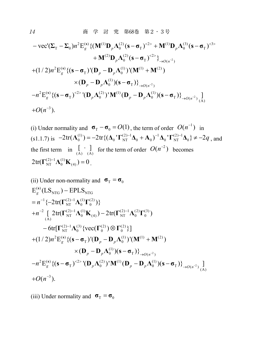$$
- \text{vec}(\Sigma_{\text{T}} - \Sigma_{0}) n^{2} \text{E}_{g}^{(s)} \{ (\mathbf{M}^{(1)} \mathbf{D}_{p} \Lambda_{0}^{(2)} (\mathbf{s} - \boldsymbol{\sigma}_{\text{T}})^{<2>}\} + \mathbf{M}^{(1)} \mathbf{D}_{p} \Lambda_{0}^{(3)} (\mathbf{s} - \boldsymbol{\sigma}_{\text{T}})^{<2>}\n+ \mathbf{M}^{(2)} \mathbf{D}_{p} \Lambda_{0}^{(2)} (\mathbf{s} - \boldsymbol{\sigma}_{\text{T}})^{<2>}\n+ (1/2) n^{2} \text{E}_{g}^{(s)} \{ (\mathbf{s} - \boldsymbol{\sigma}_{\text{T}})^{\dagger} (\mathbf{D}_{p} - \mathbf{D}_{p} \Lambda_{0}^{(1)})^{\dagger} (\mathbf{M}^{(1)} + \mathbf{M}^{(2)})\n\times (\mathbf{D}_{p} - \mathbf{D}_{p} \Lambda_{0}^{(1)}) (\mathbf{s} - \boldsymbol{\sigma}_{\text{T}}) \}^{3}\n- n^{2} \text{E}_{g}^{(s)} \{ (\mathbf{s} - \boldsymbol{\sigma}_{\text{T}})^{<2>}\n- n^{2} \text{E}_{g}^{(s)} \{ (\mathbf{s} - \boldsymbol{\sigma}_{\text{T}})^{<2>}\}^{\dagger} (\mathbf{D}_{p} \Lambda_{0}^{(2)})^{\dagger} \mathbf{M}^{(1)} (\mathbf{D}_{p} - \mathbf{D}_{p} \Lambda_{0}^{(1)}) (\mathbf{s} - \boldsymbol{\sigma}_{\text{T}}) \}^{3}\n+ O(n^{-3}).
$$

(i) Under normality and  $\sigma_T - \sigma_0 = O(1)$ , the term of order  $O(n^{-1})$  in  $(s1.1.7)$  is  $-2 \text{tr}(\mathbf{\Lambda}_0^{(1)}) = -2 \text{tr}\{(\mathbf{\Delta}_0 \cdot \mathbf{T}_{NT}^{(2)-1} \mathbf{\Delta}_0 + \mathbf{A}_0)^{-1} \mathbf{\Delta}_0 \cdot \mathbf{T}_{NT}^{(2)-1} \mathbf{\Delta}_0\} \neq -2q$ , and the first term in  $\left[\begin{array}{cc} \cdot & \cdot \\ (A) & (A) \end{array}\right]$  for the term of order  $O(n^{-2})$  becomes  $2tr(\mathbf{\Gamma}_{\rm NT}^{(2)-1}\mathbf{\Lambda}_0^{(1)}\mathbf{K}_{(4)})=0$ .

(ii) Under non-normality and 
$$
\sigma_{T} = \sigma_{0}
$$
  
\n $E_{g}^{(s)}(LS_{NTG}) - EPLS_{NTG}$   
\n $= n^{-1} \{-2tr(\Gamma_{NT}^{(2)-1} \Lambda_{0}^{(1)} \Gamma_{0}^{(2)})\}$   
\n $+ n^{-2} \left[ 2tr(\Gamma_{NT}^{(2)-1} \Lambda_{0}^{(1)} K_{(4)}) - 2tr(\Gamma_{NT}^{(2)-1} \Lambda_{0}^{(2)} \Gamma_{0}^{(3)}) - 6tr[\Gamma_{NT}^{(2)-1} \Lambda_{0}^{(3)} \{vec(\Gamma_{0}^{(2)}) \otimes \Gamma_{0}^{(2)}\}\right]$   
\n $+ (1/2)n^{2} E_{g}^{(s)} \{(\mathbf{s} - \sigma_{T})'(\mathbf{D}_{p} - \mathbf{D}_{p} \Lambda_{0}^{(1)})'(\mathbf{M}^{(1)} + \mathbf{M}^{(2)})$   
\n $\times (\mathbf{D}_{p} - \mathbf{D}_{p} \Lambda_{0}^{(1)}) (\mathbf{s} - \sigma_{T})\}_{\rightarrow O(n^{-2})}^{2}$   
\n $- n^{2} E_{g}^{(s)} \{(\mathbf{s} - \sigma_{T})^{2} \}^{(2)} (\mathbf{D}_{p} \Lambda_{0}^{(2)})' \mathbf{M}^{(1)} (\mathbf{D}_{p} - \mathbf{D}_{p} \Lambda_{0}^{(1)}) (\mathbf{s} - \sigma_{T})\}_{\rightarrow O(n^{-2})}^{2}$   
\n $+ O(n^{-3}).$ 

(iii) Under normality and  $\sigma_T = \sigma_0$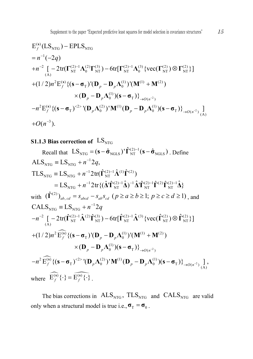$$
E_f^{(s)}(LS_{NTG}) - EPLS_{NTG}
$$
  
\n
$$
= n^{-1}(-2q)
$$
  
\n
$$
+n^{-2} \left[ -2 \text{tr}(\Gamma_{NT}^{(2)-1} \Lambda_0^{(2)} \Gamma_{NT}^{(3)}) - 6 \text{tr}[\Gamma_{NT}^{(2)-1} \Lambda_0^{(3)} \{ \text{vec}(\Gamma_{NT}^{(2)}) \otimes \Gamma_{NT}^{(2)} \} ]
$$
  
\n
$$
+ (1/2)n^2 E_f^{(s)} \{ (\mathbf{s} - \sigma_T)^{\prime} (\mathbf{D}_p - \mathbf{D}_p \Lambda_0^{(1)})^{\prime} (\mathbf{M}^{(1)} + \mathbf{M}^{(2)})
$$
  
\n
$$
\times (\mathbf{D}_p - \mathbf{D}_p \Lambda_0^{(1)}) (\mathbf{s} - \sigma_T) \}^{2}_{\to O(n^{-2})}
$$
  
\n
$$
-n^2 E_f^{(s)} \{ (\mathbf{s} - \sigma_T)^{2} \{ (\mathbf{D}_p \Lambda_0^{(2)})^{\prime} \mathbf{M}^{(1)} (\mathbf{D}_p - \mathbf{D}_p \Lambda_0^{(1)}) (\mathbf{s} - \sigma_T) \}^{2}_{\to O(n^{-2})} \}^{1}_{(A)}
$$
  
\n
$$
+O(n^{-3}).
$$

#### **S1.1.3 Bias correction of**  $LS_{NTG}$

Recall that  $LS_{NTG} = (\mathbf{s} - \hat{\mathbf{\sigma}}_{NGLS})' \hat{\mathbf{\Gamma}}_{NT}^{(2)-1} (\mathbf{s} - \hat{\mathbf{\sigma}}_{NGLS})$ . Define  $\text{ALS}_{\text{NTG}} = \text{LS}_{\text{NTG}} + n^{-1}2q,$  $\text{TLS}_{\text{NTG}} = \text{LS}_{\text{NTG}} + n^{-1} 2 \text{tr}(\hat{\boldsymbol{\Gamma}}_{\text{NT}}^{(2)-1} \hat{\boldsymbol{\Lambda}}^{(1)} \hat{\boldsymbol{\Gamma}}^{(2)})$  $=LS_{\text{NTG}} + n^{-1}2\text{tr}\{(\hat{\mathbf{\Lambda}}'\hat{\mathbf{\Gamma}}_{\text{NT}}^{(2)-1}\hat{\mathbf{\Lambda}})^{-1}\hat{\mathbf{\Lambda}}'\hat{\mathbf{\Gamma}}_{\text{NT}}^{(2)-1}\hat{\mathbf{\Gamma}}^{(2)}\hat{\mathbf{\Gamma}}_{\text{NT}}^{(2)-1}\hat{\mathbf{\Lambda}}\}$ with  $(\hat{\Gamma}^{(2)})_{ab, cd} = s_{abcd} - s_{ab} s_{cd}$   $(p \ge a \ge b \ge 1; p \ge c \ge d \ge 1)$ , and  $+(1/2)n^2 \widehat{\mathbf{E}}_f^{(s)} \{ (\mathbf{s} - \boldsymbol{\sigma}_T) (\mathbf{D}_p - \mathbf{D}_p \boldsymbol{\Lambda}_0^{(1)})' (\mathbf{M}^{(1)} + \mathbf{M}^{(2)})$  $-n^2 \widetilde{\mathrm{E}}_f^{(\mathbf{s})} \{ (\mathbf{s}-\boldsymbol{\sigma}_{\mathrm{T}})^{<2>} (\mathbf{D}_p \boldsymbol{\Lambda}_{0}^{(2)})^{\dagger} \mathbf{M}^{(1)} (\mathbf{D}_p - \mathbf{D}_p \boldsymbol{\Lambda}_{0}^{(1)}) (\mathbf{s}-\boldsymbol{\sigma}_{\mathrm{T}}) \}_{\rightarrow O(n^{-2})} \mathbf{M}^{(\mathbf{s})}$  $\times (\mathbf{D}_{p} - \mathbf{D}_{p} \Lambda_{0}^{(1)}) (\mathbf{s} - \mathbf{\sigma}_{T})\}_{\rightarrow O(n^{-2})}$  $\text{CALS}_{\text{NTG}} = \text{LS}_{\text{NTG}} + n^{-1}2q$  $-n^{-2}\left[-2tr(\hat{\Gamma}_{\rm NT}^{(2)-1}\hat{\mathbf{\Lambda}}^{(2)}\hat{\Gamma}_{\rm NT}^{(3)})-6tr[\hat{\Gamma}_{\rm NT}^{(2)-1}\hat{\mathbf{\Lambda}}^{(3)}\left\{vec(\hat{\Gamma}_{\rm NT}^{(2)})\otimes\hat{\Gamma}_{\rm NT}^{(2)}\right\}]$ where  $\widehat{E_f^{(s)}} \{\cdot\} = \widehat{E_f^{(s)} \{\cdot\}}$ .

The bias corrections in  $ALS_{NTG}$ ,  $TLS_{NTG}$  and  $CALS_{NTG}$  are valid only when a structural model is true i.e.,  $\sigma_T = \sigma_0$ .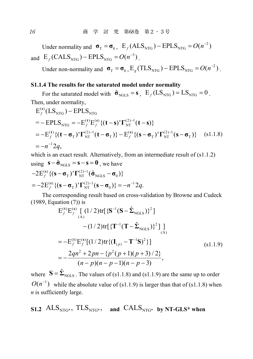Under normality and  $\sigma_{\text{T}} = \sigma_0$ ,  $E_f(\text{ALS}_{\text{NTG}}) - \text{EPLS}_{\text{NTG}} = O(n^{-2})$ and  $E_f(CALS<sub>NTG</sub>) - EPLS<sub>NTG</sub> = O(n<sup>-3</sup>)$ 

Under non-normality and  $\sigma_T = \sigma_0$ ,  $E_e(TLS_{NTG}) - EPLS_{NTG} = O(n^{-2})$ .

### **S1.1.4 The results for the saturated model under normality**

For the saturated model with  $\hat{\sigma}_{NGLS} = s$ ,  $E_f (LS_{NTG}) = LS_{NTG} = 0$ . Then, under normality,

$$
E_f^{(s)}(LS_{NTG}) - EPLS_{NTG}
$$
  
= - EPLS\_{NTG} = -E\_f^{(t)}E\_f^{(s)} {(t - s)'\Gamma\_{NT}^{(2)-1}(t - s)}  
= -E\_f^{(t)} {(t - \sigma\_T)'\Gamma\_{NT}^{(2)-1}(t - \sigma\_T)} - E\_f^{(s)} {(s - \sigma\_T)'\Gamma\_{NT}^{(2)-1}(s - \sigma\_T)} (s1.1.8)  
= -n^{-1}2q,

which is an exact result. Alternatively, from an intermediate result of  $(s1.1.2)$ using  $\mathbf{s} - \hat{\mathbf{\sigma}}_{\text{NGLS}} = \mathbf{s} - \mathbf{s} = \mathbf{0}$ , we have  $2E_f^{(s)}\{ (\mathbf{s}-\boldsymbol{\sigma}_{\rm T})^{\prime} \boldsymbol{\Gamma}_{\rm NT}^{(2)-1} (\hat{\boldsymbol{\sigma}}_{\rm NGLS}-\boldsymbol{\sigma}_{0}) \}$  $-2E_f^{(s)}$  {(s - σ<sub>T</sub>)' Γ $_{\rm NT}^{(2)-1}$ (σ̂<sub>NGLS</sub> - σ

$$
= -2E_f^{(s)} \{ (\mathbf{s} - \mathbf{\sigma}_T)^T \Gamma_{NT}^{(2)-1} (\mathbf{s} - \mathbf{\sigma}_0) \} = -n^{-1} 2q.
$$
  
The corresponding result based on cross-validation by Browne and Cudeck (1989, Equation (7)) is

$$
E_f^{(t)}E_f^{(s)}\left[\left(1/2\right)\text{tr}\left\{\mathbf{S}^{-1}(\mathbf{S}-\hat{\mathbf{\Sigma}}_{\text{NGLS}})\right\}^2\right]
$$
  
 
$$
-\left(1/2\right)\text{tr}\left[\left\{\mathbf{T}^{-1}(\mathbf{T}-\hat{\mathbf{\Sigma}}_{\text{NGLS}})\right\}^2\right]\Big]
$$
  
= 
$$
-E_f^{(t)}E_f^{(s)}\left[\left(1/2\right)\text{tr}\left\{\left(\mathbf{I}_{(p)} - \mathbf{T}^{-1}\mathbf{S}\right)^2\right\}\right]
$$
  
= 
$$
-\frac{2qn^2 + 2pn - \{p^2(p+1)(p+3)/2\}}{(n-p)(n-p-1)(n-p-3)},
$$
 (s1.1.9)

where  $S = \hat{\Sigma}_{\text{NGLS}}$ . The values of (s1.1.8) and (s1.1.9) are the same up to order  $O(n^{-1})$  while the absolute value of (s1.1.9) is larger than that of (s1.1.8) when *n* is sufficiently large.

S1.2 
$$
ALS_{NTG^*}
$$
,  $TLS_{NTG^*}$ , and  $CALS_{NTG^*}$  by NT-GLS\* when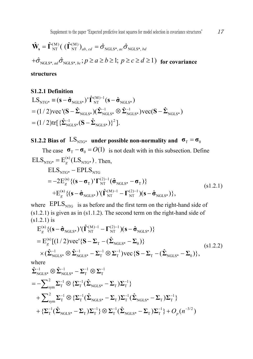$$
\hat{\mathbf{W}}_{s} = \hat{\mathbf{\Gamma}}_{NT}^{(M)} \big( \left( \hat{\mathbf{\Gamma}}_{NT}^{(M)} \right)_{ab, cd} = \hat{\sigma}_{NGLS^*, ac} \hat{\sigma}_{NGLS^*, bd}
$$
  
 
$$
+ \hat{\sigma}_{NGLS^*, ad} \hat{\sigma}_{NGLS^*, bc}; p \ge a \ge b \ge 1; p \ge c \ge d \ge 1 \big) \text{ for covariance}
$$

#### **structures**

#### **S1.2.1 Definition**

$$
LS_{NTG^*} \equiv (\mathbf{s} - \hat{\sigma}_{NGLS^*})' \hat{\mathbf{\Gamma}}_{NT}^{(M)-1} (\mathbf{s} - \hat{\sigma}_{NGLS^*})
$$
  
= (1/2)vec'(\mathbf{S} - \hat{\boldsymbol{\Sigma}}\_{NGLS^\*}) (\hat{\boldsymbol{\Sigma}}\_{NGLS^\*}^{-1} \otimes \hat{\boldsymbol{\Sigma}}\_{NGLS^\*}^{-1})vec(\mathbf{S} - \hat{\boldsymbol{\Sigma}}\_{NGLS^\*})  
= (1/2)tr[\{\hat{\boldsymbol{\Sigma}}\_{NGLS^\*}^{-1} (\mathbf{S} - \hat{\boldsymbol{\Sigma}}\_{NGLS^\*})\}^2].

**S1.2.2 Bias** of  $LS_{NTG^*}$  **under possible non-normality and**  $\sigma_T = \sigma_0$ 

The case  $\sigma_{\rm r} - \sigma_{\rm o} = O(1)$  is not dealt with in this subsection. Define  $\text{ELS}_{\text{NTG*}} = \text{E}_g^{(s)}(\text{LS}_{\text{NTG*}})$ . Then,

$$
\begin{split} \text{ELS}_{\text{NTG}^*} - \text{EPLS}_{\text{NTG}} \\ &= -2E_g^{(s)} \{ (\mathbf{s} - \mathbf{\sigma}_{\text{T}})^{\mathsf{T}} \Gamma_{\text{NT}}^{(2)-1} (\hat{\mathbf{\sigma}}_{\text{NGLS}^*} - \mathbf{\sigma}_{\text{T}}) \} \\ &+ E_g^{(s)} \{ (\mathbf{s} - \hat{\mathbf{\sigma}}_{\text{NGLS}^*})^{\mathsf{T}} (\hat{\boldsymbol{\Gamma}}_{\text{NT}}^{(\text{M})-1} - \boldsymbol{\Gamma}_{\text{NT}}^{(2)-1}) (\mathbf{s} - \hat{\mathbf{\sigma}}_{\text{NGLS}^*}) \}, \end{split} \tag{s1.2.1}
$$

where  $EPLS<sub>NTG</sub>$  is as before and the first term on the right-hand side of (s1.2.1) is given as in (s1.1.2). The second term on the right-hand side of (s1.2.1) is

$$
E_g^{(s)} \{ (\mathbf{s} - \hat{\boldsymbol{\sigma}}_{\text{NGLS}*})' (\hat{\boldsymbol{\Gamma}}_{\text{NT}}^{(\text{M})-1} - \boldsymbol{\Gamma}_{\text{NT}}^{(2)-1}) (\mathbf{s} - \hat{\boldsymbol{\sigma}}_{\text{NGLS}*}) \}
$$
  
\n
$$
= E_g^{(s)} [(1/2) \text{vec}^{\prime} {\{\mathbf{S} - \boldsymbol{\Sigma}_{\text{T}} - (\hat{\boldsymbol{\Sigma}}_{\text{NGLS}*} - \boldsymbol{\Sigma}_{0}) \}}
$$
  
\n
$$
\times (\hat{\boldsymbol{\Sigma}}_{\text{NGLS}*}^{-1} \otimes \hat{\boldsymbol{\Sigma}}_{\text{NGLS}*}^{-1} - \boldsymbol{\Sigma}_{\text{T}}^{-1} \otimes \boldsymbol{\Sigma}_{\text{T}}^{-1}) \text{vec} {\{\mathbf{S} - \boldsymbol{\Sigma}_{\text{T}} - (\hat{\boldsymbol{\Sigma}}_{\text{NGLS}*} - \boldsymbol{\Sigma}_{0}) \}},
$$
\n(s1.2.2)

where

$$
\hat{\Sigma}_{\text{NGLS}^*}^{-1} \otimes \hat{\Sigma}_{\text{NGLS}^*}^{-1} - \Sigma_{\text{T}}^{-1} \otimes \Sigma_{\text{T}}^{-1} \n= -\sum_{\text{sym}}^2 \Sigma_{\text{T}}^{-1} \otimes \{ \Sigma_{\text{T}}^{-1} (\hat{\Sigma}_{\text{NGLS}^*} - \Sigma_{\text{T}}) \Sigma_{\text{T}}^{-1} \} \n+ \sum_{\text{sym}}^2 \Sigma_{\text{T}}^{-1} \otimes \{ \Sigma_{\text{T}}^{-1} (\hat{\Sigma}_{\text{NGLS}^*} - \Sigma_{\text{T}}) \Sigma_{\text{T}}^{-1} (\hat{\Sigma}_{\text{NGLS}^*} - \Sigma_{\text{T}}) \Sigma_{\text{T}}^{-1} \} \n+ \{ \Sigma_{\text{T}}^{-1} (\hat{\Sigma}_{\text{NGLS}^*} - \Sigma_{\text{T}}) \Sigma_{\text{T}}^{-1} \} \otimes \Sigma_{\text{T}}^{-1} (\hat{\Sigma}_{\text{NGLS}^*} - \Sigma_{\text{T}}) \Sigma_{\text{T}}^{-1} \} + O_p(n^{-3/2})
$$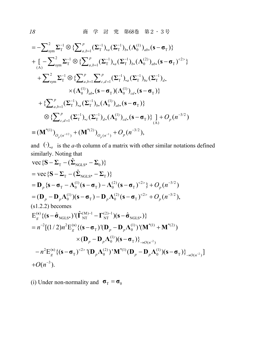$$
= -\sum_{sym}^{2} \sum_{T}^{-1} \otimes \left\{ \sum_{a,b=1}^{p} (\sum_{T}^{-1})_{a} (\sum_{T}^{-1})_{b} (\Lambda_{0}^{(1)})_{ab} (\mathbf{s} - \mathbf{\sigma}_{T}) \right\}
$$
  
+ 
$$
\left[ -\sum_{sym}^{2} \sum_{T}^{-1} \otimes \left\{ \sum_{a,b=1}^{p} (\sum_{T}^{-1})_{a} (\sum_{T}^{-1})_{b} (\Lambda_{0}^{(2)})_{ab} (\mathbf{s} - \mathbf{\sigma}_{T})^{2} \right\} \right.
$$
  
+ 
$$
\sum_{sym}^{2} \sum_{T}^{-1} \otimes \left\{ \sum_{a,b=1}^{p} \sum_{c,d=1}^{p} (\sum_{T}^{-1})_{a} (\sum_{T}^{-1})_{bc} (\sum_{T}^{-1})_{d} \right.
$$
  

$$
\times (\Lambda_{0}^{(1)})_{ab} (\mathbf{s} - \mathbf{\sigma}_{T}) (\Lambda_{0}^{(1)})_{cd} (\mathbf{s} - \mathbf{\sigma}_{T}) \right\}
$$
  
+ 
$$
\left\{ \sum_{a,b=1}^{p} (\sum_{T}^{-1})_{a} (\sum_{T}^{-1})_{b} (\Lambda_{0}^{(1)})_{ab} (\mathbf{s} - \mathbf{\sigma}_{T}) \right\}
$$
  

$$
\otimes \left\{ \sum_{c,d=1}^{p} (\sum_{T}^{-1})_{c} (\sum_{T}^{-1})_{d} (\Lambda_{0}^{(1)})_{cd} (\mathbf{s} - \mathbf{\sigma}_{T}) \right\} \right\} + O_{p}(n^{-3/2})
$$
  
= 
$$
(\mathbf{M}^{*(1)})_{O_{p}(n^{-1/2})} + (\mathbf{M}^{*(2)})_{O_{p}(n^{-1})} + O_{p}(n^{-3/2}),
$$

and  $(·)$ , *a* is the *a*-th column of a matrix with other similar notations defined similarly. Noting that

vec{S} - 
$$
\Sigma_{\rm T}
$$
 - ( $\hat{\Sigma}_{\rm NGLS^*}$  -  $\Sigma_{0}$ )}  
\n= vec {**S** -  $\Sigma_{\rm T}$  - ( $\hat{\Sigma}_{\rm NGLS^*}$  -  $\Sigma_{\rm T}$ )}  
\n= **D**<sub>p</sub> {**s** - **σ**<sub>T</sub> - **Λ**<sub>0</sub><sup>(1</sup> (**s** - **σ**<sub>T</sub>) - **Λ**<sub>0</sub><sup>(2)</sup> (**s** - **σ**<sub>T</sub>)<sup>22</sup> + **O**<sub>p</sub> (**n**<sup>-3/2</sup>)  
\n= (**D**<sub>p</sub> - **D**<sub>p</sub>**Λ**<sub>0</sub><sup>(1)</sup>)(**s** - **σ**<sub>T</sub>) - **D**<sub>p</sub>**Λ**<sub>0</sub><sup>(2)</sup> (**s** - **σ**<sub>T</sub>)<sup>-22</sup> + **O**<sub>p</sub> (**n**<sup>-3/2</sup>),  
\n(s1.2.2) becomes  
\n
$$
E_{g}^{(s)} \{(s - ôNGLS^*)' (îNT(M)-1 - ΓNT(2)-1)(s - ôNGLS^*)\}
$$
\n
$$
= n^{-2}[(1/2)n^2E_{g}^{(s)} \{(s - σT)'(Dp - DpΛ0(1))'(M*(1) + M*(2)
$$
)  
\n× (**D**<sub>p</sub> - **D**<sub>p</sub>**Λ**<sub>0</sub><sup>(1)</sup>)(**s** - **σ**<sub>T</sub>)\}<sub>\rightarrow O(n^{-2}</sub>)  
\n- n<sup>2</sup>E<sub>g</sub><sup>(s)</sup> \{(**s** - **σ**<sub>T</sub>

(i) Under non-normality and  $\sigma_T = \sigma_0$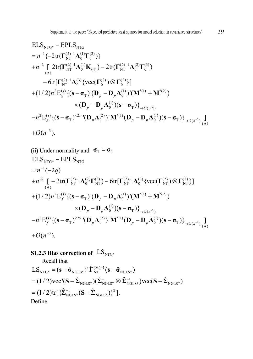NTG\* NTG 1 (2) 1 (1) (2) NT 0 0 2 (2) 1 (1) (2) 1 (2) (3) NT 0 (4) NT 0 0 (A) (2) 1 (3) (2) (2) NT 0 0 0 2 () (1) \*(1) \*(2) T 0 (1) 0 ELS EPLS { 2tr( )} [ 2tr( ) 2tr( ) 6tr[ {vec( ) }] (1/ 2) E {( ) '( ) '( ) ( )( *g p p p p n n n* **s Γ ΛΓ Γ ΛΚ Γ ΛΓ ΓΛ Γ Γ s σ D D ΛM M D D Λ sσ** <sup>2</sup> 2 T ( ) 2 () 2 (2) \*(1) (1) <sup>T</sup> <sup>0</sup> <sup>0</sup> <sup>T</sup> ( ) (A) 3 )} E {( ) '( ) ' ( )( )} ] ( ). *O n <sup>g</sup> <sup>p</sup> p p O n n O n* **<sup>s</sup> s σ D Λ M D DΛ s σ**

(ii) Under normality and 
$$
\sigma_{T} = \sigma_{0}
$$
  
\n
$$
ELS_{NTG^{*}} - EPLS_{NTG}
$$
\n
$$
= n^{-1}(-2q)
$$
\n
$$
+ n^{-2} \left[ -2 \text{tr}(\Gamma_{NT}^{(2)-1} \Lambda_{0}^{(2)} \Gamma_{NT}^{(3)}) - 6 \text{tr}[\Gamma_{NT}^{(2)-1} \Lambda_{0}^{(3)} \{ \text{vec}(\Gamma_{NT}^{(2)}) \otimes \Gamma_{NT}^{(2)} \} ] + (1/2)n^{2} E_{f}^{(s)} \{ (\mathbf{s} - \sigma_{T})' (\mathbf{D}_{p} - \mathbf{D}_{p} \Lambda_{0}^{(1)})' (\mathbf{M}^{*(1)} + \mathbf{M}^{*(2)}) \times (\mathbf{D}_{p} - \mathbf{D}_{p} \Lambda_{0}^{(1)}) (\mathbf{s} - \sigma_{T}) \} \rightarrow n^{2} E_{f}^{(s)} \{ (\mathbf{s} - \sigma_{T})^{2} \} ( \mathbf{D}_{p} \Lambda_{0}^{(2)})' \mathbf{M}^{*(1)} (\mathbf{D}_{p} - \mathbf{D}_{p} \Lambda_{0}^{(1)}) (\mathbf{s} - \sigma_{T}) \} \rightarrow o(n^{-2}).
$$
\n
$$
+ O(n^{-3}).
$$

## **S1.2.3 Bias correction of**  $LS_{NTG*}$

Recall that  
\n
$$
LS_{NTG^*} = (\mathbf{s} - \hat{\sigma}_{NGLS^*})' \hat{\mathbf{\Gamma}}_{NT}^{(M)-1} (\mathbf{s} - \hat{\sigma}_{NGLS^*})
$$
\n
$$
= (1/2) \text{vec}^{\prime} (\mathbf{S} - \hat{\boldsymbol{\Sigma}}_{NGLS^*}) (\hat{\boldsymbol{\Sigma}}_{NGLS^*}^{-1} \otimes \hat{\boldsymbol{\Sigma}}_{NGLS^*}^{-1}) \text{vec} (\mathbf{S} - \hat{\boldsymbol{\Sigma}}_{NGLS^*})
$$
\n
$$
= (1/2) \text{tr}[\{\hat{\boldsymbol{\Sigma}}_{NGLS^*}^{-1} (\mathbf{S} - \hat{\boldsymbol{\Sigma}}_{NGLS^*})\}^2].
$$
\nDefine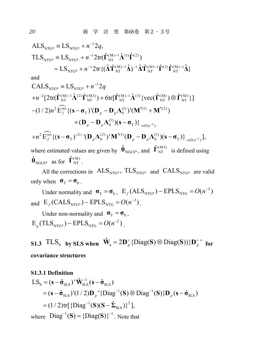$$
ALS_{NTG^*} = LS_{NTG^*} + n^{-1} 2q,
$$
  
\n
$$
TLS_{NTG^*} = LS_{NTG^*} + n^{-1} 2tr(\hat{\Gamma}_{NT}^{(M)-1} \hat{\Lambda}^{(1)} \hat{\Gamma}^{(2)})
$$
  
\n
$$
= LS_{NTG^*} + n^{-1} 2tr\{(\hat{\Delta} \hat{\Gamma}_{NT}^{(M)-1} \hat{\Delta})^{-1} \hat{\Delta} \hat{\Gamma}_{NT}^{(M)-1} \hat{\Gamma}^{(2)} \hat{\Gamma}_{NT}^{(M)-1} \hat{\Delta}\}
$$

and

CALS<sub>NTG\*</sub> = LS<sub>NTG\*</sub> + 
$$
n^{-1}2q
$$
  
+ $n^{-2}[2tr(\hat{\Gamma}_{NT}^{(M)-1}\hat{\Lambda}^{(2)}\hat{\Gamma}_{NT}^{(M3)}) + 6tr[\hat{\Gamma}_{NT}^{(M)-1}\hat{\Lambda}^{(3)}\{vec(\hat{\Gamma}_{NT}^{(M)})\otimes \hat{\Gamma}_{NT}^{(M)}\}]$   
- $(1/2)n^2 \widehat{E}_f^{(s)}\{(\mathbf{s}-\sigma_T)^{\dagger}(\mathbf{D}_p-\mathbf{D}_p\Lambda_0^{(1)})^{\dagger}(\mathbf{M}^{*(1)}+\mathbf{M}^{*(2)})$   
 $\times (\mathbf{D}_p-\mathbf{D}_p\Lambda_0^{(1)})(\mathbf{s}-\sigma_T)\}_{{\rightarrow}O(n^{-2})}$   
+ $n^2 \widehat{E}_f^{(s)}\{(\mathbf{s}-\sigma_T)^{2/2}(\mathbf{D}_p\Lambda_0^{(2)})^{\dagger}\mathbf{M}^{*(1)}(\mathbf{D}_p-\mathbf{D}_p\Lambda_0^{(1)})(\mathbf{s}-\sigma_T)\}_{{\rightarrow}O(n^{-2})}],$   
where estimated values are given by  $\hat{\theta}_{NGLS^*}$ , and  $\hat{\Gamma}_{NT}^{(M3)}$  is defined using  $\hat{\theta}_{NGLS^*}$  as for  $\hat{\Gamma}_{NT}^{(M)}$ .

All the corrections in  $ALS_{NTG^*}$ ,  $TLS_{NTG^*}$  and  $CALS_{NTG^*}$  are valid only when  $\sigma_T = \sigma_0$ .

Under normality and  $\sigma_{\text{T}} = \sigma_{0}$ ,  $E_f(\text{ALS}_{\text{NTG*}}) - \text{EPLS}_{\text{NTG}} = O(n^{-2})$ and  $E_f(CALS<sub>NTG*</sub>) - EPLS<sub>NTG</sub> = O(n<sup>-3</sup>)$ .

Under non-normality and  $\sigma$ <sub>T</sub> =  $\sigma$ <sub>0</sub>,  $E_e$ (TLS<sub>NTG\*</sub>) – EPLS<sub>NTG</sub> =  $O(n^{-2})$ .

**S1.3**  $TLS_S$  **by SLS** when  $\hat{\mathbf{W}}_s = 2\mathbf{D}_p^+ \{\text{Diag}(\mathbf{S}) \otimes \text{Diag}(\mathbf{S})\} \mathbf{D}_p^+$  for **covariance structures**

S1.3.1 Definition  
\nLS<sub>S</sub> = 
$$
(\mathbf{s} - \hat{\sigma}_{SLS})' \hat{\mathbf{W}}_{SLS}^{-1} (\mathbf{s} - \hat{\sigma}_{SLS})
$$
  
\n=  $(\mathbf{s} - \hat{\sigma}_{SLS})' (1/2) \mathbf{D}_p' {Diag^{-1}(S) \otimes Diag^{-1}(S)} \mathbf{D}_p (\mathbf{s} - \hat{\sigma}_{SLS})$   
\n=  $(1/2) \text{tr} [{\text{Diag}^{-1}(S)(S - \hat{\Sigma}_{SLS})}^2]$ ,  
\nwhere Diag<sup>-1</sup>(S) = {Diag(S)}<sup>-1</sup>. Note that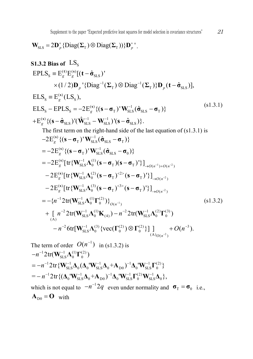$$
\mathbf{W}_{\mathrm{SLS}} = 2\mathbf{D}_p^+ \{ \mathrm{Diag}(\boldsymbol{\Sigma}_{\mathrm{T}}) \otimes \mathrm{Diag}(\boldsymbol{\Sigma}_{\mathrm{T}}) \} \mathbf{D}_p^+ \, .
$$

**S1.3.2 Bias of** LSS () () S SLS 1 1 T T SLS ( ) S S ( ) 1 S S T SLS SLS T ( ) 1 1 SLS SLS SLS SLS EPLS E E [( ) ' ˆ (1/ 2) '{Diag ( ) Diag ( )} ( )], ˆ ELS E (LS ), ELS EPLS 2E {( ) ' ( )} ˆ ˆ E {( ) '( ˆ ) '( )}. ˆ *g g p p g g g* **t s s s s t σ D Σ Σ Dtσ s σ W σ σ s σ WWs σ** (s1.3.1) The first term on the right-hand side of the last equation of (s1.3.1) is 1 2 2 ( ) 1 T SLS SLS T ( ) 1 T SLS SLS 0 ( ) 1 (1) SLS 0 T T ()( ) ( ) 1 (2) 2 SLS 0 T T ( ) ( ) 1 (3) 3 SLS 0 T T 2E {( ) ' ( )} ˆ 2E {( ) ' ( )} ˆ 2E [tr{ ( )( ) '}] 2E [tr{ ( ) ( ) '}] 2E [tr{ ( ) ( *g g g On On g O n g* **s s s s s s σ W σ σ s σ W σ σ W Λ sσ s σ W Λ sσ s σ W Λ sσ s σ** <sup>2</sup> 1 2 ( ) 1 1 (1) (2 ) SLS 0 0 ( ) 2 1 (1) 2 1 (2) (3) SLS 0 (4 ) SLS 0 0 (A) 2 1 (3) (2) (2) 3 SLS 0 0 0 (A) ( ) ) '}] { 2tr( )} [ 2tr( ) 2tr( ) 6tr[ {vec( ) }] ] ( ). *O n O n O n n n n n O n* **W Λ Γ W Λ Κ WΛΓ W Λ ΓΓ** (s1.3.2) The term of order <sup>1</sup> *O n*( ) in (s1.3.2) is 1 1 (1) (2) SLS 0 0 1 1 1 1 1 (2) SLS 0 0 SLS 0 D0 0 SLS 0 2tr{ ( ' + ) ' } *n* **W Δ ΔW Δ A ΔW Γ** 2tr( ) *n* **W Λ Γ**

 $=$  - n<sup>-1</sup> 2tr {( $\Delta_0$ ' $\mathbf{W}_{\rm SLS}^{-1} \Delta_0$ + $\mathbf{A}_{\rm D0}$ )<sup>-1</sup> $\Delta_0$ ' $\mathbf{W}_{\rm SLS}^{-1} \boldsymbol{\Gamma}_0^{(2)} \mathbf{W}_{\rm SLS}^{-1} \Delta_0$ }, which is not equal to  $-n^{-1}2q$  even under normality and  $\sigma_T = \sigma_0$  i.e.,  $\mathbf{A}_{\text{D}0} = \mathbf{O}$  with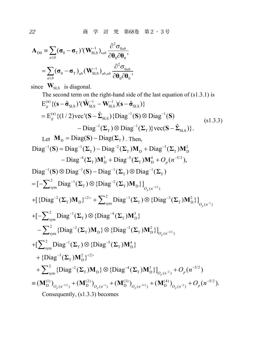22 商 学 討 究 第68巻 第2・3号

$$
\mathbf{A}_{D0} = \sum_{a \ge b} (\boldsymbol{\sigma}_0 - \boldsymbol{\sigma}_T) (\mathbf{W}_{SLS}^{-1})_{.ab} \frac{\partial^2 \boldsymbol{\sigma}_{0ab}}{\partial \boldsymbol{\theta}_0 \partial \boldsymbol{\theta}_0},
$$

$$
= \sum_{a \ge b} (\boldsymbol{\sigma}_0 - \boldsymbol{\sigma}_T)_{ab} (\mathbf{W}_{SLS}^{-1})_{ab,ab} \frac{\partial^2 \boldsymbol{\sigma}_{0ab}}{\partial \boldsymbol{\theta}_0 \partial \boldsymbol{\theta}_0},
$$

since  $\mathbf{W}_{\text{SLS}}$  is diagonal.

The second term on the right-hand side of the last equation of (s1.3.1) is  
\n
$$
E_g^{(s)} \{ (\mathbf{s} - \hat{\sigma}_{SLS})' (\hat{\mathbf{W}}_{SLS}^{-1} - \mathbf{W}_{SL}^{-1}) (\mathbf{s} - \hat{\sigma}_{SLS}) \}
$$
\n
$$
= E_g^{(s)} \{ (1/2) \text{vec} ((\mathbf{S} - \hat{\mathbf{\Sigma}}_{SLS}) \{ Diag^{-1}(\mathbf{S}) \otimes Diag^{-1}(\mathbf{S}) \} - Diag^{-1}(\mathbf{\Sigma}_T) \otimes Diag^{-1}(\mathbf{\Sigma}_T) \} \text{vec} ((\mathbf{S} - \hat{\mathbf{\Sigma}}_{SLS}) \}.
$$
\nLet  $\mathbf{M}_D = Diag(\mathbf{S}) - Diag(\mathbf{\Sigma}_T) \text{ Then,}$   
\n
$$
Diag^{-1}(\mathbf{S}) = Diag^{-1}(\mathbf{\Sigma}_T) - Diag^{-2}(\mathbf{\Sigma}_T) \mathbf{M}_D + Diag^{-3}(\mathbf{\Sigma}_T) \mathbf{M}_D^2 - Diag^{-4}(\mathbf{\Sigma}_T) \mathbf{M}_D^3 + Diag^{-5}(\mathbf{\Sigma}_T) \mathbf{M}_D^4 + O_p(n^{-5/2}),
$$
  
\n
$$
Diag^{-1}(\mathbf{S}) \otimes Diag^{-1}(\mathbf{S}) - Diag^{-1}(\mathbf{\Sigma}_T) \otimes Diag^{-1}(\mathbf{\Sigma}_T)
$$
\n
$$
= [-\sum_{sym}^2 Diag^{-1}(\mathbf{\Sigma}_T) \otimes {Diag^{-2}(\mathbf{\Sigma}_T) \mathbf{M}_D} \}_{O_p(n^{-1/2})} + \{ {Diag^{-2}(\mathbf{\Sigma}_T) \mathbf{M}_D} \}_{C_p(n^{-1/2})} + \{ -\sum_{sym}^2 Diag^{-1}(\mathbf{\Sigma}_T) \otimes {Diag^{-1}(\mathbf{\Sigma}_T) \mathbf{M}_D} \}_{O_p(n^{-1/2})} + \{ -\sum_{sym}^2 Diag^{-1}(\mathbf{\Sigma}_T) \otimes {Diag^{-3}(\mathbf{\Sigma}_T) \mathbf{M}_D} \}_{O_p(n^{-3/2})} + \{ -\sum_{sym}^2 Diag^{-1}(\mathbf{\Sigma}_T) \mathbf{M}_D \} \otimes {Diag^{-3}(\mathbf{\Sigma}_T) \mathbf{M}_D} \}_{O_p(n^{-3/2
$$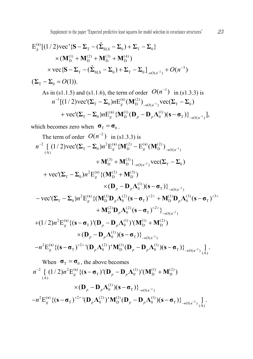E<sub>g</sub><sup>(s)</sup> [(1/2)vec'(S – Σ<sub>T</sub> – (Σ<sub>SLS</sub> – Σ<sub>0</sub>) + Σ<sub>T</sub><sup>(3)</sup> + Σ<sub>T</sub><sup>(4)</sup>)  
\n× (M<sub>D</sub><sup>(1)</sup> + M<sub>D</sub><sup>(2)</sup> + M<sub>D</sub><sup>(3)</sup>) + Σ<sub>T</sub><sup>(4)</sup>)  
\n× vec(S – Σ<sub>T</sub> – (Σ̇<sub>SLS</sub> – Σ<sub>0</sub>) + Σ<sub>T</sub> – Σ<sub>0</sub>]<sub>→0(n<sup>-2</sup>)</sub> + O(n<sup>-3</sup>)  
\n(Σ<sub>T</sub> – Σ<sub>0</sub> = O(1)).  
\nAs in (s1.1.5) and (s1.1.6), the term of order O(n<sup>-1</sup>) in (s1.3.3) is  
\n
$$
n^{-1}
$$
[(1/2)vec'(Σ<sub>T</sub> – Σ<sub>0</sub>) $nE_g^{(s)}$ (M<sub>D</sub><sup>(2)</sup>)<sub>→0(n<sup>-1</sup>)</sub>vec(Σ<sub>T</sub> – Σ<sub>0</sub>)  
\n+ vec'(Σ<sub>T</sub> – Σ<sub>0</sub>) $nE_g^{(s)}$  {M<sub>D</sub><sup>(1)</sup> (D<sub>p</sub> – D<sub>p</sub>Λ<sub>0</sub><sup>(1)</sup>)(s – σ<sub>T</sub>)}<sub>→0(n<sup>-1</sup>)</sub>],  
\nwhich becomes zero when σ<sub>T</sub> = σ<sub>0</sub>.  
\nThe term of order O(n<sup>-2</sup>) in (s1.3.3) is  
\n $n^{-2}$  [(1/2)vec'(Σ<sub>T</sub> – Σ<sub>0</sub>) $n^2E_g^{(s)}$  {M<sub>D</sub><sup>(2)</sup> – E<sub>g</sub><sup>(s)</sup>(M<sub>D</sub><sup>(2)</sup>)<sub>→0(n<sup>-1</sup>)</sub>  
\n+ M<sub>D</sub><sup>(3)</sup> + M<sub>D</sub><sup>(3)</sup>)<sub>→0(n<sup>-2</sup>)</sub>vec(Σ<sub>T</sub> – Σ<sub>0</sub>)  
\n+ vec'(Σ<sub>T</sub> – Σ<sub>0</sub>) $n^2E_g^{(s)}$  {( $M$ 

$$
n^{-2} \left[ (1/2)n^{2} \mathcal{E}_{g}^{(s)} \{ (\mathbf{s} - \mathbf{\sigma}_{T})^{t} (\mathbf{D}_{p} - \mathbf{D}_{p} \Lambda_{0}^{(1)})^{t} (\mathbf{M}_{D}^{(1)} + \mathbf{M}_{D}^{(2)}) \times (\mathbf{D}_{p} - \mathbf{D}_{p} \Lambda_{0}^{(1)}) (\mathbf{s} - \mathbf{\sigma}_{T}) \}_{\rightarrow O(n^{-2})} \times ( \mathbf{D}_{p} - \mathbf{D}_{p} \Lambda_{0}^{(1)}) (\mathbf{s} - \mathbf{\sigma}_{T}) \}_{\rightarrow O(n^{-2})} \left[ -n^{2} \mathcal{E}_{g}^{(s)} \{ (\mathbf{s} - \mathbf{\sigma}_{T})^{2} \} (\mathbf{D}_{p} \Lambda_{0}^{(2)})^{t} \mathbf{M}_{D}^{(1)} (\mathbf{D}_{p} - \mathbf{D}_{p} \Lambda_{0}^{(1)}) (\mathbf{s} - \mathbf{\sigma}_{T}) \}_{\rightarrow O(n^{-2})} \right].
$$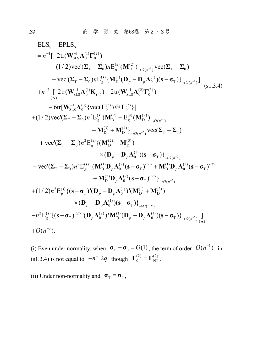ELS<sub>s</sub> – EPLS<sub>s</sub>  
\n= n<sup>-1</sup>[-2tr(W<sub>SI.S</sub><sup>-1</sup>Δ<sub>0</sub><sup>(1)</sup>Γ<sub>0</sub><sup>(2)</sup>)  
\n+(1/2)vec(C<sub>T</sub> – Σ<sub>0</sub>)nE<sub>g</sub><sup>(s)</sup>(M<sub>D</sub><sup>(2)</sup>)<sub>→0(n<sup>-1</sup>)</sub>vec(C<sub>T</sub> – Σ<sub>0</sub>)  
\n+vec(C<sub>T</sub> – Σ<sub>0</sub>)nE<sub>g</sub><sup>(s)</sup> {M<sub>D</sub><sup>(1)</sup>(D<sub>p</sub> – D<sub>p</sub>Λ<sub>0</sub><sup>(1)</sup>)(s – σ<sub>T</sub>)}<sub>→0(n<sup>-1</sup>)</sub>]  
\n+n<sup>-2</sup> [ 2tr(W<sub>SI.S</sub><sup>-1</sup>Δ<sub>0</sub><sup>(1)</sup>K<sub>(4)</sub>) – 2tr(W<sub>SI.S</sub><sup>-1</sup>Δ<sub>0</sub><sup>(2)</sup>Γ<sub>0</sub><sup>(3)</sup>)  
\n– 6tr[W<sub>SI.S</sub><sup>-1</sup>Δ<sub>0</sub><sup>(3)</sup> {vec(C<sub>T</sub><sup>(2)</sup>) ∅ Γ<sub>0</sub><sup>(2)</sup>}]  
\n+(1/2)vec(C<sub>T</sub> – Σ<sub>0</sub>)n<sup>2</sup>E<sub>g</sub><sup>(s)</sup> {M<sub>D</sub><sup>(2)</sup> – E<sub>g</sub><sup>(s)</sup>(M<sub>D</sub><sup>(2)</sup>)<sub>→0(n<sup>-1</sup>)  
\n+M<sub>D</sub><sup>(3)</sup> + M<sub>0</sub><sup>(3)</sup>} + M<sub>0</sub><sup>(3)</sup> + M<sub>0</sub><sup>(3)</sup> + M<sub>0</sub><sup>(3)</sup> + M<sub>0</sub><sup>(3)</sup> – σ<sub>T</sub>)<sup>2</sup> → (σ<sub>T</sub><sup>-2</sup>)  
\n- vec(C<sub>T</sub> – Σ<sub>0</sub>)n<sup>2</sup>E<sub>g</sub><sup>(s)</sup> {(
$$
M_D^{(2)}
$$
 +  $M_D^{(3)}$ )  
\n× (D<sub>p</sub> – D<sub>p</sub>Λ<sub>0</sub><</sub>

(i) Even under normality, when  $\sigma_T - \sigma_0 = O(1)$ , the term of order  $O(n^{-1})$  in (s1.3.4) is not equal to  $-n^{-1}2q$  though  $\Gamma_0^{(2)} = \Gamma_{NT}^{(2)}$ .

(ii) Under non-normality and  $\sigma_T = \sigma_0$ ,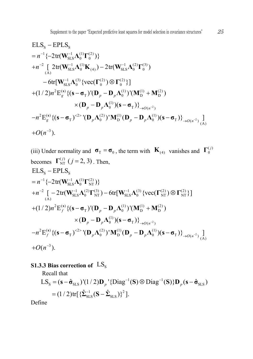2 S S 1 1 (1) (2) SLS 0 0 2 1 (1) 1 (2) (3) SLS 0 (4) SLS 0 0 (A) 1 (3) (2) (2) SLS 0 0 0 2 () (1) (1) (2) T 0 DD (1) 0 T ( ) 2 ELS EPLS { 2tr( )} [ 2tr( ) 2tr( ) 6tr[ {vec( ) }] (1/ 2) E {( ) '( ) '( ) ( )( )} *g p p p p O n n n n n* **s W Λ Γ W ΛΚ W ΛΓ W Λ ΓΓ s σ D D ΛMM D D Λ sσ** 2 ( ) 2 (2) (1) (1) <sup>T</sup> 0 D <sup>0</sup> <sup>T</sup> ( ) (A) 3 E {( ) '( ) ' ( )( )} ] ( ). *g p p p O n O n* **<sup>s</sup> s σ D Λ M D DΛ s σ**

(iii) Under normality and  $\sigma_T = \sigma_0$ , the term with  $\mathbf{K}_{(4)}$  vanishes and  $\mathbf{\Gamma}_0^{(j)}$ becomes  $\Gamma_{\text{NT}}^{(j)}$   $(j = 2, 3)$ . Then,  $\times (\mathbf{D}_{p} - \mathbf{D}_{p} \Lambda_{0}^{(1)}) (\mathbf{s} - \mathbf{\sigma}_{T})\}_{\rightarrow O(n^{-2})}$  $\mathrm{ELS}_{\mathrm{s}} - \mathrm{EPLS}_{\mathrm{s}}$  $= n^{-1} \{-2tr(\mathbf{W}_{\text{SLS}}^{-1} \mathbf{\Lambda}_0^{(1)} \mathbf{\Gamma}_{\text{NT}}^{(2)})\}$  $+n^{-2}\left[-2tr(\mathbf{W}_{\rm SLS}^{-1}\boldsymbol{\Lambda}_0^{(2)}\boldsymbol{\Gamma}_{\rm NT}^{(3)})-6tr[\mathbf{W}_{\rm SLS}^{-1}\boldsymbol{\Lambda}_0^{(3)}\left\lbrace vec(\boldsymbol{\Gamma}_{\rm NT}^{(2)})\otimes \boldsymbol{\Gamma}_{\rm NT}^{(2)}\right\rbrace\right]$  $+(1/2)n^2 \mathbf{E}_f^{(s)} \{ (\mathbf{s} - \mathbf{\sigma}_T) (\mathbf{D}_p - \mathbf{D}_p \mathbf{\Lambda}_0^{(1)}) (\mathbf{M}_{\mathbf{D}}^{(1)} + \mathbf{M}_{\mathbf{D}}^{(2)})$  $-n^2 \mathbf{E}_f^{(\mathbf{s})} \{ (\mathbf{s}-\boldsymbol{\sigma}_T)^{2 \geq \mathbf{N}} (\mathbf{D}_p \boldsymbol{\Lambda}_0^{(2)})^{\mathbf{N}} \mathbf{M}_{\mathbf{D}}^{(1)} (\mathbf{D}_p - \mathbf{D}_p \boldsymbol{\Lambda}_0^{(1)}) (\mathbf{s}-\boldsymbol{\sigma}_T) \}_{\rightarrow O(n^{-2})} \mathbf{M}_{(A)}^{(1)}$  $+O(n^{-3}).$ 

### **S1.3.3 Bias correction of**  $LS_s$

Recall that

$$
LS_{\rm S} = (\mathbf{s} - \hat{\mathbf{\sigma}}_{\rm SLS})'(1/2)\mathbf{D}_p' {\rm Diag}^{-1}(\mathbf{S}) \otimes {\rm Diag}^{-1}(\mathbf{S})\} \mathbf{D}_p (\mathbf{s} - \hat{\mathbf{\sigma}}_{\rm SLS})
$$
  
= (1/2) tr[ { $\hat{\Sigma}_{\rm SLS}^{-1} (\mathbf{S} - \hat{\Sigma}_{\rm SLS})$ }<sup>2</sup>].

Define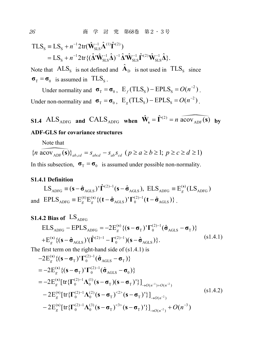$$
\begin{split} TLS_{\rm S} & \equiv LS_{\rm S} + n^{-1} 2 \text{tr}(\hat{\mathbf{W}}_{\rm SLS}^{-1} \hat{\mathbf{\Lambda}}^{(1)} \hat{\boldsymbol{\Gamma}}^{(2)}) \\ & = LS_{\rm S} + n^{-1} 2 \text{tr} \{ (\hat{\mathbf{\Delta}}^{\prime} \hat{\mathbf{W}}_{\rm SLS}^{-1} \hat{\mathbf{\Delta}})^{-1} \hat{\mathbf{\Delta}}^{\prime} \hat{\mathbf{W}}_{\rm SLS}^{-1} \hat{\boldsymbol{\Gamma}}^{(2)} \hat{\mathbf{W}}_{\rm SLS}^{-1} \hat{\mathbf{\Delta}} \}. \end{split}
$$

Note that  $ALS_{\rm s}$  is not defined and  $\hat{A}_{\rm p}$  is not used in  $TLS_{\rm s}$  since  $\sigma_{\rm T} = \sigma_{0}$  is assumed in TLS<sub>S</sub>.

Under normality and  $\sigma_{\rm T} = \sigma_{0}$ ,  $E_{f} (TLS_{\rm S}) - EPLS_{\rm S} = O(n^{-2})$ . Under non-normality and  $\sigma_T = \sigma_0$ ,  $E_g (TLS_s) - EPLS_s = O(n^{-2})$ .

**S1.4** ALS<sub>ADFG</sub> and CALS<sub>ADFG</sub> when  $\hat{\mathbf{W}}_s = \hat{\mathbf{\Gamma}}^{(2)} = n \widehat{a \text{cov}_{ADF}(s)}$  by **ADF-GLS for covariance structures**

Note that  
\n
$$
\{n \text{ acov}_{\text{ADF}}(\mathbf{s})\}_{ab,cd} = s_{abcd} - s_{ab} s_{cd} \ (p \ge a \ge b \ge 1; \ p \ge c \ge d \ge 1\}
$$

In this subsection,  $\sigma_T = \sigma_0$  is assumed under possible non-normality.

#### **S1.4.1 Definition**

$$
LS_{ADFG} \equiv (\mathbf{s} - \hat{\mathbf{\sigma}}_{AGLS})' \hat{\mathbf{\Gamma}}^{(2)-1} (\mathbf{s} - \hat{\mathbf{\sigma}}_{AGLS}), ELS_{ADFG} \equiv E_g^{(\mathbf{s})} (LS_{ADFG})
$$
  
and 
$$
EPLS_{ADFG} \equiv E_g^{(\mathbf{t})} E_g^{(\mathbf{s})} \{ (\mathbf{t} - \hat{\mathbf{\sigma}}_{AGLS})' \Gamma_0^{(2)-1} (\mathbf{t} - \hat{\mathbf{\sigma}}_{AGLS}) \}.
$$

### **S1.4.2 Bias of**  $LS$ <sub>ADFG</sub>

$$
\begin{aligned} \text{ELS}_{\text{ADFG}} - \text{EPLS}_{\text{ADFG}} &= -2E_g^{(s)} \{ (\mathbf{s} - \mathbf{\sigma}_{\text{T}})^{\mathsf{T}} \Gamma_0^{(2)-1} (\hat{\mathbf{\sigma}}_{\text{AGLS}} - \mathbf{\sigma}_{\text{T}}) \} \\ + E_g^{(s)} \{ (\mathbf{s} - \hat{\mathbf{\sigma}}_{\text{AGLS}})^{\mathsf{T}} (\hat{\boldsymbol{\Gamma}}^{(2)-1} - \boldsymbol{\Gamma}_0^{(2)-1}) (\mathbf{s} - \hat{\mathbf{\sigma}}_{\text{AGLS}}) \}. \end{aligned} \tag{s1.4.1}
$$

The first term on the right-hand side of (s1.4.1) is

$$
-2E_g^{(s)}\{(\mathbf{s}-\boldsymbol{\sigma}_{T})'\Gamma_0^{(2)-1}(\hat{\boldsymbol{\sigma}}_{AGLS}-\boldsymbol{\sigma}_{T})\}\n= -2E_g^{(s)}\{(\mathbf{s}-\boldsymbol{\sigma}_{T})'\Gamma_0^{(2)-1}(\hat{\boldsymbol{\sigma}}_{AGLS}-\boldsymbol{\sigma}_{0})\}\n= -2E_g^{(s)}[\text{tr}\{\Gamma_0^{(2)-1}\Lambda_0^{(1)}(\mathbf{s}-\boldsymbol{\sigma}_{T})(\mathbf{s}-\boldsymbol{\sigma}_{T})'\}]_{\rightarrow O(n^{-1})+O(n^{-2})}\n- 2E_g^{(s)}[\text{tr}\{\Gamma_0^{(2)-1}\Lambda_0^{(2)}(\mathbf{s}-\boldsymbol{\sigma}_{T})^{<2>}( \mathbf{s}-\boldsymbol{\sigma}_{T})'\}]_{\rightarrow O(n^{-2})}\n- 2E_g^{(s)}[\text{tr}\{\Gamma_0^{(2)-1}\Lambda_0^{(3)}(\mathbf{s}-\boldsymbol{\sigma}_{T})^{<3>}( \mathbf{s}-\boldsymbol{\sigma}_{T})'\}]_{\rightarrow O(n^{-2})}+O(n^{-3})
$$
\n(81.4.2)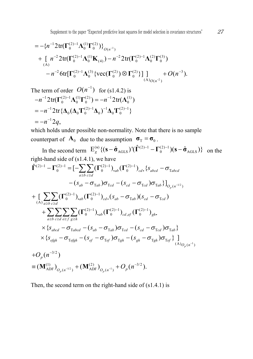$$
= -\{n^{-1}2\text{tr}(\Gamma_0^{(2)-1}\Lambda_0^{(1)}\Gamma_0^{(2)})\}_{O(n^{-1})}
$$
  
+ 
$$
[n^{-2}2\text{tr}(\Gamma_0^{(2)-1}\Lambda_0^{(1)}\mathbf{K}_{(4)}) - n^{-2}2\text{tr}(\Gamma_0^{(2)-1}\Lambda_0^{(2)}\Gamma_0^{(3)})
$$

$$
-n^{-2}6\text{tr}[\Gamma_0^{(2)-1}\Lambda_0^{(3)}\{\text{vec}(\Gamma_0^{(2)})\otimes\Gamma_0^{(2)}\}]\big]_{{\scriptstyle(\mathbf{A})}_{O(n^{-2})}} + O(n^{-3}).
$$

The term of order 
$$
O(n^{-1})
$$
 for (s1.4.2) is  
\n $-n^{-1}2tr(\Gamma_0^{(2)-1}\Lambda_0^{(1)}\Gamma_0^{(2)}) = -n^{-1}2tr(\Lambda_0^{(1)})$   
\n $= -n^{-1}2tr{\{\Lambda_0(\Lambda_0\Gamma_0^{(2)-1}\Lambda_0)^{-1}\Lambda_0\Gamma_0^{(2)-1}\}}$   
\n $= -n^{-1}2q,$ 

which holds under possible non-normality. Note that there is no sample counterpart of  $\mathbf{A}_0$  due to the assumption  $\mathbf{\sigma}_T = \mathbf{\sigma}_0$ .

In the second term  $\mathbf{E}_g^{(\mathbf{s})} \{ (\mathbf{s} - \hat{\boldsymbol{\sigma}}_{\text{AGLS}})^\dagger (\hat{\boldsymbol{\Gamma}}^{(2)-1} - \boldsymbol{\Gamma}_0^{(2)-1}) (\mathbf{s} - \hat{\boldsymbol{\sigma}}_{\text{AGLS}}) \}$  on the right-hand side of (s1.4.1), we have  $-(s_{ab}-\sigma_{\text{Tab}})\sigma_{\text{T}cd}-(s_{cd}-\sigma_{\text{T}cd})\sigma_{\text{Tab}}\} \big]_{O_p\left(n^{-1/2}\right)}$  $\hat{\Gamma}^{(2)-1} - \Gamma_0^{(2)-1} = \left[ - \sum_{a \ge b} \sum_{c \ge d} (\Gamma_0^{(2)-1})_{ab} (\Gamma_0^{(2)-1})_{cd} , \{ S_{abcd} - \sigma_{\text{Tabcd}} \} \right]$  $\sum_{(A)_{a\geq b}c\geq d}(\Gamma_0^{(2)-1})_{ab}(\Gamma_0^{(2)-1})_{cd}$ ,  $(s_{ab}-\sigma_{\text{Tab}})(s_{cd}-\sigma_{\text{Td}})$  $\sum_{c \geq d} \sum_{e \geq f} \sum_{g \geq h} (\Gamma_0^{(2)-1})_{\centerdot ab} (\Gamma_0^{(2)-1})_{cd, ej}$  $\mathbf{I}^{-1}-\mathbf{\Gamma}_0^{(2)-1}=[-\sum \sum (\mathbf{\Gamma}_0^{(2)-1})_{\bm{\cdot}ab}(\mathbf{\Gamma}_0^{(2)-1})_{\bm{\cdot}cd\bm{\cdot}}\{S_{abcd}-\bm{\sigma}_0\}$  $\int^{-1}$ )<sub>•ab</sub> $(\mathbf{\Gamma}_0^{(2)-1})_{cd}$ • $(s_{ab}-\sigma_{\mathrm{T}ab}) (s_{cd}-\sigma_{\mathrm{T}ab})$  $\geq b \ c \geq$  $\geq b$   $c \geq$  $-1$   $(1)^{-2}$  $\geq d$  e $\geq f$  g $\geq$  $\hat{\Gamma}^{(2)-1} - \Gamma_0^{(2)-1} = [-\sum \sum (\Gamma_0^{(2)-1})_{ab} (\Gamma_0^{(2)-1})_{cd} , \{s_{abcd} +\big[\sum_{(A)}\sum_{(B)}\sum_{(C)}(\Gamma_0^{(2)-1})_{ab}(\Gamma_0^{(2)-1})_{cd}$ ,  $(s_{ab}-\sigma_{\text{Tab}})(s_{cd}-\sigma_{\text{ind}})$  $+\sum\sum\sum\sum(\Gamma_{0}^{(2)-1})_{\boldsymbol{\boldsymbol{\cdot}} ab}(\Gamma$  $\sum_{a \geq b} \sum_{c \geq d} \sum_{e \geq f} \sum_{g \geq h} (\Gamma_0^{(2)-1})_{{\boldsymbol{\cdot}} ab} (\Gamma_0^{(2)-1})_{{\boldsymbol{\cdot}} cd, e\!f} (\Gamma_0^{(2)-1})_{{\boldsymbol{g}} ba}$  $\times \{ S_{abcd} - \sigma_{\text{Tabcd}} - (S_{ab} - \sigma_{\text{Tab}}) \sigma_{\text{Tcd}} - (S_{cd} - \sigma_{\text{Tcd}}) \sigma_{\text{Tab}} \}$ - $\sum_{a\geq b}\sum_{c\geq d}\sum_{e\geq f}\sum_{g\geq h}(\Gamma_0^{(2)-1})_{{\boldsymbol{\cdot}} ab}(\Gamma_0^{(2)-1})_{{\boldsymbol{\cdot}} cd, e\!f}(\Gamma_0^{(2)-1})_{{\boldsymbol{g}} h}.$ 

$$
\times \{s_{e\dot{g}h} - \sigma_{Tefgh} - (s_{ef} - \sigma_{Tef})\sigma_{Tgh} - (s_{gh} - \sigma_{Tgh})\sigma_{Tef}\}\Big]_{(A)_{O_p(n^{-1})}
$$
  
+ $O_p(n^{-3/2})$ 

$$
\equiv (\mathbf{M}_{\text{ADF}}^{(1)})_{O_p(n^{-1/2})} + (\mathbf{M}_{\text{ADF}}^{(2)})_{O_p(n^{-1})} + O_p(n^{-3/2}).
$$

Then, the second term on the right-hand side of (s1.4.1) is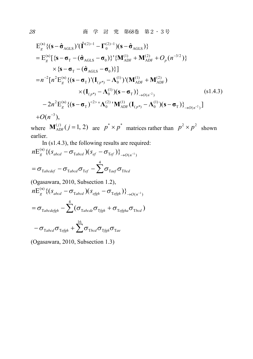$$
E_{g}^{(s)} \{ (\mathbf{s} - \hat{\sigma}_{AGLS})' (\hat{\mathbf{\Gamma}}^{(2)-1} - \mathbf{\Gamma}_{0}^{(2)-1}) (\mathbf{s} - \hat{\sigma}_{AGLS}) \}
$$
  
\n
$$
= E_{g}^{(s)} [\{ \mathbf{s} - \sigma_{T} - (\hat{\sigma}_{AGLS} - \sigma_{0}) \}^{\prime} \{ \mathbf{M}_{ADF}^{(1)} + \mathbf{M}_{ADF}^{(2)} + O_{p} (n^{-3/2}) \}
$$
  
\n
$$
\times \{ \mathbf{s} - \sigma_{T} - (\hat{\sigma}_{AGLS} - \sigma_{0}) \} ]
$$
  
\n
$$
= n^{-2} [n^{2} E_{g}^{(s)} \{ (\mathbf{s} - \sigma_{T})' (\mathbf{I}_{(p^{*})} - \mathbf{\Lambda}_{0}^{(1)})' (\mathbf{M}_{ADF}^{(1)} + \mathbf{M}_{ADF}^{(2)})
$$
  
\n
$$
\times (\mathbf{I}_{(p^{*})} - \mathbf{\Lambda}_{0}^{(1)}) (\mathbf{s} - \sigma_{T}) \} {S}_{\rightarrow O(n^{-2})} \qquad (s1.4.3)
$$
  
\n
$$
- 2n^{2} E_{g}^{(s)} \{ (\mathbf{s} - \sigma_{T})^{2} \{ \mathbf{\Lambda}_{0}^{(2)} \} \mathbf{M}_{ADF}^{(1)} (\mathbf{I}_{(p^{*})} - \mathbf{\Lambda}_{0}^{(1)}) (\mathbf{s} - \sigma_{T}) \} {S}_{\rightarrow O(n^{-2})} ]
$$
  
\n
$$
+ O(n^{-3}),
$$

where  $M_{ADF}^{(j)}(j=1, 2)$  are  $p^* \times p^*$  matrices rather than  $p^2 \times p^2$  shown earlier.

Lattice  
\nIn (s1.4.3), the following results are required:  
\n
$$
nE_g^{(s)} \{ (s_{abcd} - \sigma_{\text{Tabcd}})(s_{ef} - \sigma_{\text{Tef}}) \}_{\rightarrow O(n^{-1})}
$$
\n
$$
= \sigma_{\text{Tabcdef}} - \sigma_{\text{Tabcd}} \sigma_{\text{Tef}} - \sum_{\text{Taef}}^4 \sigma_{\text{Tbcd}}
$$
\n(Ogasawara, 2010, Subsection 1.2),  
\n
$$
nE_g^{(s)} \{ (s_{abcd} - \sigma_{\text{Tabcd}})(s_{efgh} - \sigma_{\text{Tefgh}}) \}_{\rightarrow O(n^{-1})}
$$

$$
= \sigma_{\text{Tabcdefgh}} - \sum_{i=1}^{4} (\sigma_{\text{Tabcde}} \sigma_{\text{Tfgh}} + \sigma_{\text{Tefgha}} \sigma_{\text{Tbcd}})
$$

$$
- \sigma_{\text{Tabcde}} \sigma_{\text{Tefgh}} + \sum_{i=1}^{16} \sigma_{\text{Tbcde}} \sigma_{\text{Tfgh}} \sigma_{\text{Tae}}
$$

(Ogasawara, 2010, Subsection 1.3)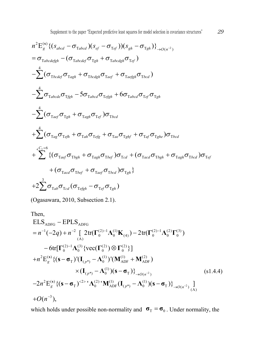$$
n^{2}E_{g}^{(s)}\{(s_{abcd}-\sigma_{\text{Tabcd}})(s_{ef}-\sigma_{\text{Tef}}))(s_{gh}-\sigma_{\text{Tgh}})\}_{\rightarrow O(n^{-2})}
$$
\n
$$
= \sigma_{\text{Tabcdef}} - (\sigma_{\text{Tabcdef}}\sigma_{\text{Tgh}} + \sigma_{\text{Tabcdef}}\sigma_{\text{Tef}})
$$
\n
$$
-\sum_{a}^{4} (\sigma_{\text{Tbedef}}\sigma_{\text{Tagh}} + \sigma_{\text{Tbcdgh}}\sigma_{\text{Taef}} + \sigma_{\text{Taefgh}}\sigma_{\text{Tbcd}})
$$
\n
$$
-\sum_{a}^{4} \sigma_{\text{Tabcdef}}\sigma_{\text{Tgh}} - 5\sigma_{\text{Tabcdef}}\sigma_{\text{Tefgh}} + 6\sigma_{\text{Tabcd}}\sigma_{\text{Tef}}\sigma_{\text{Tgh}}
$$
\n
$$
-\sum_{a}^{4} (\sigma_{\text{Taef}}\sigma_{\text{Tgh}} + \sigma_{\text{Tagh}}\sigma_{\text{Tef}})\sigma_{\text{Tbcd}}
$$
\n
$$
+\sum_{a}^{4} (\sigma_{\text{Tag}}\sigma_{\text{Tefh}} + \sigma_{\text{Tah}}\sigma_{\text{Tefg}} + \sigma_{\text{Tae}}\sigma_{\text{Tghf}} + \sigma_{\text{Taf}}\sigma_{\text{Tghe}})\sigma_{\text{Tbcd}}
$$
\n
$$
+\sum_{a}^{4} (\sigma_{\text{Taef}}\sigma_{\text{Tefh}} + \sigma_{\text{Tagh}}\sigma_{\text{Tbef}})\sigma_{\text{Tcd}} + (\sigma_{\text{Tacd}}\sigma_{\text{Tbgh}} + \sigma_{\text{Tagh}}\sigma_{\text{Tbcd}})\sigma_{\text{Tef}}
$$
\n
$$
+(\sigma_{\text{Tacd}}\sigma_{\text{Tbef}} + \sigma_{\text{Taef}}\sigma_{\text{Tbcd}})\sigma_{\text{Tgh}}\}
$$
\n
$$
+2\sum_{a}^{3} \sigma_{\text{Tab}}\sigma_{\text{Tcd}}(\sigma_{\text{Tefgh}} - \sigma_{\text{Tef}}\sigma_{\text{Tgh}})
$$

(Ogasawara, 2010, Subsection 2.1).

Then,  
\n
$$
ELS_{ADFG} - EPLS_{ADFG}
$$
\n
$$
= n^{-1}(-2q) + n^{-2} \left[ 2tr(\Gamma_0^{(2)-1}\Lambda_0^{(1)}K_{(4)}) - 2tr(\Gamma_0^{(2)-1}\Lambda_0^{(2)}\Gamma_0^{(3)}) - 6tr[\Gamma_0^{(2)-1}\Lambda_0^{(3)}\{vec(\Gamma_0^{(2)})\otimes \Gamma_0^{(2)}\}] + n^2 E_g^{(s)} \{ (s - \sigma_T)^t (I_{(p^*)} - \Lambda_0^{(1)})^t (M_{ADF}^{(1)} + M_{ADF}^{(2)}) + (I_{(p^*)} - \Lambda_0^{(1)}) (s - \sigma_T) \}^{3}{}_{\rightarrow O(n^{-2})} \qquad (s1.4.4)
$$
\n
$$
-2n^2 E_g^{(s)} \{ (s - \sigma_T)^{2} \}^{2} \Lambda_0^{(2)1} M_{ADF}^{(1)} (I_{(p^*)} - \Lambda_0^{(1)}) (s - \sigma_T) \}^{3}{}_{\rightarrow O(n^{-2})} \Big]
$$
\n
$$
+O(n^{-3}),
$$

which holds under possible non-normality and  $\sigma_T = \sigma_0$ . Under normality, the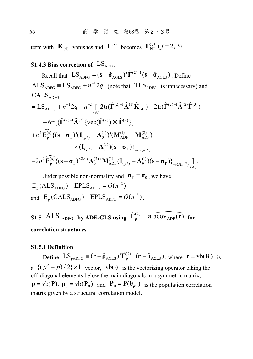30 商 学 討 究 第68巻 第2・3号

term with  $\mathbf{K}_{(4)}$  vanishes and  $\mathbf{\Gamma}_0^{(j)}$  becomes  $\mathbf{\Gamma}_{NT}^{(j)}$  ( $j = 2, 3$ ).

#### **S1.4.3 Bias correction of**  $LS_{ADEG}$

Recall that  $LS_{ADFG} = (\mathbf{s} - \hat{\mathbf{\sigma}}_{AGLS})' \hat{\mathbf{\Gamma}}^{(2)-1} (\mathbf{s} - \hat{\mathbf{\sigma}}_{AGLS})$ . Define  $\text{ALS}_{\text{APFG}} \equiv \text{LS}_{\text{APFG}} + n^{-1}2q$  (note that  $\text{TLS}_{\text{APFG}}$  is unnecessary) and  $\mathrm{CALS}_\mathrm{ADFG}$  $2 (2) 12 (2) (2)$ 

$$
=LS_{ADFG} + n^{-1}2q - n^{-2} \left[ 2tr(\hat{\mathbf{\Gamma}}^{(2)-1}\hat{\mathbf{\Lambda}}^{(1)}\hat{\mathbf{K}}_{(4)}) - 2tr(\hat{\mathbf{\Gamma}}^{(2)-1}\hat{\mathbf{\Lambda}}^{(2)}\hat{\mathbf{\Gamma}}^{(3)}) - 6tr[(\hat{\mathbf{\Gamma}}^{(2)-1}\hat{\mathbf{\Lambda}}^{(3)}\{\text{vec}(\hat{\mathbf{\Gamma}}^{(2)})\otimes \hat{\mathbf{\Gamma}}^{(2)}\}] + n^{2} \widehat{E_{g}}^{(s)} \{(\mathbf{s}-\boldsymbol{\sigma}_{T})'(\mathbf{I}_{(p^{*})}-\mathbf{\Lambda}_{0}^{(1)})'(\mathbf{M}_{ADF}^{(1)} + \mathbf{M}_{ADF}^{(2)}) + ((\mathbf{I}_{(p^{*})}-\mathbf{\Lambda}_{0}^{(1)})'(\mathbf{s}-\boldsymbol{\sigma}_{T})\}_{\rightarrow O(n^{-2})} - 2n^{2} \widehat{E_{g}}^{(s)} \{(\mathbf{s}-\boldsymbol{\sigma}_{T})^{2} - \mathbf{\Lambda}_{0}^{(2)}'\mathbf{M}_{ADF}^{(1)}(\mathbf{I}_{(p^{*})}-\mathbf{\Lambda}_{0}^{(1)})(\mathbf{s}-\boldsymbol{\sigma}_{T})\}_{\rightarrow O(n^{-2})}.
$$

Under possible non-normality and  $\sigma_T = \sigma_0$ , we have  $E_e$ (ALS<sub>ADFG</sub>) – EPLS<sub>ADFG</sub> =  $O(n^{-2})$ and  $E_g$  (CALS <sub>ADFG</sub>) – EPLS <sub>ADFG</sub> =  $O(n^{-3})$ .

**S1.5** ALS<sub>pADFG</sub> **by ADF-GLS using**  $\hat{\Gamma}_{\rho}^{(2)} = n \widehat{acov_{ADE}(\mathbf{r})}$  for **correlation structures**

#### **S1.5.1 Definition**

Define  $LS_{\rho ADFG} \equiv (\mathbf{r} - \hat{\rho}_{AGLS})' \hat{\mathbf{\Gamma}}_{\rho}^{(2)-1} (\mathbf{r} - \hat{\rho}_{AGLS})$ , where  $\mathbf{r} = \text{vb}(\mathbf{R})$  is a  $\{(p^2 - p)/2\} \times 1$  vector.  $vb(\cdot)$  is the vectorizing operator taking the off-diagonal elements below the main diagonals in a symmetric matrix,  $\rho = vb(P)$ ,  $\rho_0 = vb(P_0)$  and  $P_0 = P(\theta_0)$  is the population correlation matrix given by a structural correlation model.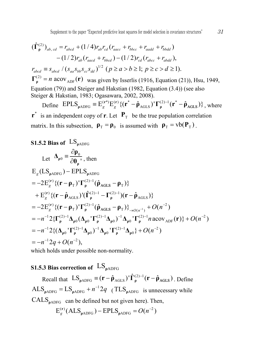$$
(\hat{\Gamma}_{\mathsf{p}}^{(2)})_{ab, cd} = r_{abcd} + (1/4)r_{ab}r_{cd}(r_{aacc} + r_{bbcc} + r_{aadd} + r_{bbdd})
$$
  
\n
$$
-(1/2)r_{ab}(r_{aacd} + r_{bbcd}) - (1/2)r_{cd}(r_{abcc} + r_{abdd}),
$$
  
\n
$$
r_{abcd} \equiv s_{abcd} / (s_{aa}s_{bb}s_{cc}s_{dd})^{1/2} (p \ge a > b \ge 1; p \ge c > d \ge 1).
$$
  
\n
$$
\Gamma_{\mathsf{p}}^{(2)} = n \text{ acov}_{ADE}(\mathbf{r}) \text{ was given by Isserlis (1916, Equation (21)), Hsu, 1949,}
$$
  
\nEquation (79)) and Steiger and Hakstian (1982, Equation (3.4)) (see also  
\nSteiger & Hakstian, 1983; Ogasawara, 2002, 2008).

Define  $EPLS_{\rho ADFG} \equiv E_g^{(\mathbf{r}^*)} E_g^{(\mathbf{r})} \{ (\mathbf{r}^* - \hat{\mathbf{\rho}}_{AGLS})^{\mathsf{T}} \Gamma_\rho^{(2)-1} (\mathbf{r}^* - \hat{\mathbf{\rho}}_{AGLS}) \}, \text{ where}$  $\mathbf{r}^*$  is an independent copy of **r**. Let  $\mathbf{P}_T$  be the true population correlation matrix. In this subsection,  $\rho_T = \rho_0$  is assumed with  $\rho_T = v b(P_T)$ .

### **S1.5.2 Bias of**  $\text{LS}_{\text{oADFG}}$

Let 
$$
\Delta_{\rho 0} = \frac{\partial \rho_0}{\partial \theta_{\rho}}
$$
, then  
\n $E_g (LS_{\rho ADFG}) - EPLS_{\rho ADFG}$   
\n $= -2E_g^{(r)} \{ (r - \rho_T)^T \Gamma_{\rho}^{(2)-1} (\hat{\rho}_{AGLS} - \rho_T) \}$   
\n $+ E_g^{(r)} \{ (r - \hat{\rho}_{AGLS})^T (\hat{\Gamma}_{\rho}^{(2)-1} - \Gamma_{\rho}^{(2)-1}) (r - \hat{\rho}_{AGLS}) \}$   
\n $= -2E_g^{(r)} \{ (r - \rho_T)^T \Gamma_{\rho}^{(2)-1} (\hat{\rho}_{AGLS} - \rho_T) \}_{\rightarrow O(n^{-1})} + O(n^{-2})$   
\n $= -n^{-1} 2 \{ \Gamma_{\rho}^{(2)-1} \Delta_{\rho 0} (\Delta_{\rho 0}^T \Gamma_{\rho}^{(2)-1} \Delta_{\rho 0})^{-1} \Delta_{\rho 0}^T \Gamma_{\rho}^{(2)-1} n a cov_{ADF}(r) \} + O(n^{-2})$   
\n $= -n^{-1} 2 \{ (\Delta_{\rho 0}^T \Gamma_{\rho}^{(2)-1} \Delta_{\rho 0})^{-1} \Delta_{\rho 0}^T \Gamma_{\rho}^{(2)-1} \Delta_{\rho 0} \} + O(n^{-2})$   
\n $= -n^{-1} 2q + O(n^{-2}),$   
\nwhich holds under possible non-normality

which holds under possible non-normality.

### **S1.5.3 Bias correction of**  $LS_{\text{oAPFG}}$

Recall that  $LS_{\rho ADFG} \equiv (\mathbf{r} - \hat{\rho}_{AGLS})' \hat{\Gamma}_{\rho}^{(2)-1} (\mathbf{r} - \hat{\rho}_{AGLS})$ . Define  $\text{ALS}_{\text{pADFG}} = \text{LS}_{\text{pADFG}} + n^{-1}2q$  (TLS<sub>pADFG</sub> is unnecessary while  $CALS<sub>oADFG</sub>$  can be defined but not given here). Then,

$$
E_g^{(r)}(ALS_{\rho ADFG}) - EPLS_{\rho ADFG} = O(n^{-2})
$$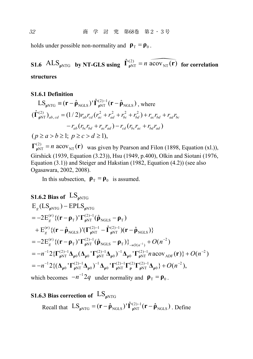holds under possible non-normality and  $\rho_{\text{T}} = \rho_{0}$ .

# **S1.6**  $\text{ALS}_{\text{pNTG}}$  **by NT-GLS using**  $\hat{\Gamma}_{\text{pNT}}^{(2)} = n \overbrace{\text{acov}_{\text{NT}}}(\mathbf{r})$  for correlation **structures**

#### **S1.6.1 Definition**

$$
LS_{\rho NTG} \equiv (\mathbf{r} - \hat{\mathbf{\rho}}_{NGLS})' \hat{\mathbf{\Gamma}}_{\rho NT}^{(2)-1} (\mathbf{r} - \hat{\mathbf{\rho}}_{NGLS}) \text{ , where}
$$
  
\n
$$
(\hat{\mathbf{\Gamma}}_{\rho NT}^{(2)})_{ab, cd} = (1/2) r_{ab} r_{cd} (r_{ac}^2 + r_{ad}^2 + r_{bc}^2 + r_{bd}^2) + r_{ac} r_{bd} + r_{ad} r_{bc}
$$
  
\n
$$
-r_{ab} (r_{bc} r_{bd} + r_{ac} r_{ad}) - r_{cd} (r_{bc} r_{ac} + r_{bd} r_{ad})
$$
  
\n
$$
(p \ge a > b \ge 1; \ p \ge c > d \ge 1),
$$

 $\Gamma_{\rho NT}^{(2)} = n \text{ acov}_{NT}(\mathbf{r})$  was given by Pearson and Filon (1898, Equation (xl.)), Girshick (1939, Equation (3.23)), Hsu (1949, p.400), Olkin and Siotani (1976, Equation (3.1)) and Steiger and Hakstian (1982, Equation (4.2)) (see also Ogasawara, 2002, 2008).

In this subsection,  $\rho_T = \rho_0$  is assumed.

### **S1.6.2 Bias of**  $LS_{\text{oNTG}}$  $2E_g^{(r)}\{({\bf r}-{\bf \rho}_{\rm T})^{\rm T}\Gamma_{\rm pNT}^{(2)-1}({\bf \hat{\rho}}_{\rm NGLS}-{\bf \rho}_{\rm T})\}_{\rightarrow O(n^{-1})}^{\rm T}+O(n^{-2})$  $E_g$ (LS<sub> $_{\rho NTG}$ ) – EPLS<sub> $_{\rho NTG}$ </sub></sub>  $2E_{g}^{(r)}\{({\bf r}-{\bf \bm {\rho}}_{\rm T})^{\bf \prime}{\bf \Gamma}^{(2)-1}_{{\bf \bm {\rho}}{\rm NT}}}(\hat{\bf \bm {\rho}}_{\rm NGLS}-{\bf \bm {\rho}}_{\rm T})$  $E_{g}^{(r)} \{ (\mathbf{r} - \hat{\mathbf{\rho}}_{\text{NGLS}})^\dagger (\Gamma_{\mathbf{\rho}NT}^{(2)-1} - \hat{\Gamma}_{\mathbf{\rho}NT}^{(2)-1}) (\mathbf{r} - \hat{\mathbf{\rho}}_{\text{NGLS}}) \}$  $\mathbf{p} = -2\mathbf{E}_g^{(\mathbf{r})}\{(\mathbf{r} - \mathbf{\rho}_T)^\mathsf{T}\mathbf{\Gamma}_{\mathbf{\rho}NT}^{(2)-1}(\hat{\mathbf{\rho}}_{\text{NGLS}} - \mathbf{\rho}_T)\}$  $\mathbf{F}_{\mathbf{g}}^{(\mathbf{r})} \{ (\mathbf{r} - \hat{\mathbf{\rho}}_{\text{NGLS}})^\dagger (\mathbf{\Gamma}_{\mathbf{\rho} \text{NT}}^{(2)-1} - \hat{\mathbf{\Gamma}}_{\mathbf{\rho} \text{NT}}^{(2)-1}) (\mathbf{r} - \hat{\mathbf{\rho}})$  $= -2E_g^{(r)}\{({\bf r} - {\bf p}_{\rm T})' {\bf \Gamma}_{\rho{\rm NT}}^{(2)-1}({\bf \hat{\rho}}_{\rm NGLS} - {\bf p}_{\rm T})\}_{\rightarrow O(n^{-1})} +$  $= -n^{-1} 2\{\Gamma^{(2)-1}_{\rho NT}\Delta_{\rho 0}(\Delta_{\rho 0}^{\dagger} \Gamma^{(2)-1}_{\rho NT}\Delta_{\rho 0}^{\dagger})^{-1}\Delta_{\rho 0}^{\dagger} \Gamma^{(2)-1}_{\rho NT} n \operatorname{acov}_{\text{ADF}}(\mathbf{r})\} + O(n^{-2})$  $= -n^{-1} 2\{(\Delta_{\rho 0} \cdot \mathbf{\Gamma}^{(2)-1}_{\rho NT} \Delta_{\rho 0})^{-1} \Delta_{\rho 0} \cdot \mathbf{\Gamma}^{(2)-1}_{\rho NT} \mathbf{\Gamma}^{(2)}_{\rho} \mathbf{\Gamma}^{(2)-1}_{\rho NT} \Delta_{\rho 0}\} + O(n^{-2}),$

which becomes  $-n^{-1}2q$  under normality and  $\mathbf{p}_T = \mathbf{p}_0$ .

### **S1.6.3 Bias correction of**  $\text{LS}_{\text{oNTG}}$

Recall that  $LS_{\rho NTG} = (\mathbf{r} - \hat{\rho}_{NGLS})' \hat{\mathbf{\Gamma}}_{\rho NT}^{(2)-1} (\mathbf{r} - \hat{\rho}_{NGLS})$ . Define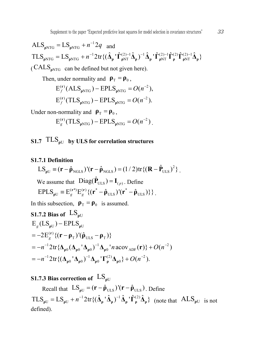$\text{ALS}_{\text{pNTG}} = \text{LS}_{\text{pNTG}} + n^{-1}2q$  and  $\text{TLS}_{\text{pNTG}} = \text{LS}_{\text{pNTG}} + n^{-1} 2 \text{tr} \{ (\hat{\Delta}_{\text{p}} \cdot \hat{\Gamma}_{\text{pNT}}^{(2)-1} \hat{\Delta}_{\text{p}} \}^{-1} \hat{\Delta}_{\text{p}} \cdot \hat{\Gamma}_{\text{pNT}}^{(2)-1} \hat{\Gamma}_{\text{p}}^{(2)} \hat{\Gamma}_{\text{pNT}}^{(2)-1} \hat{\Delta}_{\text{p}} \}$  $(CALS<sub>nNTG</sub>$  can be defined but not given here).

Then, under normality and  $\rho_T = \rho_0$ ,

$$
E_f^{(r)}(ALS_{\rho NTG}) - EPLS_{\rho NTG} = O(n^{-2}),
$$
  

$$
E_f^{(r)}(TLS_{\rho NTG}) - EPLS_{\rho NTG} = O(n^{-2}).
$$

Under non-normality and  $\rho_{\rm T} = \rho_0$ ,

$$
E_g^{(r)}(TLS_{\rho NTG}) - EPLS_{\rho NTG} = O(n^{-2}).
$$

### **S1.7**  $TLS<sub>oU</sub>$  **by ULS** for correlation structures

#### **S1.7.1 Definition**

$$
LS_{\rho U} \equiv (\mathbf{r} - \hat{\mathbf{\rho}}_{\text{NGLS}})'(\mathbf{r} - \hat{\mathbf{\rho}}_{\text{NGLS}}) = (1/2) \text{tr}\{(\mathbf{R} - \hat{\mathbf{P}}_{\text{ULS}})^2\}.
$$
  
We assume that 
$$
\text{Diag}(\hat{\mathbf{P}}_{\text{ULS}}) = \mathbf{I}_{(p)}.\text{ Define}
$$

$$
EPLS_{\rho U} \equiv E_g^{(\mathbf{r}^*)} E_g^{(\mathbf{r})} \{(\mathbf{r}^* - \hat{\mathbf{\rho}}_{\text{ULS}})'(\mathbf{r}^* - \hat{\mathbf{\rho}}_{\text{ULS}})\}\}.
$$

In this subsection,  $\rho_T = \rho_0$  is assumed.

**S1.7.2 Bias of** LS**<sup>ρ</sup>**<sup>U</sup> U U ( ) T ULS T 1 1 2 000 0 ADF 1 1 (2) 2 00 0 0 E (LS ) EPLS 2E {( ) '( )} ˆ 2tr{ ( ' ) ' acov ( )} ( ) 2tr{( ' ) ' } ( ). *g g n n O n n O n* **ρ ρ r ρ ρ ρ ρ ρ ρ ρ ρ ρ r ρ ρ ρ ΔΔΔ Δ r Δ Δ Δ ΓΔ**

### **S1.7.3 Bias** correction of  $LS_{\text{off}}$

Recall that  $LS_{\rho U} = (\mathbf{r} - \hat{\boldsymbol{\rho}}_{ULS})'(\mathbf{r} - \hat{\boldsymbol{\rho}}_{ULS})$ . Define  $TLS_{\rho U} = LS_{\rho U} + n^{-1} 2 \text{tr} \{ (\hat{\Delta}_{\rho} \, ' \hat{\Delta}_{\rho} )^{-1} \hat{\Delta}_{\rho} \, ' \hat{\Gamma}_{\rho}^{(2)} \hat{\Delta}_{\rho} \}$  (note that  $ALS_{\rho U}$  is not defined).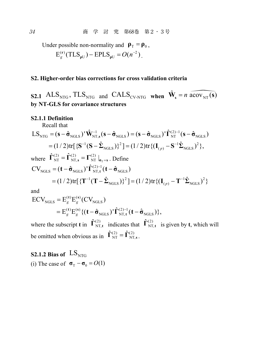Under possible non-normality and  $\rho_{\text{T}} = \rho_{0}$ ,  $E_g^{(r)}(TLS_{\rho U}) - EPLS_{\rho U} = O(n^{-2})$ .

#### **S2. Higher-order bias corrections for cross validation criteria**

**S2.1** ALS<sub>NTG</sub>, TLS<sub>NTG</sub> and CALS<sub>CV-NTG</sub> when  $\hat{\mathbf{W}}_s = n \widehat{\mathbf{acov}_{NT}(s)}$ **by NT-GLS for covariance structures**

#### **S2.1.1 Definition**

Recall that

$$
LS_{NTG} = (\mathbf{s} - \hat{\boldsymbol{\sigma}}_{NGLS})' \hat{\mathbf{W}}_{NT,s}^{-1} (\mathbf{s} - \hat{\boldsymbol{\sigma}}_{NGLS}) = (\mathbf{s} - \hat{\boldsymbol{\sigma}}_{NGLS})' \hat{\mathbf{\Gamma}}_{NT}^{(2)-1} (\mathbf{s} - \hat{\boldsymbol{\sigma}}_{NGLS})
$$
  
\n
$$
= (1/2) tr[ \{ \mathbf{S}^{-1} (\mathbf{S} - \hat{\boldsymbol{\Sigma}}_{NGLS}) \}^2] = (1/2) tr\{ (\mathbf{I}_{(p)} - \mathbf{S}^{-1} \hat{\boldsymbol{\Sigma}}_{NGLS})^2 \},
$$
  
\nwhere  $\hat{\boldsymbol{\Gamma}}_{NT}^{(2)} = \hat{\boldsymbol{\Gamma}}_{NT,s}^{(2)} = \boldsymbol{\Gamma}_{NT}^{(2)} |_{\boldsymbol{\sigma}_T = \mathbf{s}}$ . Define  
\n
$$
CV_{NGLS} = (\mathbf{t} - \hat{\boldsymbol{\sigma}}_{NGLS})' \hat{\boldsymbol{\Gamma}}_{NT,t}^{(2)-1} (\mathbf{t} - \hat{\boldsymbol{\sigma}}_{NGLS})
$$

$$
= (1/2) tr[ \{ T^{-1} (T - \hat{\Sigma}_{NGLS}) \}^2 ] = (1/2) tr \{ (I_{(p)} - T^{-1} \hat{\Sigma}_{NGLS})^2 \}
$$

and

$$
ECV_{NGLS} = E_g^{(t)} E_g^{(s)} (CV_{NGLS})
$$
  
= 
$$
E_g^{(t)} E_g^{(s)} \{ (t - \hat{\sigma}_{NGLS})' \hat{\Gamma}_{NT,t}^{(2)-1} (t - \hat{\sigma}_{NGLS}) \},
$$

where the subscript **t** in  $\hat{\mathbf{\Gamma}}_{NT,t}^{(2)}$  indicates that  $\hat{\mathbf{\Gamma}}_{NT,t}^{(2)}$  is given by **t**, which will be omitted when obvious as in  $\hat{\mathbf{\Gamma}}_{\text{NT}}^{(2)} = \hat{\mathbf{\Gamma}}_{\text{NT},s}^{(2)}$ .

**S2.1.2 Bias of**  $LS_{NTG}$ (i) The case of  $\sigma_{\rm T} - \sigma_{\rm 0} = O(1)$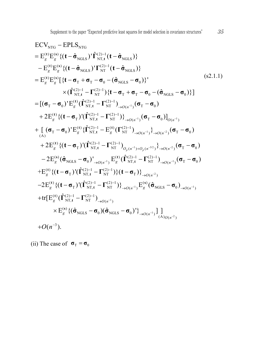ECV<sub>NTG</sub> – EPLS<sub>NTG</sub>  
\n= E<sup>(t)</sup><sub>g</sub>E<sup>(s)</sup><sub>g</sub> {(t – 
$$
\hat{\sigma}_{NGLS}
$$
)'Γ<sup>(2)-1</sup><sub>NT</sub> (t –  $\hat{\sigma}_{NGLS}$ )}  
\n- E<sup>(t)</sup><sub>g</sub>E<sup>(s)</sup><sub>g</sub> {(t –  $\hat{\sigma}_{NGLS}$ )'Γ<sup>(2)-1</sup><sub>NT</sub> (t –  $\hat{\sigma}_{NGLS}$ )}  
\n= E<sup>(t)</sup><sub>g</sub>E<sup>(s)</sup><sub>g</sub> [(t –  $\sigma_{T} + \sigma_{T} - \sigma_{0} - (\hat{\sigma}_{NGLS} - \sigma_{0})$ )}  
\n× (Γ<sup>(2)-1</sup><sub>NT</sub> – Γ<sup>(2)-1</sup><sub>NT</sub>) {t –  $\sigma_{T} + \sigma_{T} - \sigma_{0} - (\hat{\sigma}_{NGLS} - \sigma_{0})$ }]  
\n= [( $\sigma_{T} - \sigma_{0}$ )' E<sup>(t)</sup><sub>g</sub> (Γ<sup>(2)-1</sup><sub>NT</sub> – Γ<sup>(2)-1</sup><sub>NT</sub>)<sub>→O(n<sup>-1</sup></sub>) ( $\sigma_{T} - \sigma_{0}$ )  
\n+ 2E<sup>(t)</sup><sub>g</sub> {(t –  $\sigma_{T}$ )' (Γ<sup>(2)-1</sup><sub>NT</sub> – Γ<sup>(2)-1</sup><sub>NT</sub>)<sub>→O(n<sup>-1</sup></sub>) ( $\sigma_{T} - \sigma_{0}$ )]<sub>O(n<sup>-1</sup></sub>)  
\n+ [( $\sigma_{T} - \sigma_{0}$ )' E<sup>(t)</sup><sub>g</sub> {Γ<sup>(2)-1</sup><sub>NT</sub> – Γ<sup>(2)-1</sup><sub>NT</sub>)<sub>→O(n<sup>-1</sup></sub>)<sub>→O(n<sup>-1</sup></sub>)<sub>→O(n<sup>-2</sup></sub>) ( $\sigma_{T} - \sigma_{0}$ )  
\n+ 2E<sup>(t)</sup><sub>g</sub> {(t –  $\sigma_{T}$ )' (Γ<sup>(2)-1</sup><sub>NT</sub> – Γ<sup>(2)-1</sup><sub>NT</sub>)<sub>→O(n<sup>-1</sup></sub>)<sub>→O(n</sub>

(ii) The case of  $\sigma_T = \sigma_0$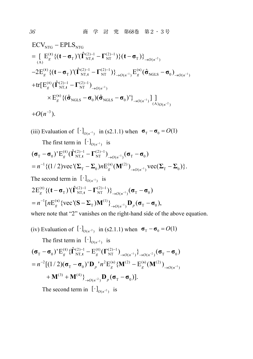$$
\begin{split}\n& \mathbf{ECV}_{NTG} - \mathbf{EPLS}_{NTG} \\
&= \left[ \mathbf{E}_{g}^{(t)} \{ (\mathbf{t} - \mathbf{\sigma}_{T})' (\hat{\mathbf{\Gamma}}_{NT,t}^{(2)-1} - \mathbf{\Gamma}_{NT}^{(2)-1}) \} (\mathbf{t} - \mathbf{\sigma}_{T}) \right]_{\to O(n^{-2})} \\
&- 2\mathbf{E}_{g}^{(t)} \{ (\mathbf{t} - \mathbf{\sigma}_{T})' (\hat{\mathbf{\Gamma}}_{NT,t}^{(2)-1} - \mathbf{\Gamma}_{NT}^{(2)-1}) \}_{\to O(n^{-1})} \mathbf{E}_{g}^{(s)} (\hat{\mathbf{\sigma}}_{NGLS} - \mathbf{\sigma}_{0})_{\to O(n^{-1})} \\
& + \text{tr}[\mathbf{E}_{g}^{(t)} (\hat{\mathbf{\Gamma}}_{NT,t}^{(2)-1} - \mathbf{\Gamma}_{NT}^{(2)-1})_{\to O(n^{-1})} \\
& \times \mathbf{E}_{g}^{(s)} \{ (\hat{\mathbf{\sigma}}_{NGLS} - \mathbf{\sigma}_{0}) (\hat{\mathbf{\sigma}}_{NGLS} - \mathbf{\sigma}_{0})' \}_{\to O(n^{-1})} ] \big]_{(A)_{O(n^{-2})}} \\
& + O(n^{-3}).\n\end{split}
$$

(iii) Evaluation of 
$$
[\cdot]_{O(n^{-1})}
$$
 in (s2.1.1) when  $\sigma_{\text{T}} - \sigma_0 = O(1)$   
\nThe first term in  $[\cdot]_{O(n^{-1})}$  is  
\n $(\sigma_{\text{T}} - \sigma_0)^{\dagger} E_g^{(t)} (\hat{\Gamma}_{NT,t}^{(2)-1} - \Gamma_{NT}^{(2)-1}) \rightarrow_{O(n^{-1})} (\sigma_{\text{T}} - \sigma_0)$   
\n $= n^{-1} \{(1/2) \text{vec}^{\dagger} (\Sigma_{\text{T}} - \Sigma_0) n E_g^{(s)} (\mathbf{M}^{(2)}) \rightarrow_{O(n^{-1})} \text{vec}(\Sigma_{\text{T}} - \Sigma_0) \}.$   
\nThe second term in  $[\cdot]_{O(n^{-1})}$  is  
\n $2E_g^{(t)} \{(t - \sigma_{\text{T}})^{\dagger} (\hat{\Gamma}_{NT,t}^{(2)-1} - \Gamma_{NT}^{(2)-1})\} \rightarrow_{O(n^{-1})} (\sigma_{\text{T}} - \sigma_0)$   
\n $= n^{-1} [n E_g^{(s)} \{\text{vec}^{\dagger} (\mathbf{S} - \Sigma_{\text{T}}) \mathbf{M}^{(1)}\} \rightarrow_{O(n^{-1})} \mathbf{D}_p (\sigma_{\text{T}} - \sigma_0),$   
\nwhere note that "2" vanishes on the right-hand side of the above equation.

(iv) Evaluation of 
$$
[\cdot]_{O(n^{-2})}
$$
 in (s2.1.1) when  $\sigma_{T} - \sigma_{0} = O(1)$   
\nThe first term in  $[\cdot]_{O(n^{-2})}$  is  
\n
$$
(\sigma_{T} - \sigma_{0})' E_{g}^{(t)} \{ \hat{\mathbf{\Gamma}}_{NT,t}^{(2)-1} - E_{g}^{(t)} (\mathbf{\Gamma}_{NT}^{(2)-1})_{\rightarrow O(n^{-1})} \}_{\rightarrow O(n^{-2})} (\sigma_{T} - \sigma_{0})
$$
\n
$$
= n^{-2} [(1/2) (\sigma_{T} - \sigma_{0})' \mathbf{D}_{p} ' n^{2} E_{g}^{(s)} \{ \mathbf{M}^{(2)} - E_{g}^{(s)} (\mathbf{M}^{(2)})_{\rightarrow O(n^{-1})} + \mathbf{M}^{(3)} + \mathbf{M}^{(4)} \}_{\rightarrow O(n^{-2})} \mathbf{D}_{p} (\sigma_{T} - \sigma_{0})].
$$
\nThe second term in  $[\cdot]_{O(n^{-2})}$  is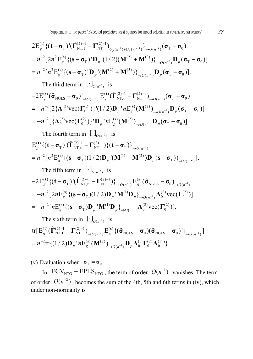$$
2E_g^{(t)}\{(\mathbf{t}-\mathbf{\sigma}_{T})'(\hat{\mathbf{\Gamma}}_{NT,t}^{(2)-1}-\mathbf{\Gamma}_{NT}^{(2)-1})_{O_p(n^{-1})+O_p(n^{-3/2})}\}_{\to O(n^{-2})}(\mathbf{\sigma}_{T}-\mathbf{\sigma}_{0})
$$
  
= $n^{-2}\left[2n^2E_g^{(s)}\{(s-\mathbf{\sigma}_{T})'D_p'(1/2)(\mathbf{M}^{(2)}+\mathbf{M}^{(3)})\}_{\to O(n^{-2})}D_p(\mathbf{\sigma}_{T}-\mathbf{\sigma}_{0})\right]$   
= $n^{-2}\left[n^2E_g^{(s)}\{(s-\mathbf{\sigma}_{T})'D_p'( \mathbf{M}^{(2)}+\mathbf{M}^{(3)})\}_{\to O(n^{-2})}D_p(\mathbf{\sigma}_{T}-\mathbf{\sigma}_{0})\right].$ 

The third term in  $\left[ \cdot \right]_{O(n^{-2})}$  is

$$
-2E_g^{(s)}(\hat{\sigma}_{\text{NGLS}} - \sigma_0)'_{\rightarrow O(n^{-1})} E_g^{(t)}(\hat{\Gamma}_{\text{NT},t}^{(2)-1} - \Gamma_{\text{NT}}^{(2)-1})_{\rightarrow O(n^{-1})} (\sigma_{\text{T}} - \sigma_0)
$$
  
= 
$$
-n^{-2} [2 {\{\Lambda_0^{(2)} \text{vec}(\Gamma_0^{(2)})\}}'(1/2) \mathbf{D}_p' n E_g^{(s)}(\mathbf{M}^{(2)})_{\rightarrow O(n^{-1})} \mathbf{D}_p (\sigma_{\text{T}} - \sigma_0)]
$$
  
= 
$$
-n^{-2} [\{\Lambda_0^{(2)} \text{vec}(\Gamma_0^{(2)})\}'] \mathbf{D}_p' n E_g^{(s)}(\mathbf{M}^{(2)})_{\rightarrow O(n^{-1})} \mathbf{D}_p (\sigma_{\text{T}} - \sigma_0)]
$$

The fourth term in  $\left[\cdot\right]_{O(n^{-2})}$  is  $\mathbf{E}_{g}^{(\mathbf{t})} \{ (\mathbf{t} - \mathbf{\sigma}_{\mathrm{T}})^\mathbf{t} (\hat{\mathbf{\Gamma}}_{\mathrm{NT},\mathbf{t}}^{(2)-1} - \mathbf{\Gamma}_{\mathrm{NT}}^{(2)-1}) \} (\mathbf{t} - \mathbf{\sigma}_{\mathrm{T}}) \}_{\rightarrow O(n^{-2})}$  $n^{-2} [n^2 \mathcal{E}_g^{(s)} \{ (\mathbf{s} - \mathbf{\sigma}_T)(1/2) \mathbf{D}_p^{\mathsf{T}} (\mathbf{M}^{(1)} + \mathbf{M}^{(2)}) \mathbf{D}_p^{\mathsf{T}} (\mathbf{s} - \mathbf{\sigma}_T) \}_{\rightarrow O(n^{-2})}].$ **t**)  $\{(\mathbf{t} - \mathbf{\sigma}_{\mathrm{T}}) (\hat{\mathbf{\Gamma}}_{\mathrm{NT},\mathbf{t}}^{(2)-1} - \mathbf{\Gamma}_{\mathrm{NT}}^{(2)-1})\}(\mathbf{t} - \mathbf{\sigma}_{\mathrm{T}})\}_\rightarrow$  $= n^{-2} [n^2 E_g^{(s)} \{ (\mathbf{s} - \mathbf{\sigma}_{T})(1/2) \mathbf{D}_p^{\mathsf{T}} (\mathbf{M}^{(1)} + \mathbf{M}^{(2)}) \mathbf{D}_p (\mathbf{s} - \mathbf{\sigma}_{T}) \}_{\rightarrow}$ 

The fifth term in  $\left[ \cdot \right]_{O(n^{-2})}$  is

$$
-2E_g^{(t)}\{(t-\sigma_T)^{\prime}(\hat{\Gamma}_{NT,t}^{(2)-1}-\Gamma_{NT}^{(2)-1})\}_{\rightarrow O(n^{-1})}E_g^{(s)}(\hat{\sigma}_{NGLS}-\sigma_0)_{\rightarrow O(n^{-1})}
$$
  
=
$$
-n^{-2}\left[2nE_g^{(s)}\{(s-\sigma_T)(1/2)D_p^{\prime}M^{(1)}D_p\}_{\rightarrow O(n^{-1})}\Lambda_0^{(2)}\text{vec}(\Gamma_0^{(2)})\right]
$$
  
=
$$
-n^{-2}\left[nE_g^{(s)}\{(s-\sigma_T)D_p^{\prime}M^{(1)}D_p\}_{\rightarrow O(n^{-1})}\Lambda_0^{(2)}\text{vec}(\Gamma_0^{(2)})\right].
$$

The sixth term in  $\left[\cdot\right]_{O(n^{-2})}$  is  $tr[E_g^{(t)}(\hat{\Gamma}_{NT,t}^{(2)-1}-\Gamma_{NT}^{(2)-1})_{\to O(n^{-1})}E_g^{(s)}\{(\hat{\sigma}_{NGLS}-\sigma_0)(\hat{\sigma}_{NGLS}-\sigma_0)\}\_{\to O(n^{-1})}]$  $n^{-2}\text{tr}\{(1/2)\mathbf{D}_{p}^{-\prime}n\text{E}^{(\mathbf{s})}_{g}(\mathbf{M}^{(2)})_{\rightarrow O(n^{-1})}\mathbf{D}_{p}\boldsymbol{\Lambda}^{(1)}_{0}\boldsymbol{\Gamma}^{(2)}_{0}\boldsymbol{\Lambda}^{(1)}_{0}^{-\prime}\}.$  $\left(\hat{\mathbf{\Gamma}}_{\mathrm{NT},\mathbf{t}}^{(2)-1} - \mathbf{\Gamma}_{\mathrm{NT}}^{(2)-1}\right)_{\rightarrow O(n^{-1})} \mathrm{E}_g^{(\mathbf{s})}\{(\hat{\boldsymbol{\sigma}}_{\mathrm{NGLS}} - \boldsymbol{\sigma}_0)(\hat{\boldsymbol{\sigma}}_{\mathrm{NGLS}} - \boldsymbol{\sigma}_0)^{\mathsf{T}}\}_{\rightarrow}$  $= n^{-2} \text{tr} \{ (1/2) \mathbf{D}_p \, {}^{\mathsf{T}} n \text{E}_g^{(\rm \bf{s})} (\mathbf{M}^{(2)})_{\rightarrow O(n^{-1})} \mathbf{D}_p \boldsymbol{\Lambda}_0^{(1)} \boldsymbol{\Gamma}_0^{(2)} \boldsymbol{\Lambda}_0 \}$ 

(v) Evaluation when  $\sigma_{\text{T}} = \sigma_0$ 

In  $ECV_{NTG} - EPLS_{NTG}$ , the term of order  $O(n^{-1})$  vanishes. The term of order  $O(n^{-2})$  becomes the sum of the 4th, 5th and 6th terms in (iv), which under non-normality is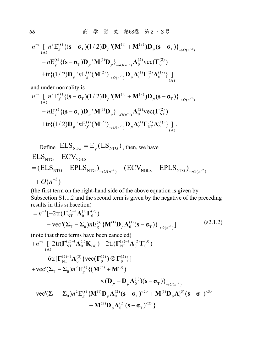38 **商 学 討 究 第68巻 第2・3号** 

$$
n^{-2} \left[ n^{2} E_{g}^{(s)} \{ (\mathbf{s} - \mathbf{\sigma}_{T})(1/2) \mathbf{D}_{p} (\mathbf{M}^{(1)} + \mathbf{M}^{(2)}) \mathbf{D}_{p} (\mathbf{s} - \mathbf{\sigma}_{T}) \} \right]_{\rightarrow O(n^{-2})}
$$
  
- n E<sub>g</sub><sup>(s)</sup> \{( \mathbf{s} - \mathbf{\sigma}\_{T}) \mathbf{D}\_{p} ^{\top} \mathbf{M}^{(1)} \mathbf{D}\_{p} \} \_{\rightarrow O(n^{-1})} \Lambda\_{0}^{(2)} \text{vec}(\mathbf{\Gamma}\_{0}^{(2)})  
+ \text{tr} \{(1/2) \mathbf{D}\_{p} ^{\top} n E\_{g}^{(s)} (\mathbf{M}^{(2)})\_{\rightarrow O(n^{-1})} \mathbf{D}\_{p} \Lambda\_{0}^{(1)} \Gamma\_{0}^{(2)} \Lambda\_{0}^{(1)} \} \Big]\_{(A)}

and under normality is

$$
n^{-2} \left[ n^{2} E_{f}^{(s)} \{ (\mathbf{s} - \mathbf{\sigma}_{T})(1/2) \mathbf{D}_{p} (\mathbf{M}^{(1)} + \mathbf{M}^{(2)}) \mathbf{D}_{p} (\mathbf{s} - \mathbf{\sigma}_{T}) \} \right]_{\rightarrow O(n^{-2})}
$$
  
- n E\_{f}^{(s)} \{ (\mathbf{s} - \mathbf{\sigma}\_{T}) \mathbf{D}\_{p} (\mathbf{M}^{(1)} \mathbf{D}\_{p} \} \_{\rightarrow O(n^{-1})} \Lambda\_{0}^{(2)} vec(\Gamma\_{NT}^{(2)})  
+ tr \{ (1/2) \mathbf{D}\_{p} (\mathbf{M}^{(s)} (\mathbf{M}^{(2)})\_{\rightarrow O(n^{-1})} \mathbf{D}\_{p} \Lambda\_{0}^{(1)} \Gamma\_{NT}^{(2)} \Lambda\_{0}^{(1)} \} \Big] .

Define 
$$
ELS_{NTG} = E_g (LS_{NTG})
$$
, then, we have  $ELS_{NTG} - ECV_{NGLS}$  $= (ELS_{NTG} - EPLS_{NTG})_{\rightarrow O(n^{-2})} - (ECV_{NGLS} - EPLS_{NTG})_{\rightarrow O(n^{-2})} + O(n^{-3})$ 

(the first term on the right-hand side of the above equation is given by Subsection S1.1.2 and the second term is given by the negative of the preceding results in this subsection)

$$
= n^{-1} \left[ -2 \text{tr}(\mathbf{\Gamma}_{\text{NT}}^{(2)-1} \mathbf{\Lambda}_0^{(1)} \mathbf{\Gamma}_0^{(2)}) - \text{vec}(\mathbf{\Sigma}_{\text{T}} - \mathbf{\Sigma}_0) n \mathbf{E}_g^{(s)} \{ \mathbf{M}^{(1)} \mathbf{D}_p \mathbf{\Lambda}_0^{(1)} (\mathbf{s} - \mathbf{\sigma}_{\text{T}}) \}_{\rightarrow O(n^{-1})} \right]
$$
(s2.1.2)

(note that three terms have been canceled)  $+n^{-2}\int\limits_{(A)}2\text{tr}(\bm{\Gamma}_{NT}^{(2)-1}\bm{\Lambda}_{0}^{(1)}\mathbf{K}_{(4)})-2\text{tr}(\bm{\Gamma}_{NT}^{(2)-1}\bm{\Lambda}_{0}^{(2)}\bm{\Gamma}_{0}^{(3)})$  $-6 \text{tr}[\Gamma^{(2)-1}_{\text{NT}} \Lambda^{(3)}_{0} \{\text{vec}(\Gamma^{(2)}_{0}) \otimes \Gamma^{(2)}_{0}\}]$  $\times (\mathbf{D}_{p} - \mathbf{D}_{p} \Lambda_{0}^{(1)}) (\mathbf{s} - \mathbf{\sigma}_{T})\}_{\rightarrow O(n^{-2})}$  $+$ **vec'**( $\Sigma_{\text{T}}$  –  $\Sigma_{0}$ )n<sup>2</sup>E<sup>(s)</sup><sub>g</sub> {( $\mathbf{M}^{(2)}$  +  $\mathbf{M}^{(3)}$ )  $-$  vec'( $\Sigma_{\text{T}} - \Sigma_{0}$ )n<sup>2</sup> $\text{E}^{\text{(s)}}_{g} \{ \mathbf{M}^{(1)} \mathbf{D}_{p} \Lambda_{0}^{(2)} (\mathbf{s} - \mathbf{\sigma}_{\text{T}})^{<2>} + \mathbf{M}^{(1)} \mathbf{D}_{p} \Lambda_{0}^{(3)} (\mathbf{s} - \mathbf{\sigma}_{\text{T}})^{<3>}$  $^{(2)}D_p\Lambda_0^{(2)}(s-\sigma_T)^{<2>}\}$  $+{\bf M}^{(2)}{\bf D}_n{\bf \Lambda}_0^{(2)}({\bf s}-{\bf \sigma}_{\rm T})^{<2>}\$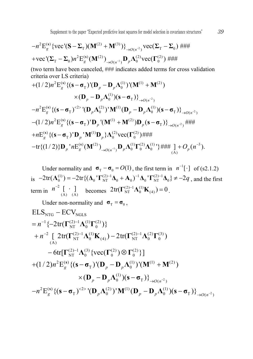Supplement to the paper "Expected predictive least squares for model selection in covariance structures"  $39$ 

$$
-n^{2} \mathcal{E}_{g}^{(s)} \{ \text{vec}(\mathbf{S} - \mathbf{\Sigma}_{T}) (\mathbf{M}^{(2)} + \mathbf{M}^{(3)}) \}_{\rightarrow O(n^{-2})} \text{vec}(\mathbf{\Sigma}_{T} - \mathbf{\Sigma}_{0}) \# \text{HH}
$$
  
+vec"(\mathbf{\Sigma}\_{T} - \mathbf{\Sigma}\_{0}) n^{2} \mathcal{E}\_{g}^{(s)} (\mathbf{M}^{(2)})\_{\rightarrow O(n^{-1})} \mathbf{D}\_{p} \Lambda\_{0}^{(2)} \text{vec}(\mathbf{\Gamma}\_{0}^{(2)}) \# \text{HH}

(two term have been canceled, ### indicates added terms for cross validation criteria over LS criteria)

+
$$
(1/2)n^2 E_g^{(s)} \{ (s - \sigma_T)^t (\mathbf{D}_p - \mathbf{D}_p \Lambda_0^{(1)})^t (\mathbf{M}^{(1)} + \mathbf{M}^{(2)})
$$
  
\n $\times (\mathbf{D}_p - \mathbf{D}_p \Lambda_0^{(1)}) (s - \sigma_T) \}^{\to}_{\to O(n^{-2})}$   
\n $-n^2 E_g^{(s)} \{ (s - \sigma_T)^{2} \}^t (\mathbf{D}_p \Lambda_0^{(2)})^t \mathbf{M}^{(1)} (\mathbf{D}_p - \mathbf{D}_p \Lambda_0^{(1)}) (s - \sigma_T) \}^{\to}_{\to O(n^{-2})}$   
\n $-(1/2)n^2 E_g^{(s)} \{ (s - \sigma_T)^t \mathbf{D}_p^t (\mathbf{M}^{(1)} + \mathbf{M}^{(2)}) \mathbf{D}_p (s - \sigma_T) \}^{\to}_{\to O(n^{-2})} \}$   
\n+ $n E_g^{(s)} \{ (s - \sigma_T)^t \mathbf{D}_p^t \mathbf{M}^{(1)} \mathbf{D}_p \} \Lambda_0^{(2)} \text{vec}(\Gamma_0^{(2)}) \}$   
\n+ $n \{ (1/2) \} \mathbf{D}_p^t n E_g^{(s)} (\mathbf{M}^{(2)})^{\to}_{\to O(n^{-1})} \mathbf{D}_p \Lambda_0^{(1)} \Gamma_0^{(2)} \Lambda_0^{(1)} \} \$   
\n+ $n \{ (1/2) \} \mathbf{D}_p^t n E_g^{(s)} (\mathbf{M}^{(2)})^{\to}_{\to O(n^{-1})} \mathbf{D}_p \Lambda_0^{(1)} \Gamma_0^{(2)} \Lambda_0^{(1)} \} + \$   
\n+ $n \{ (1/2) \} \mathbf{D}_p^t n E_g^{(s)} (\mathbf{M}^{(2)})^{\to}_{\to O(n^{-1})} \mathbf{D}_p \Lambda_0^{(1)} \Gamma_0^{(2)} \Lambda_0^{(1)} \} + \$ 

Under normality and  $\sigma_T - \sigma_0 = O(1)$ , the first term in  $n^{-1}[\cdot]$  of (s2.1.2) is  $-2\text{tr}(\mathbf{\Lambda}_0^{(1)}) = -2\text{tr}\{(\mathbf{\Lambda}_0 \cdot \mathbf{\Gamma}_{NT}^{(2)-1} \mathbf{\Lambda}_0 + \mathbf{A}_0\})^{-1} \mathbf{\Lambda}_0 \cdot \mathbf{\Gamma}_{NT}^{(2)-1} \mathbf{\Lambda}_0\} \neq -2q$ , and the first term in  $n^{-2} \left[ \begin{array}{cc} 1 \\ (A) \end{array} \right]$  becomes  $2 \text{tr}(\mathbf{\Gamma}_{NT}^{(2)-1} \mathbf{\Lambda}_0^{(1)} \mathbf{K}_{(4)}) = 0$ .

Under non-normality and  $\sigma_T = \sigma_0$ ,

NTG NGLS 1 (2) 1 (1) (2) NT 0 0 2 (2) 1 (1) (2) 1 (2) (3) NT 0 (4) NT 0 0 (A) (2) 1 (3) (2) (2) NT 0 0 0 2 () (1) (1) (2) T 0 (1) 0 T ELS ECV { 2tr( )} [ 2tr( ) 2tr( ) 6tr[ {vec( ) }] (1/ 2) E {( ) '( ) '( ) ( )( )} *g p p p p n n n* **s Γ ΛΓ Γ ΛΚ Γ ΛΓ ΓΛ Γ Γ s σ D D ΛMM D D Λ sσ** <sup>2</sup> 2 ( ) 2 () 2 (2) (1) (1) <sup>T</sup> <sup>0</sup> <sup>0</sup> <sup>T</sup> ( ) E {( ) '( ) ' ( )( )} *O n <sup>g</sup> <sup>p</sup> p p O n n* **<sup>s</sup> s σ D Λ M D DΛ s σ**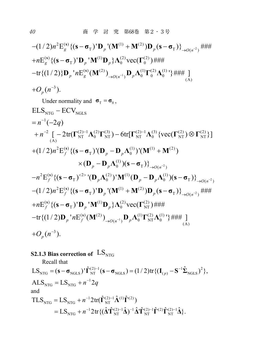$$
-(1/2)n^{2}E_{g}^{(s)}\{(\mathbf{s}-\sigma_{T})^{T}\mathbf{D}_{p}^{T}(\mathbf{M}^{(1)}+\mathbf{M}^{(2)})\mathbf{D}_{p}(\mathbf{s}-\sigma_{T})\}_{\rightarrow O(n^{-2})} + \mathcal{H}^{(2)}\{(\mathbf{s}-\sigma_{T})^{T}\mathbf{D}_{p}^{T}\mathbf{M}^{(1)}\mathbf{D}_{p}\}A_{0}^{(2)}\text{vec}(\mathbf{\Gamma}_{0}^{(2)}) + \mathcal{H}^{(2)}\{(\mathbf{s}-\sigma_{T})^{T}\mathbf{D}_{p}^{T}\mathbf{M}^{(1)}\mathbf{D}_{p}\}A_{0}^{(2)}\text{vec}(\mathbf{\Gamma}_{0}^{(2)}) + \mathcal{H}^{(2)}\{(\mathbf{M})^{T}\}A_{0}^{(1)}\} + \mathcal{H}_{(A)}^{T}A_{0}^{T}A_{0}^{T}A_{0}^{T}A_{0}^{T}A_{0}^{T}A_{0}^{T}A_{0}^{T}A_{0}^{T}A_{0}^{T}A_{0}^{T}A_{0}^{T}A_{0}^{T}A_{0}^{T}A_{0}^{T}A_{0}^{T}A_{0}^{T}A_{0}^{T}A_{0}^{T}A_{0}^{T}A_{0}^{T}A_{0}^{T}A_{0}^{T}A_{0}^{T}A_{0}^{T}A_{0}^{T}A_{0}^{T}A_{0}^{T}A_{0}^{T}A_{0}^{T}A_{0}^{T}A_{0}^{T}A_{0}^{T}A_{0}^{T}A_{0}^{T}A_{0}^{T}A_{0}^{T}A_{0}^{T}A_{0}^{T}A_{0}^{T}A_{0}^{T}A_{0}^{T}A_{0}^{T}A_{0}^{T}A_{0}^{T}A_{0}^{T}A_{0}^{T}A_{0}^{T}A_{0}^{T}A_{0}^{T}A_{0}^{T}A_{0}^{T}A_{0}^{T}A_{0}^{T}A_{0}^{T}A_{0}^{T}A_{0}^{T}A_{0}^{T}A_{0}^{T}A_{0}^{T}A_{0}^{T}A_{0}^{T}A_{0}^{T}A_{0}^{T}A_{0}^{T}A_{0}^{T}A_{0}^{T}A_{0}
$$

Under normality and  $\sigma_T = \sigma_0$ ,

ELS<sub>NTG</sub> − ECV<sub>NGLS</sub>  
\n= n<sup>-1</sup>(-2q)  
\n+ n<sup>-2</sup> [ −2tr(
$$
\Gamma_{NT}^{(2)-1}\Lambda_0^{(2)}\Gamma_{NT}^{(3)}
$$
) − 6tr[ $\Gamma_{NT}^{(2)-1}\Lambda_0^{(3)}$  {vec( $\Gamma_{NT}^{(2)}$ ) ⊗  $\Gamma_{NT}^{(2)}$  }]  
\n+(1/2)n<sup>2</sup>E<sup>(s)</sup><sub>f</sub> {( $\mathbf{s}-\sigma_T$ )'(D<sub>p</sub> − D<sub>p</sub>Λ<sup>(1)</sup><sub>0</sub>)'(M<sup>(1)</sup> + M<sup>(2)</sup>)  
\n× (D<sub>p</sub> − D<sub>p</sub>Λ<sup>(1)</sup><sub>0</sub>) (s − σ<sub>T</sub>)}<sub>→o(n<sup>-2</sup>)  
\n- n<sup>2</sup>E<sup>(s)</sup><sub>f</sub> {( $\mathbf{s}-\sigma_T$ )<sup>-2></sup> '(D<sub>p</sub>Λ<sup>(2)</sup><sub>0</sub>)'M<sup>(1)</sup>(D<sub>p</sub> − D<sub>p</sub>Λ<sup>(1)</sup><sub>0</sub>) (s − σ<sub>T</sub>)}<sub>→o(n<sup>-2</sup>)  
\n-(1/2)n<sup>2</sup>E<sup>(s)</sup><sub>f</sub> {( $\mathbf{s}-\sigma_T$ )'D<sub>p</sub> '(M<sup>(1)</sup> + M<sup>(2)</sup>)D<sub>p</sub>(s − σ<sub>T</sub>)}<sub>→o(n<sup>-2</sup>)</sub>  
\n+ nE<sup>(s)</sup><sub>f</sub> {( $\mathbf{s}-\sigma_T$ )'D<sub>p</sub> 'M<sup>(1)</sup>D<sub>p</sub>}Λ<sup>(2)</sup><sub>0</sub>vec( $\Gamma_{NT}^{(2)}$ )#*##*  
\n- tr{(1/2)D<sub>p</sub>' nE<sup>(s)</sup><sub>f</sub> (M<sup>(2)</sup>)<sub>→o(n<sup>-1</sup>)</sub>D<sub>p</sub>Λ<sup>(1)</sup><sub>0</sub>Γ<sup>(2)</sup><sub>NT</sub>Λ<sup>(1)</sup><sub>0</sub> +*##* ]  
\n+ O<sub>p</sub>(n<sup>-3</sup>).</sub></sub>

### **S2.1.3 Bias correction of**  $LS_{NTG}$

Recall that  $\text{LS}_{\text{NTG}} = (\mathbf{s} - \mathbf{\sigma}_{\text{NGLS}}) \cdot \hat{\mathbf{\Gamma}}_{\text{NT}}^{(2)-1} (\mathbf{s} - \mathbf{\sigma}_{\text{NGLS}}) = (1/2) \text{tr} \{ (\mathbf{I}_{(p)} - \mathbf{S}^{-1} \hat{\boldsymbol{\Sigma}}_{\text{NGLS}})^2 \},$  $\text{ALS}_{\text{NTG}} = \text{LS}_{\text{NTG}} + n^{-1}2q$  $= (\mathbf{s} - \mathbf{\sigma}_{\text{NGLS}}) \cdot \hat{\mathbf{\Gamma}}_{\text{NT}}^{(2)-1} (\mathbf{s} - \mathbf{\sigma}_{\text{NGLS}}) = (1/2) \text{tr} \{ (\mathbf{I}_{(p)} - \mathbf{S}^{-1} \hat{\boldsymbol{\Sigma}})$ and  $\text{TLS}_{\text{NTG}} = \text{LS}_{\text{NTG}} + n^{-1} 2 \text{tr}(\hat{\boldsymbol{\Gamma}}_{\text{NT}}^{(2)-1} \hat{\boldsymbol{\Lambda}}^{(1)} \hat{\boldsymbol{\Gamma}}^{(2)})$  $=LS_{\text{NTG}} + n^{-1}2\text{tr}\{(\hat{\mathbf{\Delta}}\hat{\mathbf{T}}_{\text{NT}}^{(2)-1}\hat{\mathbf{\Delta}})^{-1}\hat{\mathbf{\Delta}}\hat{\mathbf{T}}_{\text{NT}}^{(2)-1}\hat{\mathbf{\Gamma}}^{(2)}\hat{\mathbf{\Gamma}}_{\text{NT}}^{(2)-1}\hat{\mathbf{\Delta}}\}.$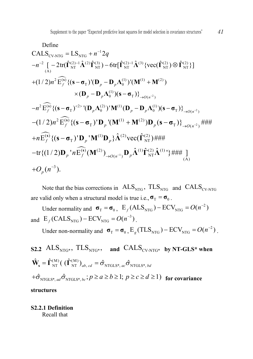Define  
\nCALS<sub>CV-NTG</sub> = LS<sub>NTG</sub> + n<sup>-1</sup>2q  
\n-n<sup>-2</sup> [ -2tr(
$$
\hat{\mathbf{\Gamma}}_{NT}^{(2)-1} \hat{\mathbf{\Lambda}}^{(2)} \hat{\mathbf{\Gamma}}_{NT}^{(3)} ) - 6tr[\hat{\mathbf{\Gamma}}_{NT}^{(2)-1} \hat{\mathbf{\Lambda}}^{(3)} \{ vec(\hat{\mathbf{\Gamma}}_{NT}^{(2)}) \otimes \hat{\mathbf{\Gamma}}_{NT}^{(2)} \} ]\n+ (1/2)n2 Ef(s) { (s-σT )'(Dp - DpΛ0(1) )'(M(1) + M(2) )\n× (Dp - DpΛ0(1) ) (s-σT )}→O(n-2)\n-n2 Ef(s) { (s-σT)-2  $\cdot$  (D<sub>p</sub>Λ<sub>0</sub><sup>(2)</sup> )'M<sup>(1)</sup> (D<sub>p</sub> - D<sub>p</sub>Λ<sub>0</sub><sup>(1)</sup> ) (s-σ<sub>T</sub> )}<sub>→O(n<sup>-2</sup>)  
\n- (1/2)n<sup>2</sup> E<sub>f</sub><sup>(s)</sup> { (s-σ<sub>T</sub>)' D<sub>p</sub> ' (M<sup>(1)</sup> + M<sup>(2)</sup>) D<sub>p</sub> (s-σ<sub>T</sub> )}<sub>→O(n<sup>-2</sup>)</sub> ###  
\n+n E<sub>f</sub><sup>(s)</sup> { (s-σ<sub>T</sub>)' D<sub>p</sub> 'M<sup>(1)</sup> D<sub>p</sub>}λ<sup>(2)</sup> vec( $\hat{\mathbf{\Gamma}}_{NT}^{(2)}$ ) ###  
\n-tr{ (1/2)D<sub>p</sub> 'n E<sub>f</sub><sup>(s)</sup> (M<sup>(2)</sup>)<sub>→O(n<sup>-1</sup>)</sub> D<sub>p</sub>λ<sup>(1)</sup>  $\hat{\mathbf{\Gamma}}_{NT}^{(2)}$ λ<sup>(1)</sup>  $\} ## #  
\n$</sub>
$$

Note that the bias corrections in  $\text{ALS}_{NTG}$ ,  $\text{TLS}_{NTG}$  and  $\text{CALS}_{\text{CV-NTG}}$ are valid only when a structural model is true i.e.,  $\sigma_T = \sigma_0$ .

Under normality and  $\sigma_{\text{T}} = \sigma_{0}$ ,  $E_{f} (ALS_{NTG}) - ECV_{NTG} = O(n^{-2})$ and  $E_f(CALS<sub>NTG</sub>) - ECV<sub>NTG</sub> = O(n<sup>-3</sup>)$ .

Under non-normality and  $\sigma_{\text{T}} = \sigma_{0}$ ,  $E_{g} (TLS_{NTG}) - ECV_{NTG} = O(n^{-2})$ .

**S2.2** ALS $_{NTG^*}$ , TLS $_{NTG^*}$ , and CALS<sub>CV-NTG\*</sub> by NT-GLS\* when  $\hat{\mathbf{W}}_{\mathbf{s}} = \hat{\mathbf{\Gamma}}_{\mathrm{NT}}^{(\mathrm{M})} \big( \; (\hat{\mathbf{\Gamma}}_{\mathrm{NT}}^{(\mathrm{M})} )_{ab, \; cd} = \hat{\sigma}_{\mathrm{NTGLS^*, \;ac}} \hat{\sigma}_{\mathrm{NTGLS^*, \;bd}}$  $+\hat{\sigma}_{\text{NTGI S*}} \hat{\sigma}_{\text{NTGI S*}}$   $\hat{\sigma}_{\text{NTGI S*}}$   $p \ge a \ge b \ge 1$ ;  $p \ge c \ge d \ge 1$ ) for covariance **structures**

**S2.2.1 Definition** Recall that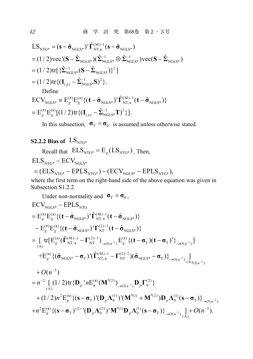$$
LS_{NTG^*} = (\mathbf{s} - \hat{\sigma}_{NGLS^*})' \hat{\mathbf{\Gamma}}_{NT,s}^{(M)-1} (\mathbf{s} - \hat{\sigma}_{NGLS^*})
$$
  
\n
$$
= (1/2) \text{vec}^{\prime} (\mathbf{S} - \hat{\boldsymbol{\Sigma}}_{NGLS^*}) (\hat{\boldsymbol{\Sigma}}_{NGLS^*}^{-1} \otimes \hat{\boldsymbol{\Sigma}}_{NGLS^*}^{-1}) \text{vec} (\mathbf{S} - \hat{\boldsymbol{\Sigma}}_{NGLS^*})
$$
  
\n
$$
= (1/2) \text{tr} [\{\hat{\boldsymbol{\Sigma}}_{NGLS^*}^{-1} (\mathbf{S} - \hat{\boldsymbol{\Sigma}}_{NGLS^*})\}^2]
$$
  
\n
$$
= (1/2) \text{tr} \{(\mathbf{I}_{(p)} - \hat{\boldsymbol{\Sigma}}_{NGLS^*}^{-1} \mathbf{S})^2\}.
$$
  
\nDefine  
\n
$$
ECV_{NGLS^*} = E_g^{(t)} E_g^{(s)} \{(\mathbf{t} - \hat{\boldsymbol{\sigma}}_{NGLS^*})' \hat{\mathbf{\Gamma}}_{NT,s}^{(M)-1} (\mathbf{t} - \hat{\boldsymbol{\sigma}}_{NGLS^*})\}
$$
  
\n
$$
= E_g^{(t)} E_g^{(s)} [(1/2) \text{tr} \{(\mathbf{I}_{(p)} - \hat{\boldsymbol{\Sigma}}_{NGLS^*}^{-1} \mathbf{T})^2\}].
$$

In this subsection,  $\sigma_T = \sigma_0$  is assumed unless otherwise stated.

### **S2.2.2 Bias of**  $LS_{NTG*}$

Recall that  $\text{ELS}_{\text{NTG*}} = E_g(LS_{\text{NTG*}})$ . Then,

 $\mathrm{ELS}_{\mathrm{NTG^*}}$  –  $\mathrm{ECV}_{\mathrm{NGLS^*}}$ 

$$
= (ELSNTG* - EPLSNTG*) - (ECVNGLS* - EPLSNTG*),
$$

where the first term on the right-hand side of the above equation was given in Subsection S1.2.2.

Under non-normality and  $\sigma_T = \sigma_0$ ,  $\left[\text{tr}\left[\text{E}_{g}^{(\rm{s})}(\hat{\Gamma}_{\rm{NT},\,s}^{(\rm{M})-1}-\Gamma_{\rm{NT}}^{(2)-1})\right]_{\rightarrow O(n^{-1})}\text{E}_{g}^{(\rm{t})}\left\{(\textbf{t}-\boldsymbol{\sigma}_{\rm{T}})(\textbf{t}-\boldsymbol{\sigma}_{\rm{T}})^{\rm{T}}\right\}_{\rightarrow O(n^{-1})}\right]$  $\mathrm{ECV}_{\mathrm{NGLS^*}} - \mathrm{EPLS}_{\mathrm{NTG}}$  $\mathrm{E}^{(\mathrm{t})}_g \mathrm{E}^{(\mathrm{s})}_g \{(\mathrm{t}-\hat{\sigma}_{\mathrm{NGLS^*}})^{\mathrm{\scriptscriptstyle T}}\hat{\mathbf{\Gamma}}^{(\mathrm{M})\mathrm{-l}}_{\mathrm{NT},\,\mathrm{s}}(\mathrm{t}-\hat{\sigma}_{\mathrm{NGLS^*}})\}$  $\mathrm{E_g^{(t)}E_g^{(s)}} \{(\mathbf{t}-\mathbf{\hat{\sigma}}_{\rm NGLS^*})'\mathbf{\Gamma}_{\rm NT}^{(2)-1}(\mathbf{t}-\mathbf{\hat{\sigma}}_{\rm NGLS^*})\}$  $+ E_g^{(s)} \{ (\hat{\sigma}_{\text{NGLS}*} - \sigma_{\text{T}}) (\hat{\Gamma}_{\text{NT}, s}^{(\text{M})-1} - \Gamma_{\text{NT}}^{(2)-1}) (\hat{\sigma}_{\text{NGLS}*} - \sigma_{\text{T}}) \}_{\rightarrow O(n^{-2})}$  $t = \mathrm{E}_g^{(\mathbf{t})} \mathrm{E}_g^{(\mathbf{s})} \{ (\mathbf{t} - \hat{\mathbf{\sigma}}_{\mathrm{NGLS}^*})^{\mathbf{t}} \hat{\mathbf{\Gamma}}_{\mathrm{NT},\,\mathbf{s}}^{(\mathrm{M})-1} (\mathbf{t} - \hat{\mathbf{\sigma}})$  $\mathbf{E}_{\varrho}^{(\mathbf{t})}\mathbf{E}_{\varrho}^{(\mathbf{s})}\{(\mathbf{t}-\hat{\boldsymbol{\sigma}}_{\mathrm{NGLS^*}})^{\intercal}\mathbf{\Gamma}_{\mathrm{NT}}^{(2)-1}(\mathbf{t}-\hat{\boldsymbol{\sigma}})$  $=\int_{\mathbb{R}^3} tr[E_g^{(s)}(\hat{\Gamma}_{NT,s}^{(M)-1}-\Gamma_{NT}^{(2)-1})_{\to O(n^{-1})}E_g^{(t)}\{(t-\sigma_T)(t-\sigma_T)^{\dagger}\}_{\to 0}$  $\frac{(M)-1}{NT, s} - \Gamma_{NT}^{(2)-1} \big) (\hat{\sigma}_{NGLS^*} - \sigma_T) \Big\}$ <sub> $\rightarrow O(n^{-2}) \frac{1}{(A)_{O(n^{-2})}}$ </sub>  $+O(n^{-3})$  $O(n^{-2})$  **d**  $(O(n^{-2}))$  $-1$   $\Gamma(2)$  $\mathbf{F}_{\mathrm{s}}^{-1} - \mathbf{\Gamma}_{\mathrm{NT}}^{(2)-1}$ ) $(\hat{\mathbf{\sigma}}_{\mathrm{NGLS^*}} - \mathbf{\sigma}_{\mathrm{T}})\}$  $n^{-2} \left[ \left( 1/2 \right) \text{tr} \{ \mathbf{D}_p^{-1} n \text{E}_g^{(\textbf{s})} (\mathbf{M}^{*(2)})_{\rightarrow O(n^{-1})} \mathbf{D}_p \boldsymbol{\Gamma}_0^{(2)} \} \right]$  $= n^{-2} \left[ (1/2) \text{tr} \{ \mathbf{D}_p \, {}^{'}n \text{E}_g^{(s)} (\mathbf{M}^{*(2)})_{\rightarrow O(n^{-1})} \mathbf{D}_p \Gamma \right]$ 

+
$$
(1/2)n^2 E_g^{(s)} \{ (\mathbf{s} - \boldsymbol{\sigma}_T)^{\dagger} (\mathbf{D}_p \boldsymbol{\Lambda}_0^{(1)})^{\dagger} (\mathbf{M}^{*(1)} + \mathbf{M}^{*(2)}) \mathbf{D}_p \boldsymbol{\Lambda}_0^{(1)} (\mathbf{s} - \boldsymbol{\sigma}_T) \}^{3}
$$
  
+ $n^2 E_g^{(s)} \{ (\mathbf{s} - \boldsymbol{\sigma}_T)^{2} \{ (\mathbf{D}_p \boldsymbol{\Lambda}_0^{(2)})^{\dagger} \mathbf{M}^{*(1)} \mathbf{D}_p \boldsymbol{\Lambda}_0^{(1)} (\mathbf{s} - \boldsymbol{\sigma}_T) \}^{3}$   
+ $0(n^{-3}).$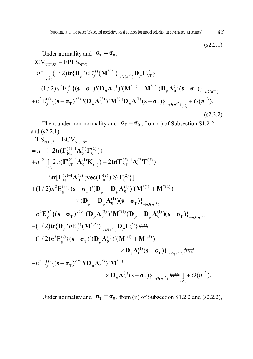$$
(s2.2.1)
$$
  
\nUnder normality and  $\sigma_{T} = \sigma_{0}$ ,  
\nECV<sub>NGLS\*</sub> – EPLS<sub>NTG</sub>  
\n
$$
= n^{-2} \left[ (1/2) tr {D_{p}}^{\dagger} n E_{f}^{(s)} (M^{*(2)})_{\rightarrow O(n^{-1})} D_{p} \Gamma_{NT}^{(2)} \right]
$$
\n+ (1/2)*n*<sup>2</sup> E<sub>f</sub><sup>(s)</sup> {(s - σ<sub>T</sub>)<sup>'</sup> (D<sub>p</sub>Λ<sub>0</sub><sup>(1)</sup>)<sup>'</sup> (M<sup>\*(1)</sup> + M<sup>\*(2)</sup>)D<sub>p</sub>Λ<sub>0</sub><sup>(1)</sup> (s - σ<sub>T</sub>)<sup>2</sup><sub>\rightarrow O(n^{-2})</sub>  
\n+ n<sup>2</sup>E<sub>f</sub><sup>(s)</sup> {(s - σ<sub>T</sub>)<sup>(2)</sup><sup>'</sup> (D<sub>p</sub>Λ<sub>0</sub><sup>(2)</sup>)<sup>'</sup>M<sup>\*(1)</sup>D<sub>p</sub>Λ<sub>0</sub><sup>(1)</sup> (s - σ<sub>T</sub>)<sup>2</sup><sub>\rightarrow O(n^{-2})</sub> (A)<sup>2</sup>)} (s2.2.2)

Then, under non-normality and  $\sigma_T = \sigma_0$ , from (i) of Subsection S1.2.2 and (s2.2.1),

NTG\* NGLS\* 1 (2) 1 (1) (2) NT 0 0 2 (2) 1 (1) (2) 1 (2) (3) NT 0 (4) NT 0 0 (A) (2) 1 (3) (2) (2) NT 0 0 0 2 () (1) \*(1) \*(2) T 0 (1) 0 ELS ECV { 2tr( )} [ 2tr( ) 2tr( ) 6tr[ {vec( ) }] (1/ 2) E {( ) '( ) '( ) ( )( *g p p p p n n n* **s Γ ΛΓ Γ ΛΚ Γ ΛΓ ΓΛ Γ Γ s σ D D ΛM M D D Λ s** <sup>2</sup> T ( ) 2 () 2 (2) \*(1) (1) T 0 0 T ( ) )} E {( ) '( ) ' ( )( )} *O n <sup>g</sup> <sup>p</sup> p p O n n* **<sup>s</sup> σ s σ D Λ M D DΛ s σ** 1 2 2 ( ) \*(2) (2) ( ) 0 2 () (1) \*(1) \*(2) T 0 (1) 0 T ( ) 2 () 2 (2) \*(1) T 0 (1) 3 0 T ( ) (A) (1/ 2)tr{ ' E ( ) }### (1/ 2) E {( ) '( ) '( ) ( )} ### E {( ) '( ) ' ( )} ### ] ( ). *p g O n p g p p O n g p p O n n n n O n* **s s s DM D Γ s σ D ΛM M D Λ sσ s σ D Λ M D Λ sσ**

Under normality and  $\sigma_T = \sigma_0$ , from (ii) of Subsection S1.2.2 and (s2.2.2),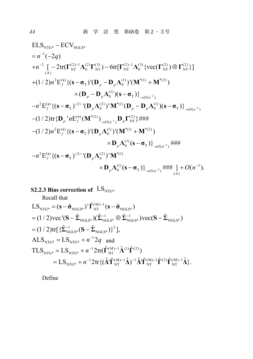2 NTG\* NGLS\* 1 2 (2) 1 (2) (3) (2) 1 (3) (2) (2) NT 0 NT NT 0 NT NT (A) 2 () (1) \*(1) \*( 2) T 0 (1) 0 T ( ) ELS ECV (2) [ 2tr( ) 6tr[ {vec( ) }] (1/ 2) E {( ) '( ) '( ) ( )( )} *f p p p p O n n q n n* **s Γ ΛΓ Γ Λ Γ Γ s σ D D ΛM M D D Λ sσ** 2 1 2 2 () 2 (2) \*(1) (1) T 0 0 T ( ) ( ) \*(2) (2) ( ) NT 2 () (1) \*(1) \*(2) T 0 (1) 0 T ( ) 2 () 2 (2) T 0 E {( ) '( ) ' ( )( )} (1/ 2)tr{ ' E ( ) }### (1/ 2) E {( ) '( ) '( ) ( )} ### E {( ) '( *f p p p O n p f O n p f p p O n f p n n n n* **s s s s s σ D Λ M D DΛ s σ DM D Γ s σ D ΛM M D Λ sσ s σ D Λ** 2 \*(1) (1) 3 0 T ( ) (A) ) ' ( )} ### ] ( ). *<sup>p</sup> O n O n* **M D Λ sσ**

### **S2.2.3 Bias correction of**  $LS_{NTG^*}$

Recall that

$$
LS_{NTG^*} = (\mathbf{s} - \hat{\sigma}_{NGLS^*})' \hat{\mathbf{\Gamma}}_{NT}^{(M)-1} (\mathbf{s} - \hat{\sigma}_{NGLS^*})
$$
  
\n= (1/2)vec'(\mathbf{S} - \hat{\boldsymbol{\Sigma}}\_{NGLS^\*}) (\hat{\boldsymbol{\Sigma}}\_{NGLS^\*}^{-1} \otimes \hat{\boldsymbol{\Sigma}}\_{NGLS^\*}^{-1})vec(\mathbf{S} - \hat{\boldsymbol{\Sigma}}\_{NGLS^\*})  
\n= (1/2)tr[{ $\hat{\boldsymbol{\Sigma}}_{NGLS^*}^{-1} (\mathbf{S} - \hat{\boldsymbol{\Sigma}}_{NGLS^*})$ }<sup>2</sup>],  
\nALS<sub>NTG\*</sub> = LS<sub>NTG\*</sub> + n<sup>-1</sup>2q and  
\nTLS<sub>NTG\*</sub> = LS<sub>NTG\*</sub> + n<sup>-1</sup>2tr( $\hat{\mathbf{\Gamma}}_{NT}^{(M)-1} \hat{\mathbf{\Lambda}}^{(1)} \hat{\mathbf{\Gamma}}^{(2)})$   
\n= LS<sub>NTG\*</sub> + n<sup>-1</sup>2tr{ $(\hat{\mathbf{\Lambda}} \hat{\mathbf{T}}_{NT}^{(M)-1} \hat{\mathbf{\Lambda}})^{-1} \hat{\mathbf{\Lambda}} \hat{\mathbf{T}}_{NT}^{(M)-1} \hat{\mathbf{\Gamma}}^{(2)} \hat{\mathbf{\Gamma}}_{NT}^{(M)-1} \hat{\mathbf{\Lambda}}$  }.

Define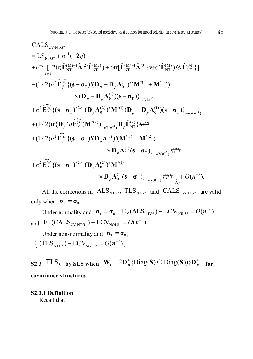CALS<sub>CV-NTG\*</sub>  
\n= LS<sub>NTG\*</sub> + n<sup>-1</sup>(-2q)  
\n+n<sup>-2</sup> [ 2tr(
$$
\hat{\mathbf{\Gamma}}_{NT}^{(M)-1}\hat{\mathbf{\Lambda}}^{(2)}\hat{\mathbf{\Gamma}}_{NT}^{(M3)}) + 6tr[\hat{\mathbf{\Gamma}}_{NT}^{(M)-1}\hat{\mathbf{\Lambda}}^{(3)} \{vec(\mathbf{\Gamma}}_{NT}^{(M)}) ⊗ \hat{\mathbf{\Gamma}}_{NT}^{(M)} \} ]\n-(1/2)n2 Ef(s) { (s-σT)'(Dp - DpΛ0(1))'(M*(1) + M*(2) )\n× (Dp - DpΛ0(1))(s-σT)}→o(n-2)\n+n2 Ef(s) { (s-σT)-2> (DpΛ0(2))'M*(1) (Dp - DpΛ0(1))(s-σT)}→o(n-2)\n+(1/2)tr{Dp1 n Ef(s) (M*(2))→o(n-1) Dp  $\hat{\mathbf{\Gamma}}_{NT}^{(2)}$ } ###  
\n+(1/2)n<sup>2</sup> E<sub>f</sub><sup>(s)</sup> { (s-σ<sub>T</sub>)'(D<sub>p</sub>Λ<sub>0</sub><sup>(1)</sup>)'(M<sup>*</sup>(1) + M<sup>*</sup>(2) )  
\n× D<sub>p</sub>Λ<sub>0</sub><sup>(1)</sup> (s-σ<sub>T</sub>)}<sub>→o(n<sup>-2</sup>)</sub> ###  
\n+n<sup>2</sup> E<sub>f</sub><sup>(s)</sup> { (s-σ<sub>T</sub>)<sup>-2></sup> (D<sub>p</sub>Λ<sub>0</sub><sup>(2)</sup>)' M<sup>*</sup>(1)   
\n× D<sub>p</sub>Λ<sub>0</sub>
$$

All the corrections in  $ALS_{NTG^*}$ ,  $TLS_{NTG^*}$  and  $CALS_{CV-NTG^*}$  are valid only when  $\sigma_T = \sigma_0$ .

Under normality and  $\sigma_{\text{T}} = \sigma_{0}$ ,  $E_f(\text{ALS}_{\text{NTG*}}) - \text{ECV}_{\text{NGLS*}} = O(n^{-2})$ and  $E_f(CALS_{\text{CV-NTG*}}) - ECV_{\text{NGLS}*} = O(n^{-3})$ .

Under non-normality and  $\sigma_T = \sigma_0$ ,  $E_e (TLS_{NTG^*}) - ECV_{NGLS^*} = O(n^{-2})$ .

**S2.3**  $TLS_S$  **by SLS** when  $\hat{\mathbf{W}}_s = 2\mathbf{D}_p^+ \{\text{Diag}(\mathbf{S}) \otimes \text{Diag}(\mathbf{S})\} \mathbf{D}_p^+$  for **covariance structures**

**S2.3.1 Definition** Recall that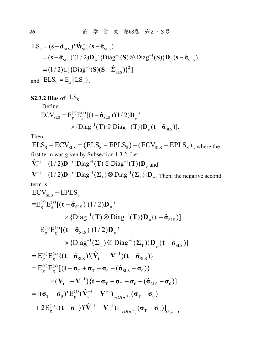$$
LS_{s} = (\mathbf{s} - \hat{\sigma}_{SLS})' \hat{\mathbf{W}}_{SLS}^{-1} (\mathbf{s} - \hat{\sigma}_{SLS})
$$
  
=  $(\mathbf{s} - \hat{\sigma}_{SLS})' (1/2) \mathbf{D}_{p}' \{Diag^{-1}(\mathbf{S}) \otimes Diag^{-1}(\mathbf{S})\} \mathbf{D}_{p} (\mathbf{s} - \hat{\sigma}_{SLS})$   
=  $(1/2) \text{tr} [\{Diag^{-1}(\mathbf{S})(\mathbf{S} - \hat{\Sigma}_{SLS})\}^{2}]$   
and  $ELS_{s} = E_{g}(LS_{s})$ .

**S2.3.2 Bias of**  $LS_S$ 

Define

$$
\begin{aligned} \text{ECV}_{\text{SLS}} &= \mathbf{E}_{g}^{(\mathbf{t})} \mathbf{E}_{g}^{(\mathbf{s})} [(\mathbf{t} - \hat{\mathbf{\sigma}}_{\text{SLS}})^{\prime} (1/2) \mathbf{D}_{p}^{\prime} \\ &\times \{ \text{Diag}^{-1}(\mathbf{T}) \otimes \text{Diag}^{-1}(\mathbf{T}) \} \mathbf{D}_{p} (\mathbf{t} - \hat{\mathbf{\sigma}}_{\text{SLS}}) ]. \end{aligned}
$$

Then,

 $ELS<sub>s</sub> - ECV<sub>SLS</sub> = (ELS<sub>s</sub> - EPLS<sub>s</sub>) - (ECV<sub>SLS</sub> - EPLS<sub>s</sub>)$ , where the first term was given by Subsection 1.3.2. Let  $\hat{X}^{-1}$  (2)  $\Omega$  (2)  $\hat{Y}^{-1}$  (3)  $\Omega$  (3)  $\hat{Y}^{-1}$  (3)

$$
\hat{\mathbf{V}}_{t}^{-1} \equiv (1/2)\mathbf{D}_{p}^{-1} \{ \text{Diag}^{-1}(\mathbf{T}) \otimes \text{Diag}^{-1}(\mathbf{T}) \} \mathbf{D}_{p} \text{ and}
$$
\n
$$
\mathbf{V}^{-1} \equiv (1/2)\mathbf{D}_{p}^{-1} \{ \text{Diag}^{-1}(\mathbf{\Sigma}_{T}) \otimes \text{Diag}^{-1}(\mathbf{\Sigma}_{T}) \} \mathbf{D}_{p} \text{ . Then, the negative second term is}
$$

$$
ECV_{SLS} - EPLS_{S}
$$
\n
$$
=E_{g}^{(t)}E_{g}^{(s)}[(t-\hat{\sigma}_{SLS})'(1/2)\mathbf{D}_{p}'
$$
\n
$$
\times \{\text{Diag}^{-1}(T) \otimes \text{Diag}^{-1}(T)\} \mathbf{D}_{p}(t-\hat{\sigma}_{SLS})]
$$
\n
$$
-E_{g}^{(t)}E_{g}^{(s)}[(t-\hat{\sigma}_{SLS})'(1/2)\mathbf{D}_{p}'
$$
\n
$$
\times \{\text{Diag}^{-1}(\Sigma_{T}) \otimes \text{Diag}^{-1}(\Sigma_{T})\} \mathbf{D}_{p}(t-\hat{\sigma}_{SLS})]
$$
\n
$$
= E_{g}^{(t)}E_{g}^{(s)}\{(t-\hat{\sigma}_{SLS})'(\hat{V}_{t}^{-1}-V^{-1})(t-\hat{\sigma}_{SLS})\}
$$
\n
$$
= E_{g}^{(t)}E_{g}^{(s)}[\{t-\sigma_{T}+\sigma_{T}-\sigma_{0}-(\hat{\sigma}_{SLS}-\sigma_{0})\}'
$$
\n
$$
\times (\hat{V}_{t}^{-1}-V^{-1})\{t-\sigma_{T}+\sigma_{T}-\sigma_{0}-(\hat{\sigma}_{SLS}-\sigma_{0})\}
$$
\n
$$
= [(\sigma_{T}-\sigma_{0})'E_{g}^{(t)}(\hat{V}_{t}^{-1}-V^{-1})_{\rightarrow O(n^{-1})}(\sigma_{T}-\sigma_{0})
$$
\n
$$
+ 2E_{g}^{(t)}\{(t-\sigma_{T})'(\hat{V}_{t}^{-1}-V^{-1})_{\rightarrow O(n^{-1})}(\sigma_{T}-\sigma_{0})]_{O(n^{-1})}
$$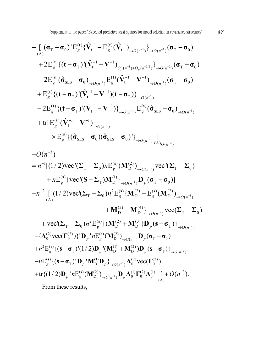+ 
$$
\left[ (\sigma_{\text{T}} - \sigma_{0})^{\dagger} E_{g}^{(t)} \{\hat{\mathbf{V}}_{t}^{-1} - E_{g}^{(t)} (\hat{\mathbf{V}}_{t}^{-1})_{\rightarrow O(n^{-1})} \} \right]_{\rightarrow O(n^{-2})} (\sigma_{\text{T}} - \sigma_{0})
$$
  
+  $2E_{g}^{(t)} \{ (\mathbf{t} - \sigma_{\text{T}})^{\dagger} (\hat{\mathbf{V}}_{t}^{-1} - \mathbf{V}^{-1})_{O_{p}(n^{-1}) + O_{p}(n^{-3/2})} \} \right)_{\rightarrow O(n^{-2})} (\sigma_{\text{T}} - \sigma_{0})$   
-  $2E_{g}^{(s)} (\hat{\sigma}_{SLS} - \sigma_{0})_{\rightarrow O(n^{-1})} E_{g}^{(t)} (\hat{\mathbf{V}}_{t}^{-1} - \mathbf{V}^{-1})_{\rightarrow O(n^{-1})} (\sigma_{\text{T}} - \sigma_{0})$   
+  $E_{g}^{(t)} \{ (\mathbf{t} - \sigma_{\text{T}})^{\dagger} (\hat{\mathbf{V}}_{t}^{-1} - \mathbf{V}^{-1}) (\mathbf{t} - \sigma_{\text{T}}) \} \right]_{\rightarrow O(n^{-2})}$   
-  $2E_{g}^{(t)} \{ (\mathbf{t} - \sigma_{\text{T}})^{\dagger} (\hat{\mathbf{V}}_{t}^{-1} - \mathbf{V}^{-1}) \} \right)_{\rightarrow O(n^{-1})} E_{g}^{(s)} (\hat{\sigma}_{SLS} - \sigma_{0})_{\rightarrow O(n^{-1})}$   
+  $\text{tr}[E_{g}^{(t)} (\hat{\mathbf{V}}_{t}^{-1} - \mathbf{V}^{-1})_{\rightarrow O(n^{-1})}$   
 $\times E_{g}^{(s)} \{ (\hat{\sigma}_{SLS} - \sigma_{0}) (\hat{\sigma}_{SLS} - \sigma_{0}) \} \} \right]_{\rightarrow O(n^{-1})} \frac{1}{(\mathcal{A})_{O(n^{-2})}}$ 

3 ( ) *O n* 1 1 1 2 1 ( ) (2) T 0 D ( ) T 0 ( ) (1) T D ( ) T 0 2 2 ( ) (2) ( ) (2) T 0 <sup>D</sup> <sup>D</sup> ( ) (A) (3) (4) D D ( ) T 0 2 () T 0 [(1/ 2)vec '( ) E ( ) vec '( ) E {vec '( ) } ( )] [ (1/ 2)vec'( ) E { E ( ) } vec( ) vec'( ) E { *g O n g O n p g g O n O n g n n n n n n* **s s s s s ΣΣ M Σ Σ S ΣM Dσ σ ΣΣ M M M M Σ Σ Σ Σ** <sup>2</sup> (2) (3) D D <sup>T</sup> ( ) ( ) ( )} *<sup>p</sup> O n* **M M Ds σ** 1 1 1 (2) (2) ( ) (2) 0 0 D ( ) T 0 2 () (1) (2) T D D T ( ) ( ) (1) (2) (2) T D ( ) 0 0 ( ) (2) (1) (2) (1 D ( ) 00 0 { vec( )}' ' E ( ) ( ) E {( ) '(1/ 2) '( ) ( )} E {( ) ' ' } vec( ) tr{(1/ 2) ' E ( ) *p g O n p g p p O n g p p O n p g O n p n n n n* **s s s s Λ Γ D M Dσ σ s σ D M M Ds σ s σ DMD Λ Γ DM D ΛΓΛ** ) <sup>3</sup> (A) ' ] ( ). *O n*

From these results,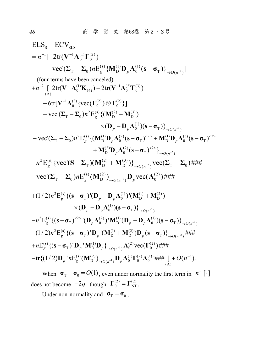ELS<sub>S</sub> – ECV<sub>SLS</sub>  
\n= n<sup>-1</sup>[-2tr(V<sup>-1</sup>Λ<sub>0</sub><sup>(1)</sup>Γ<sub>0</sub><sup>(2)</sup>)  
\n– vec'(Σ<sub>T</sub> – Σ<sub>0</sub>)
$$
nE_g^{(s)}
$$
 {M<sub>1</sub><sup>(1)</sup>D<sub>p</sub>Λ<sub>0</sub><sup>(1)</sup>(s – σ<sub>T</sub>)}<sub>→O(n<sup>-1</sup>)</sub>]  
\n(four terms have been canceled)  
\n+n<sup>-2</sup> [ 2tr(V<sup>-1</sup>Λ<sub>0</sub><sup>(1)</sup>K<sub>(4)</sub>) – 2tr(V<sup>-1</sup>Λ<sub>0</sub><sup>(2)</sup>Γ<sub>0</sub><sup>(3)</sup>)  
\n– 6tr[V<sup>-1</sup>Λ<sub>0</sub><sup>(3)</sup> {vec(CΓ<sub>0</sub><sup>(2)</sup>) ⊗ Γ<sub>0</sub><sup>(2)</sup>}]  
\n+ vec'(Σ<sub>T</sub> – Σ<sub>0</sub>) $n^2E_g^{(s)}$  { (M<sub>1</sub><sup>(2)</sup> + M<sub>1</sub><sup>(3)</sup>)  
\n× (D<sub>p</sub> – D<sub>p</sub>Λ<sub>0</sub><sup>(1)</sup>)(s – σ<sub>T</sub>)}<sup>2</sup><sub>→O(n<sup>-2</sup>)  
\n– vec'(Σ<sub>T</sub> – Σ<sub>0</sub>) $n^2E_g^{(s)}$  { (M<sub>1</sub><sup>(1)</sup>D<sub>p</sub>Λ<sub>0</sub><sup>(2)</sup>(s – σ<sub>T</sub>)<sup>2</sup><sup>2</sup> + M<sub>1</sub><sup>(1)</sup>D<sub>p</sub>Λ<sub>0</sub><sup>(3)</sup> (s – σ<sub>T</sub>)<sup>-2</sup>  
\n– n<sup>2</sup>E<sub>g</sub><sup>(s)</sup> {vec(C(S – Σ<sub>T</sub>)(M<sub>1</sub><sup>(2)</sup> + M<sub>1</sub><sup>(3)</sup>)}<sup>2</sup><sub>→O(n<sup>-2</sup>)</sub> vec(Σ<sub>T</sub> – Σ<sub>0</sub>)#4#  
\n+ vec'(Σ<sub>T</sub> – Σ<sub>0</sub>) $nE_g^{(s)}$  (M<sub>1</sub></sub>

When  $\sigma_{\rm T} - \sigma_{\rm 0} = O(1)$ , even under normality the first term in  $n^{-1}[\cdot]$ does not become  $-2q$  though  $\Gamma_0^{(2)} = \Gamma_{NT}^{(2)}$ .

Under non-normality and  $\sigma_T = \sigma_0$ ,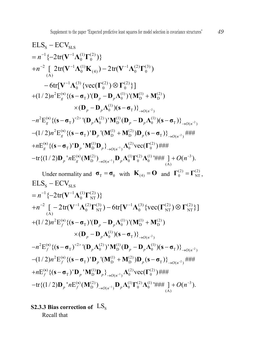S SLS 1 1 (1) (2) 0 0 2 1 (1) 1 (2) (3) 0 (4) 0 0 (A) 1 (3) (2) (2) 0 0 0 ELS ECV { 2tr( )} [ 2tr( ) 2tr( ) 6tr[ {vec( ) }] *n n* **V Λ Γ V ΛΚ VΛ Γ V Λ ΓΓ** 2 2 2 2 () (1) (1) (2) T 0 DD (1) 0 T ( ) 2 () 2 (2) (1) (1) T 0 D 0 T ( ) 2 () (1) (2) T D D T ( ) ( ) (1/ 2) E {( ) '( ) '( ) ( )( )} E {( ) '( ) ' ( )( )} (1/ 2) E {( ) ' '( ) ( )} ### E {( *g p p p p O n g p p p O n g p p O n g n n n n* **s s s s s σ D D ΛMM D D Λ sσ s σ D Λ M D DΛ s σ s σ D M M Ds σ s** <sup>1</sup> 1 (1) (2) (2) T D ( ) 0 0 ( ) (2) (1) (2) (1) 3 <sup>D</sup> ( ) 00 0 (A) ) ' ' } vec( ) ### tr{(1/ 2) ' E ( ) '### ] ( ). *p p O n p g O n <sup>p</sup> n O n* **<sup>s</sup> σ DMD Λ Γ DM D ΛΓΛ**

Under normality and  $\sigma_T = \sigma_0$  with  $\mathbf{K}_{(4)} = \mathbf{O}$  and  $\mathbf{\Gamma}_0^{(2)} = \mathbf{\Gamma}_{NT}^{(2)}$ ,  $\mathrm{ELS}_{\mathrm{s}} - \mathrm{ECV}_{\mathrm{SLS}}$  $1 \left( \frac{1}{2} \mathbf{1} + \mathbf{1} \mathbf{1} \mathbf{1} \mathbf{1} \mathbf{1} \mathbf{1} \mathbf{1} \mathbf{1} \mathbf{1} \mathbf{1} \mathbf{1} \mathbf{1} \mathbf{1} \mathbf{1} \mathbf{1} \mathbf{1} \mathbf{1} \mathbf{1} \mathbf{1} \mathbf{1} \mathbf{1} \mathbf{1} \mathbf{1} \mathbf{1} \mathbf{1} \mathbf{1} \mathbf{1} \mathbf{1} \mathbf{1} \mathbf{1} \mathbf{1} \mathbf{1} \mathbf{1} \mathbf{$  $= n^{-1} \{-2tr(\mathbf{V}^{-1}\mathbf{\Lambda}_0^{(1)}\mathbf{\Gamma}_{NT}^{(2)})\}$ <sup>2</sup>  $\left[2 \right]$   $2 \left[2 \right]$   $\left(3 \right)$   $\left(4 \right)$   $\left(2 \right)$   $\left(3 \right)$   $\left(5 \right)$   $\left(3 \right)$   $\left(5 \right)$   $\left(2 \right)$   $\left(2 \right)$   $\left(3 \right)$   $\left(5 \right)$   $\left(2 \right)$  $(1)$   $\sum_{i=1}^{N}$   $\sum_{i=1}^{N}$   $\sum_{j=1}^{N}$   $\sum_{j=1}^{N}$   $\sum_{j=1}^{N}$   $\sum_{j=1}^{N}$   $\sum_{j=1}^{N}$   $\sum_{j=1}^{N}$   $\sum_{j=1}^{N}$   $\sum_{j=1}^{N}$   $\sum_{j=1}^{N}$   $\sum_{j=1}^{N}$   $\sum_{j=1}^{N}$   $\sum_{j=1}^{N}$   $\sum_{j=1}^{N}$   $\sum_{j=1}^{N}$   $\sum_{j=1$  $+n^{-2} \left[ -2 \text{tr}(\mathbf V^{-1} \boldsymbol \Lambda_{0}^{(2)} \boldsymbol \Gamma_{\text{NT}}^{(3)}) - 6 \text{tr}[\mathbf V^{-1} \boldsymbol \Lambda_{0}^{(3)} \{\text{vec}(\boldsymbol \Gamma_{\text{NT}}^{(2)}) \otimes \boldsymbol \Gamma_{\text{NT}}^{(2)} \} \right]$  $\times (\mathbf{D}_{p} - \mathbf{D}_{p} \Lambda_{0}^{(1)}) (\mathbf{s} - \mathbf{\sigma}_{T})\}_{\rightarrow O(n^{-2})}$  $n^2 \mathbf{E}_f^{(\mathbf{s})} \{ (\mathbf{s} - \mathbf{\sigma}_T)^{\langle 2 \rangle} (\mathbf{D}_p \mathbf{\Lambda}_0^{(2)})^{\dagger} \mathbf{M}_{\mathrm{D}}^{(1)} (\mathbf{D}_p - \mathbf{D}_p \mathbf{\Lambda}_0^{(1)}) (\mathbf{s} - \mathbf{\sigma}_T) \}_{\rightarrow O(n^{-2})}$  $-(1/2)n^2 \mathbf{E}_f^{(s)} \{ (\mathbf{s} - \mathbf{\sigma}_T)^\mathsf{T} \mathbf{D}_p^\mathsf{T} (\mathbf{M}_D^{(1)} + \mathbf{M}_D^{(2)}) \mathbf{D}_p (\mathbf{s} - \mathbf{\sigma}_T) \}_{\rightarrow O(n^{-2})}^T$  $+(1/2)n^2 \mathbf{E}_f^{(s)} \{ (\mathbf{s} - \mathbf{\sigma}_T) (\mathbf{D}_p - \mathbf{D}_p \mathbf{\Lambda}_0^{(1)}) (\mathbf{M}_{\mathbf{D}}^{(1)} + \mathbf{M}_{\mathbf{D}}^{(2)})$  $+nE_f^{(s)}$  {(s -  $\sigma_T$ )' $D_p$ ' $M_D^{(1)}D_p$ }<sub>→ $O(n^{-1})$ </sub> $\Lambda_0^{(2)}$ vec( $\Gamma_0^{(2)}$ )###  $-n^2 \text{E}_{f}^{(s)} \{ (\mathbf{s} - \boldsymbol{\sigma}_{\text{T}})^{<2>} (\mathbf{D}_{p} \Lambda_0^{(2)})' \mathbf{M}_{\text{D}}^{(1)} (\mathbf{D}_{p} - \mathbf{D}_{p} \Lambda_0^{(1)}) (\mathbf{s} - \boldsymbol{\sigma}_{\text{T}}) \}$  $\mathrm{tr}\{(1/2)\mathbf{D}_{p}^{-1}n\mathrm{E}_{f}^{(\mathbf{s})}(\mathbf{M}_{\mathrm{D}}^{(2)})_{\rightarrow O(n^{-1})}\mathbf{D}_{p}\mathbf{\Lambda}_{0}^{(1)}\Gamma_{0}^{(2)}\mathbf{\Lambda}_{0}^{(1)}{}^{\prime}\#_{n}^{H}\#_{n}\big\}\ +O(n^{-3}).$  $-\text{tr}\{(1\,2)\mathbf{D}_{p}^{-\dagger}n\text{E}_{f}^{(\mathbf{s})}(\mathbf{M}_{\text{D}}^{(2)})_{\rightarrow O(n^{-1})}\mathbf{D}_{p}\boldsymbol{\Lambda}_{0}^{(1)}\boldsymbol{\Gamma}_{0}^{(2)}\boldsymbol{\Lambda}_{0}^{(1)}{}^{\dagger}\text{H}\text{H}\text{H}_{p}\}$ 

**S2.3.3 Bias correction of**  $LS_{s}$ Recall that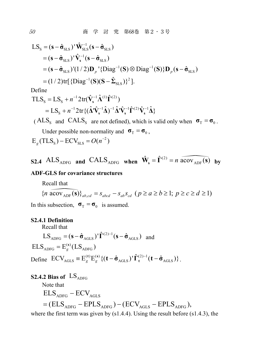$$
LS_{s} = (\mathbf{s} - \hat{\sigma}_{SLS})' \hat{\mathbf{W}}_{SLS}^{-1} (\mathbf{s} - \hat{\sigma}_{SLS})
$$
  
\n
$$
= (\mathbf{s} - \hat{\sigma}_{SLS})' \hat{\mathbf{V}}_{s}^{-1} (\mathbf{s} - \hat{\sigma}_{SLS})
$$
  
\n
$$
= (\mathbf{s} - \hat{\sigma}_{SLS})' (1/2) \mathbf{D}_{p} ' \{ \text{Diag}^{-1} (\mathbf{S}) \otimes \text{Diag}^{-1} (\mathbf{S}) \} \mathbf{D}_{p} (\mathbf{s} - \hat{\sigma}_{SLS})
$$
  
\n
$$
= (1/2) \text{tr} [\{ \text{Diag}^{-1} (\mathbf{S}) (\mathbf{S} - \hat{\mathbf{\Sigma}}_{SLS}) \}^{2}].
$$

Define

$$
\begin{split} \text{TLS}_{\text{s}} &= \text{LS}_{\text{s}} + n^{-1} 2 \text{tr}(\hat{\mathbf{V}}_{\text{s}}^{-1} \hat{\mathbf{\Lambda}}^{(1)} \hat{\mathbf{\Gamma}}^{(2)}) \\ &= \text{LS}_{\text{s}} + n^{-1} 2 \text{tr} \{ (\hat{\mathbf{\Lambda}}' \hat{\mathbf{V}}_{\text{s}}^{-1} \hat{\mathbf{\Delta}})^{-1} \hat{\mathbf{\Lambda}}' \hat{\mathbf{V}}_{\text{s}}^{-1} \hat{\mathbf{\Gamma}}^{(2)} \hat{\mathbf{V}}_{\text{s}}^{-1} \hat{\mathbf{\Delta}} \} \end{split}
$$

( $\text{ALS}_\text{s}$  and  $\text{CALS}_\text{s}$  are not defined), which is valid only when  $\sigma_\text{T} = \sigma_\text{o}$ . Under possible non-normality and  $\sigma_T = \sigma_0$ ,  $E_e$ (TLS<sub>s</sub>) – ECV<sub>SLS</sub> =  $O(n^{-2})$ 

**S2.4** 
$$
ALS_{ADFG}
$$
 and  $CALS_{ADFG}$  when  $\hat{\mathbf{W}}_s = \hat{\mathbf{\Gamma}}^{(2)} = n \overbrace{acov_{ADF}(s)}$  by

#### **ADF-GLS for covariance structures**

Recall that  
\n
$$
\{n \overline{\text{acov}_{\text{ADF}}(\mathbf{s})}\}_{ab,cd} = s_{abcd} - s_{ab} s_{cd} \ (p \ge a \ge b \ge 1; \ p \ge c \ge d \ge 1)
$$

In this subsection,  $\sigma_T = \sigma_0$  is assumed.

#### **S2.4.1 Definition**

Recall that

 $LS_{ADFG} = (\mathbf{s} - \hat{\mathbf{\sigma}}_{AGLS})' \hat{\mathbf{\Gamma}}^{(2)-1} (\mathbf{s} - \hat{\mathbf{\sigma}}_{AGLS})$  and  $\text{ELS}_{\text{ADFG}} = \text{E}_g^{(s)}(\text{LS}_{\text{ADFG}})$ 

Define  $\text{ECV}_{\text{AGLS}} = E_g^{(t)} E_g^{(s)} \{ (\mathbf{t} - \hat{\sigma}_{\text{AGLS}})^\dagger \hat{\mathbf{\Gamma}}_t^{(2)-1} (\mathbf{t} - \hat{\sigma}_{\text{AGLS}}) \}.$ 

### **S2.4.2 Bias of**  $LS_{ADEG}$

Note that  $\mathrm{ELS}_{\mathrm{ADFG}}-\mathrm{ECV}_{\mathrm{AGLS}}$  $=$  (ELS<sub>ADFG</sub> – EPLS<sub>ADFG</sub>) – (ECV<sub>AGLS</sub> – EPLS<sub>ADFG</sub>),

where the first term was given by (s1.4.4). Using the result before (s1.4.3), the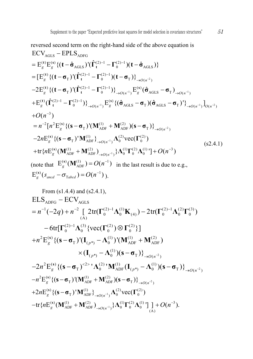reversed second term on the right-hand side of the above equation is  
\nECV<sub>AGLS</sub> – EPLS<sub>ADFG</sub>  
\n
$$
= E_g^{(t)} E_g^{(s)} \{ (\mathbf{t} - \hat{\sigma}_{AGLS})' (\hat{\Gamma}_t^{(2)-1} - \Gamma_0^{(2)-1}) (\mathbf{t} - \hat{\sigma}_{AGLS}) \}
$$
\n
$$
= [E_g^{(t)} \{ (\mathbf{t} - \sigma_T)' (\hat{\Gamma}_t^{(2)-1} - \Gamma_0^{(2)-1}) (\mathbf{t} - \sigma_T) \}_{\rightarrow O(n^{-2})}
$$
\n
$$
-2 E_g^{(t)} \{ (\mathbf{t} - \sigma_T)' (\hat{\Gamma}_t^{(2)-1} - \Gamma_0^{(2)-1}) \}_{\rightarrow O(n^{-1})} E_g^{(s)} (\hat{\sigma}_{AGLS} - \sigma_T)_{\rightarrow O(n^{-1})}
$$
\n
$$
+ E_g^{(t)} (\hat{\Gamma}_t^{(2)-1} - \Gamma_0^{(2)-1}) \}_{\rightarrow O(n^{-1})} E_g^{(s)} \{ (\hat{\sigma}_{AGLS} - \sigma_T) (\hat{\sigma}_{AGLS} - \sigma_T)' \}_{\rightarrow O(n^{-1})}^1 \}_{O(n^{-2})}
$$
\n
$$
+ O(n^{-3})
$$
\n
$$
= n^{-2} [n^2 E_g^{(s)} \{ (\mathbf{s} - \sigma_T)' (\mathbf{M}_{ADF}^{(1)} + \mathbf{M}_{ADF}^{(2)}) (\mathbf{s} - \sigma_T) \}_{\rightarrow O(n^{-2})}^1
$$
\n
$$
-2n E_g^{(s)} \{ (\mathbf{s} - \sigma_T)' \mathbf{M}_{ADF}^{(1)} \}_{\rightarrow O(n^{-1})} \Lambda_0^{(2)} \text{vec}(\Gamma_0^{(2)})
$$
\n
$$
+ \text{tr} \{ n E_g^{(s)} (\mathbf{M}_{ADF}^{(1)} + \mathbf{M}_{ADF}^{(2)})_{\rightarrow O(n^{-1})} \} \Lambda_0^{(1)} \Gamma_0^{(2)} \Lambda_0^{(1)} \Gamma_1 + O(n^{-3})
$$
\n(note that  $E_g^{(s)} (\mathbf{M}_{ADF}^{(1)} = O(n^{-1})$  in the last result is due to e.g.,  
\n $E_g^{(s)} (s_{\text{and}} - \sigma_{\text{rad},d}) = O(n^{-1})$ ).

From (s1.4.4) and (s2.4.1),  
\nELS<sub>ADFG</sub> – ECV<sub>AGLS</sub>  
\n
$$
= n^{-1}(-2q) + n^{-2} \left[ 2tr(\Gamma_0^{(2)-1}\Lambda_0^{(1)}K_{(4)}) - 2tr(\Gamma_0^{(2)-1}\Lambda_0^{(2)}\Gamma_0^{(3)}) - 6tr[\Gamma_0^{(2)-1}\Lambda_0^{(3)}\{\text{vec}(\Gamma_0^{(2)})\otimes\Gamma_0^{(2)}\}\right]
$$
\n
$$
+ n^2 E_g^{(s)} \{ (s - \sigma_T)^t (I_{(p^*)} - \Lambda_0^{(1)})^t (M_{ADF}^{(1)} + M_{ADF}^{(2)})
$$
\n
$$
\times (I_{(p^*)} - \Lambda_0^{(1)}) (s - \sigma_T) \}_{\rightarrow O(n^{-2})}
$$
\n
$$
-2n^2 E_g^{(s)} \{ (s - \sigma_T)^{2} \} \Lambda_0^{(2)} M_{ADF}^{(1)} (I_{(p^*)} - \Lambda_0^{(1)}) (s - \sigma_T) \}_{\rightarrow O(n^{-2})}
$$
\n
$$
-n^2 E_g^{(s)} \{ (s - \sigma_T)^t (M_{ADF}^{(1)} + M_{ADF}^{(2)}) (s - \sigma_T) \}_{\rightarrow O(n^{-2})}
$$
\n
$$
+ 2n E_g^{(s)} \{ (s - \sigma_T)^t M_{ADF}^{(1)} \}_{\rightarrow O(n^{-1})} \Lambda_0^{(2)} \text{vec}(\Gamma_0^{(2)})
$$
\n
$$
- tr \{ n E_g^{(s)} (M_{ADF}^{(1)} + M_{ADF}^{(2)})_{\rightarrow O(n^{-1})} \} \Lambda_0^{(1)} \Gamma_0^{(2)} \Lambda_0^{(1)} \Gamma_1^1 + O(n^{-3}).
$$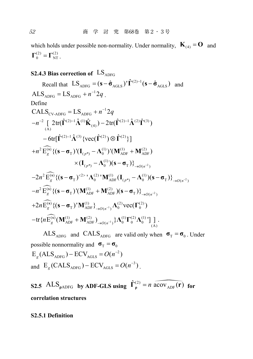which holds under possible non-normality. Under normality,  $\mathbf{K}_{(4)} = \mathbf{O}$  and  $\Gamma^{(2)}_{0} = \Gamma^{(2)}_{NT}$ 

### **S2.4.3 Bias correction of**  $LS<sub>APFG</sub>$

Recall that  $LS_{ADFG} = (\mathbf{s} - \hat{\mathbf{\sigma}}_{AGLS})' \hat{\mathbf{\Gamma}}^{(2)-1} (\mathbf{s} - \hat{\mathbf{\sigma}}_{AGLS})$  and  $\text{ALS}_{\text{ADFG}} = \text{LS}_{\text{ADEG}} + n^{-1} 2a$ Define  $+n^2 \widetilde{\mathrm{E}}^{(\mathrm{s})}_{g} \{ (\mathbf{s}-\boldsymbol{\sigma}_{\mathrm{T}})^{\mathsf{T}} (\mathbf{I}_{(p^{*})}-\boldsymbol{\Lambda}^{(1)}_{0})^{\mathsf{T}} (\mathbf{M}_{\mathrm{ADF}}^{(1)}+\mathbf{M}_{\mathrm{ADF}}^{(2)}) \}$  $-2n^2\widetilde{\mathrm{E}}_{g}^{(s)}\{(\mathbf{s}-\boldsymbol{\sigma}_{\mathrm{T}})^{2>1}\boldsymbol{\Lambda}_{0}^{(2)}{}^{'}\mathbf{M}_{\mathrm{ADF}}^{(1)}(\mathbf{I}_{(p^{*})}-\boldsymbol{\Lambda}_{0}^{(1)})(\mathbf{s}-\boldsymbol{\sigma}_{\mathrm{T}})\}_{\rightarrow\mathcal{O}(n^{-2})}$  $\times (\mathbf{I}_{(p^*)} - \mathbf{\Lambda}_0^{(1)}) (\mathbf{s} - \mathbf{\sigma}_T) \}_{\to O(n^{-2})}$  $\text{CALS}_{\text{CV-ADFG}} = \text{LS}_{\text{ADFG}} + n^{-1}2q$  $-n^{-2}\int_{(A)} 2 \text{tr}(\hat{\mathbf{\Gamma}}^{(2)-1}\hat{\mathbf{\Lambda}}^{(1)}\hat{\mathbf{K}}_{(4)}) - 2 \text{tr}(\hat{\mathbf{\Gamma}}^{(2)-1}\hat{\mathbf{\Lambda}}^{(2)}\hat{\mathbf{\Gamma}}^{(3)})$  $-6 \text{tr}[\hat{\Gamma}^{(2)-1} \hat{\Lambda}^{(3)} \{\text{vec}(\hat{\Gamma}^{(2)}) \otimes \hat{\Gamma}^{(2)} \}]$  $-n^2 \widetilde{\mathbf{E}}_g^{(s)} \{ (\mathbf{s} - \mathbf{\sigma}_{\mathrm{T}})^{\mathsf{T}} (\mathbf{M}_{\mathrm{ADF}}^{(1)} + \mathbf{M}_{\mathrm{ADF}}^{(2)}) (\mathbf{s} - \mathbf{\sigma}_{\mathrm{T}}) \}_{\rightarrow O(n^{-2})}$  $+2n\widetilde{\mathbf{E}}_g^{(s)}\{(\mathbf{s}-\boldsymbol{\sigma}_{\mathrm{T}})^{\mathsf{T}}\mathbf{M}_{\mathrm{ADF}}^{(1)}\}_{\rightarrow O(n^{-1})}\Lambda_0^{(2)}\text{vec}(\boldsymbol{\Gamma}_0^{(2)})$  $-\text{tr}\{n\widehat{\mathbf{E}}_g^{(\widehat{\textbf{s}})}(\mathbf{M}_{\text{ADF}}^{(1)}+\mathbf{M}_{\text{ADF}}^{(2)})_{\rightarrow O(n^{-1})}\}\boldsymbol{\Lambda}_0^{(1)}\boldsymbol{\Gamma}_0^{(2)}\boldsymbol{\Lambda}_0^{(1)}\big]\big]_{\text{(A)}}^{\text{T}}.$ 

 $ALS_{\text{APFG}}$  and  $CALS_{\text{APFG}}$  are valid only when  $\sigma_T = \sigma_0$ . Under possible nonnormality and  $\sigma_T = \sigma_0$  $E_e$ (ALS<sub>ADFG</sub>) –  $ECV_{AGLS} = O(n^{-2})$ and  $E_e(CALS_{ADEG}) - ECV_{AGES} = O(n^{-3})$ 

**S2.5** ALS<sub>pADFG</sub> **by ADF-GLS using**  $\hat{\Gamma}_{0}^{(2)} = n \widehat{acov_{ADE}(\mathbf{r})}$  for **correlation structures**

#### **S2.5.1 Definition**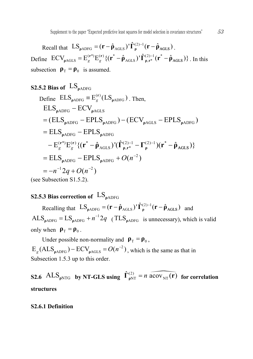Recall that  $LS_{\rho\text{ADFG}} = (\mathbf{r} - \hat{\rho}_{\text{AGLS}})' \hat{\mathbf{\Gamma}}_{\rho}^{(2)-1} (\mathbf{r} - \hat{\rho}_{\text{AGLS}})$ . Define  $\text{ECV}_{\text{pAGLS}} = E_g^{(\mathbf{r}^*)} E_g^{(\mathbf{r})} \{ (\mathbf{r}^* - \hat{\mathbf{p}}_{\text{AGLS}})^\dagger \hat{\mathbf{\Gamma}}_{\text{p},\mathbf{r}^*}^{(2)-1} (\mathbf{r}^* - \hat{\mathbf{p}}_{\text{AGLS}}) \}$ . In this subsection  $\rho_{\text{T}} = \rho_0$  is assumed.

### **S2.5.2 Bias of**  $\text{LS}_{\text{oADFG}}$

Define 
$$
ELS_{\rho\text{ADFG}} \equiv E_g^{(r)}(LS_{\rho\text{ADFG}})
$$
. Then,  
\n
$$
ELS_{\rho\text{ADFG}} - ECV_{\rho\text{AGLS}}
$$
\n
$$
= (ELS_{\rho\text{ADFG}} - EPLS_{\rho\text{ADFG}}) - (ECV_{\rho\text{AGLS}} - EPLS_{\rho\text{ADFG}})
$$
\n
$$
= ELS_{\rho\text{ADFG}} - EPLS_{\rho\text{ADFG}}
$$
\n
$$
- E_g^{(r*)} E_g^{(r)} \{ (r^* - \hat{\rho}_{\text{AGLS}})^{\dagger} (\hat{\Gamma}_{\rho,r^*}^{(2)-1} - \Gamma_{\rho}^{(2)-1}) (r^* - \hat{\rho}_{\text{AGLS}}) \}
$$
\n
$$
= ELS_{\rho\text{ADFG}} - EPLS_{\rho\text{ADFG}} + O(n^{-2})
$$
\n
$$
= -n^{-1} 2q + O(n^{-2})
$$
\n(see Subsection S1.5.2).

### **S2.5.3 Bias correction of**  $LS_{\text{oAPFG}}$

Recalling that  $LS_{\rho ADFG} = (\mathbf{r} - \hat{\rho}_{AGLS})' \hat{\Gamma}_{\rho}^{(2)-1} (\mathbf{r} - \hat{\rho}_{AGLS})$  and  $\text{ALS}_{\text{pADFG}} = \text{LS}_{\text{pADFG}} + n^{-1}2q$  (TLS<sub>pADFG</sub> is unnecessary), which is valid only when  $\rho_{\text{T}} = \rho_{0}$ .

Under possible non-normality and  $\rho_{\text{T}} = \rho_{0}$ ,  $E_g$ (ALS<sub>pADFG</sub>) –  $ECV_{pAGLS} = O(n^{-2})$ , which is the same as that in Subsection 1.5.3 up to this order.

**S2.6** ALS<sub>*pNTG* **by NT-GLS** using  $\hat{\Gamma}_{pNT}^{(2)} = n \overbrace{acov_{NT}(\mathbf{r})}$  for correlation</sub> **structures**

#### **S2.6.1 Definition**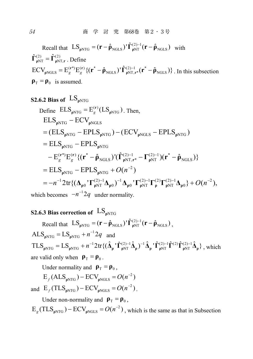Recall that  $LS_{\rho NTG} = (\mathbf{r} - \hat{\rho}_{NGLS})' \hat{\mathbf{\Gamma}}_{\rho NT}^{(2)-1} (\mathbf{r} - \hat{\rho}_{NGLS})$  with  $\hat{\Gamma}_{\rho NT}^{(2)} = \hat{\Gamma}_{\rho NT, r}^{(2)}$ . Define  $\text{ECV}_{\text{pNGLS}} = E_g^{(\text{r}^*)} E_g^{(\text{r})} \{ (\text{r}^* - \hat{\rho}_{\text{NGLS}})^\dagger \hat{\Gamma}_{\text{pNT,r}^*}^{(2)-1} (\text{r}^* - \hat{\rho}_{\text{NGLS}}) \}$ . In this subsection  $\rho_{\rm T} = \rho_0$  is assumed.

### **S2.6.2 Bias of**  $LS_{\text{oNTG}}$

Define 
$$
ELS_{\rho NTG} = E_g^{(r)}(LS_{\rho NTG})
$$
. Then,  
\n
$$
ELS_{\rho NTG} - ECV_{\rho NGLS}
$$
\n
$$
= (ELS_{\rho NTG} - EPLS_{\rho NTG}) - (ECV_{\rho NGLS} - EPLS_{\rho NTG})
$$
\n
$$
= ELS_{\rho NTG} - EPLS_{\rho NTG}
$$
\n
$$
- E_g^{(r^*)} E_g^{(r)} \{ (r^* - \hat{\rho}_{NGLS})' (\hat{\Gamma}_{\rho NT,r^*}^{(2)-1} - \Gamma_{\rho NT}^{(2)-1}) (r^* - \hat{\rho}_{NGLS}) \}
$$
\n
$$
= ELS_{\rho NTG} - EPLS_{\rho NTG} + O(n^{-2})
$$
\n
$$
= -n^{-1} 2 \text{tr} \{ (\Delta_{\rho 0} \cdot \Gamma_{\rho NT}^{(2)-1} \Delta_{\rho 0})^{-1} \Delta_{\rho 0} \cdot \Gamma_{\rho NT}^{(2)-1} \Gamma_{\rho}^{(2)} \Gamma_{\rho NT}^{(2)-1} \Delta_{\rho 0} \} + O(n^{-2}),
$$

which becomes  $-n^{-2}q$  under normality.

### **S2.6.3 Bias correction of** LS<sub>oNTG</sub>

Recall that  $LS_{\rho NTG} = (\mathbf{r} - \hat{\mathbf{\rho}}_{NGLS})' \hat{\mathbf{\Gamma}}_{\rho NT}^{(2)-1} (\mathbf{r} - \hat{\mathbf{\rho}}_{NGLS})$ ,  $\text{ALS}_{\text{pNTG}} = \text{LS}_{\text{pNTG}} + n^{-1}2q$  and  $TLS_{\rho NTG} = LS_{\rho NTG} + n^{-1}2\text{tr}\{(\hat{\Delta}_{\rho}^{\dagger} \hat{\Gamma}_{\rho NT}^{(2)-1} \hat{\Delta}_{\rho}^{\dagger} \hat{\Gamma}_{\rho NT}^{(2)-1} \hat{\Gamma}_{\rho NT}^{(2)} \hat{\Gamma}_{\rho NT}^{(2)-1} \hat{\Delta}_{\rho}^{\dagger}\}, \text{ which}$ are valid only when  $\rho_{\rm T} = \rho_{0}$ .

Under normality and  $\rho_{\rm T} = \rho_{0}$ ,

$$
E_f(ALS_{\rho NTG}) - ECV_{\rho NGLS} = O(n^{-2})
$$

and  $E_f(\text{TLS}_{\text{pNTG}}) - \text{ECV}_{\text{pNGLS}} = O(n^{-2})$ .

Under non-normality and  $\rho_{\rm T} = \rho_0$ ,

 $E_g$ (TLS<sub>pNTG</sub>) –  $ECV_{pNGLS} = O(n^{-2})$ , which is the same as that in Subsection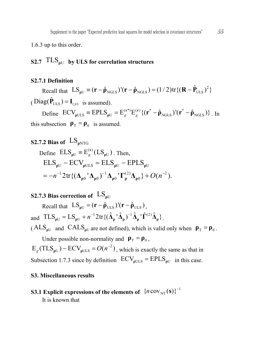1.6.3 up to this order.

### **S2.7**  $TLS<sub>oU</sub>$  **by ULS** for correlation structures

#### **S2.7.1 Definition**

Recall that  $LS_{\rho U} \equiv (\mathbf{r} - \hat{\rho}_{NGLS})'(\mathbf{r} - \hat{\rho}_{NGLS}) = (1/2) \text{tr} \{(\mathbf{R} - \hat{\mathbf{P}}_{ULS})^2\}$  $(Diag(\hat{\mathbf{P}}_{\text{ULS}}) = \mathbf{I}_{(p)}$  is assumed). Define  $\text{ECV}_{\text{pULS}} = \text{EPLS}_{\text{pU}} = E_g^{(\text{r}^*)} E_g^{(\text{r})} \{ (\text{r}^* - \hat{\rho}_{\text{NGLS}})^\dagger (\text{r}^* - \hat{\rho}_{\text{NGLS}}) \}$ . In

this subsection  $\rho_T = \rho_0$  is assumed.

### **S2.7.2 Bias of**  $\text{LS}_{\text{eNTG}}$ Define  $\text{ELS}_{\rho U} \equiv E_g^{(r)}(\text{LS}_{\rho U})$ . Then,  $\text{ELS}_{\rho\text{U}} - \text{ECV}_{\rho\text{ULS}} = \text{ELS}_{\rho\text{U}} - \text{EPLS}_{\rho\text{U}}$  $12tr(A + A)^{-1}A + \Gamma^{(2)}A + \Gamma^{(2)}A$  $=-n^{-1}2\text{tr}\{(\mathbf{\Delta}_{\rho 0} \, {}^{\prime}\mathbf{\Delta}_{\rho 0})^{-1}\mathbf{\Delta}_{\rho 0} \, {}^{\prime}\mathbf{\Gamma}_{\rho}^{(2)}\mathbf{\Delta}_{\rho 0}\}+O(n^{-2}).$

### **S2.7.3 Bias correction of**  $LS_{\text{off}}$

Recall that  $LS_{\text{eff}} = (\mathbf{r} - \hat{\mathbf{\rho}}_{\text{tr }s})'(\mathbf{r} - \hat{\mathbf{\rho}}_{\text{tr }s}).$ and  $TLS_{\rho U} = LS_{\rho U} + n^{-1} 2 \text{tr} \{ (\hat{\Delta}_{\rho} \, {}^{\prime} \hat{\Delta}_{\rho})^{-1} \hat{\Delta}_{\rho} \, {}^{\prime} \hat{\Gamma}^{(2)} \hat{\Delta}_{\rho} \}$ . ( $\text{ALS}_{\text{pU}}$  and  $\text{CALS}_{\text{pU}}$  are not defined), which is valid only when  $\rho_{\text{T}} = \rho_{0}$ .

Under possible non-normality and  $\rho_{\rm T} = \rho_0$ ,

 $E_g(TLS_{pU}) - ECV_{pULS} = O(n^{-2})$ , which is exactly the same as that in Subsection 1.7.3 since by definition  $ECV_{\rho ULS} = EPLS_{\rho U}$  in this case.

#### **S3. Miscellaneous results**

### **S3.1** Explicit expressions of the elements of  $\ {n\, \text{cov}_{\text{NT}}(\textbf{s}) \}^{-1}$

It is known that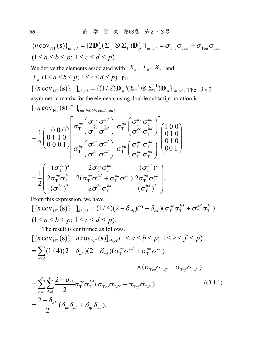$\{n \text{ cov}_{NT}(\mathbf{s})\}_{ab,cd} = \{2\mathbf{D}_p^+(\boldsymbol{\Sigma}_{\text{T}} \otimes \boldsymbol{\Sigma}_{\text{T}})\mathbf{D}_p^+\}_{ab,cd} = \sigma_{\text{Tac}}\sigma_{\text{Tbd}} + \sigma_{\text{Tad}}\sigma_{\text{Tbc}}$  $(1 \le a \le b \le p; 1 \le c \le d \le p).$ We derive the elements associated with  $X_a$ ,  $X_b$ ,  $X_c$  and  $X_{d}$   $(1 \le a \le b \le p; 1 \le c \le d \le p)$  for  $\left[\left\{n \text{cov}_{NT}(\mathbf{s})\right\}^{-1}\right]_{ab,cd} = \left\{(1/2)\mathbf{D}_p^{-1}(\mathbf{\Sigma}_T^{-1} \otimes \mathbf{\Sigma}_T^{-1})\mathbf{D}_p\right\}_{ab,cd}$ . The 3×3 asymmetric matrix for the elements using double subscript notation is 1  $\left[ \left\{ n\,{\rm cov}_{\rm NT}({\bf s}) \right\}^{-1} \right]_{(aa,ba,bb;\,cc,dc,dd)}$  $\sigma_{\text{T}}^{ac}$   $\sigma_{\text{pbc}}^{bc}$   $\sigma_{\text{pdc}}^{bd}$   $\sigma_{\text{T}}^{ad}$   $\sigma_{\text{pbc}}^{ca}$  $T \cup T \cup T \cup T$  $\sigma_{\text{T}}^{bc}$   $\sigma_{\text{pbc}}^{bc}$   $\sigma_{\text{pbd}}^{bd}$   $\sigma_{\text{T}}^{bd}$   $\sigma_{\text{pbc}}^{bc}$  $T \cup T \cup T \cup T$  $\frac{1}{2}\begin{pmatrix}1\,0\,0\,0\,0\,0\,0\,1\,1\,0\end{pmatrix} \begin{pmatrix} \sigma_1^{ac} \ \sigma_1^{bc} \ \sigma_1^{bc} \ \sigma_1^{ac} \ \sigma_1^{ac} \ \sigma_1^{ac} \ \sigma_1^{ac} \ \sigma_1^{ac} \ \sigma_1^{ac} \ \sigma_1^{ac} \ \sigma_1^{ac} \ \sigma_1^{ac} \ \sigma_1^{ac} \ \sigma_1^{ad} \ \sigma_1^{bc} \ \sigma_1^{bd} \ \sigma_1^{bc} \ \sigma_1^{bd} \ \sigma_1^{bc} \ \sigma_1^{bd} \ \sigma_1^{bc} \$ 1 2  $\rho_{ac}$   $\sigma_{\rm T}^{ac}$   $\sigma_{\rm T}^{ad}$   $\right)$   $\sigma_{\rm T}^{ad}$   $\sigma_{\rm T}^{ac}$   $\sigma_{\rm T}^{ad}$ *bc*  $\rightarrow$  *bd*  $\mid$  <sup>D</sup> T  $\mid$   $\rightarrow$  *bc*  $\rightarrow$  *bd*  $\sigma_{bc}^{\alpha c}$   $\sigma_{\text{T}}^{\alpha d}$   $\rightarrow$   $\sigma_{b d}^{\alpha d}$   $\sigma_{\text{T}}^{\alpha c}$   $\sigma_{\text{T}}^{\alpha d}$ *bc*  $\rightarrow$  *bd*  $\mid$  <sup>D</sup> T  $\mid$   $\rightarrow$  *bc*  $\rightarrow$  *bd*  $\sigma_{\rm T}^{ac}$   $\sigma_{\rm T}$   $\sigma_{\rm T}$   $\sigma_{\rm T}$   $\sigma_{\rm T}$   $\sigma_{\rm T}$   $\sigma_{\rm T}$  $\sigma_{\rm r}$   $\sigma_{\rm r}$   $\sigma_{\rm r}$   $\sigma_{\rm r}$   $\sigma$  $\sigma_{\rm T}^{bc}$   $\sigma_{\rm T}$   $\sigma_{\rm T}$   $\sigma_{\rm T}$   $\sigma_{\rm T}$   $\sigma_{\rm T}$   $\sigma_{\rm T}$   $=$ 2  $2 \sigma e^{ac} \sigma^{ad}$   $(\sigma^{ad})^2$  $T$   $T$   $T$   $T$   $T$   $T$  $T_{T}$   $T_{T}$   $T_{T}$   $T_{T}$   $T_{T}$   $T_{T}$   $T_{T}$   $T_{T}$   $T_{T}$ 2  $2 \rightarrow e^{bc} e^{bd}$   $(e^{bd})^2$  $T$   $T$   $T$   $T$   $T$   $T$  $(\sigma^{ac}_{\scriptscriptstyle{\text{T}}})^2$  2 $\sigma^{ac}_{\scriptscriptstyle{\text{T}}} \sigma^{ad}_{\scriptscriptstyle{\text{T}}}$  ( $\sigma^{ad}_{\scriptscriptstyle{\text{T}}}$ )  $2\sigma_{\rm T}^{\it ac}\sigma_{\rm T}^{\it bc} \quad 2(\sigma_{\rm T}^{\it ac}\sigma_{\rm T}^{\it bd}+\sigma_{\rm T}^{\it ad}\sigma_{\rm T}^{\it bc})\;2\sigma_{\rm T}^{\it ad}\sigma_{\rm T}^{\it bd}\;\;|.$  $(\sigma_{\textrm{T}}^{\textrm{\tiny \it bc}})^2 \qquad \quad 2 \sigma_{\textrm{T}}^{\textrm{\tiny \it bc}} \sigma_{\textrm{T}}^{\textrm{\tiny \it bd}} \qquad \qquad (\sigma_{\textrm{T}}^{\textrm{\tiny \it bd}})$  $ac \lambda^2$  **a**<sub>c</sub>  $ac \lambda^2$  *ac*  $\lambda^2$  *ad c <i>c c ad*  $ac \rightarrow bc$   $\gamma$   $\rightarrow$   $ac \rightarrow bd$   $\rightarrow$   $ad \rightarrow bc$   $\gamma$   $\rightarrow$   $ad \rightarrow bd$  $bc \lambda^2$   $2$   $2$   $bc \neq bd$   $2$   $bc \neq bd$  $\sigma_{\rm r}$  )  $2\sigma_{\rm r}\sigma_{\rm r}$  ( $\sigma$  $\sigma_{\rm r}$   $\sigma_{\rm r}$   $\sim$  2( $\sigma_{\rm r}$   $\sigma_{\rm r}$  +  $\sigma_{\rm r}$   $\sigma_{\rm r}$  )  $\angle \sigma_{\rm r}$   $\sigma$  $\left( \begin{matrix} (\sigma_\mathrm{T}^{ac})^2 & 2\sigma_\mathrm{T}^{ac}\sigma_\mathrm{T}^{ad} & (\sigma_\mathrm{T}^{ad})^2 \ 2\sigma_\mathrm{T}^{ac}\sigma_\mathrm{T}^{bc} & 2(\sigma_\mathrm{T}^{ac}\sigma_\mathrm{T}^{bd} + \sigma_\mathrm{T}^{ad}\sigma_\mathrm{T}^{bc})\,2\sigma_\mathrm{T}^{ad}\sigma_\mathrm{T}^{bd} \ (\sigma_\mathrm{T}^{bc})^2 & 2\sigma_\mathrm{T}^{bc}\sigma_\mathrm{T}^{bd} & (\sigma_\mathrm{T}^{bd})^2 \end{matrix} \right)$ From this expression, we have  $\left[ \{ n \cos \sqrt{\frac{1}{N}} s \cos \sqrt{\frac{1}{s}} \right]_{ab,cd} = (1/4)(2 - \delta_{ab})(2 - \delta_{cd})(\sigma_{\rm T}^{ac} \sigma_{\rm T}^{bd} + \sigma_{\rm T}^{ad} \sigma_{\rm T}^{bc})$  $(1 \le a \le b \le p; 1 \le c \le d \le p).$ The result is confirmed as follows. 1  $[\{n \text{cov}_{NT}(s)\}^{-1} n \text{cov}_{NT}(s)]_{ab,ef} (1 \le a \le b \le p; 1 \le e \le f \le p)$  $(1/4)(2-\delta_{ab})(2-\delta_{cd})(\sigma_{\textrm{T}}^{ac}\sigma_{\textrm{T}}^{bd}+\sigma_{\textrm{T}}^{ad}\sigma_{\textrm{T}}^{bc})$  $\times(\sigma_{\text{T}ce}\sigma_{\text{T}df}^{\text{}}+\sigma_{\text{T}cf}\sigma_{\text{T}de}^{\text{}})$  $T \cup T$  ( $T_{ce} \cup T_{df} \cup T_{cf} \cup T$  $\sum_{t=1}^p \sum_{d=1}^p \frac{2-\delta_{ab}}{2} \sigma_{\textrm{T}}^{ac} \sigma_{\textrm{T}}^{bd} (\sigma_{\textrm{T}ce} \sigma_{\textrm{T}df} + \sigma_{\textrm{T}cf} \sigma_{\textrm{T}de})$  $=\frac{2-\delta_{ab}}{2}(\delta_{ae}\delta_{bf}+\delta_{af}\delta_{be}).$  $ab$   $\mathcal{V}$   $\sim$   $\mathcal{V}_{cd}$ *c d c d*  $(\delta_A)(2-\delta_A)(\sigma_x^{ac}\sigma_x^{ba}+\sigma_x^{aa}\sigma_x^{ab})$  $\frac{\delta_{ab}}{\sigma_{x}^{ac}} \sigma_{x}^{bd}(\sigma_{x}^{+} \sigma_{x}^{+} + \sigma_{x}^{+} \sigma_{y}^{+})$  $\geq$  $=1$  d  $=$  $= \sum (1/4)(2-\delta_{ab})(2-\delta_{cd})(\sigma_{\rm T}^{ac}\sigma_{\rm T}^{bd} +$  $=\sum^p\sum^p\frac{2-\delta_{ab}}{2}\sigma^{ac}_{\rm T}\sigma^{bd}_{\rm T}(\sigma_{\rm Tce}\sigma_{\rm Tdf}+$  $(s3.1.1)$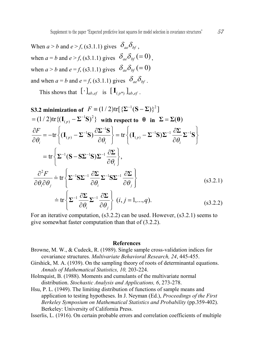When  $a > b$  and  $e > f$ , (s3.1.1) gives  $\delta_{ae} \delta_{bf}$ . when  $a = b$  and  $e > f$ , (s3.1.1) gives  $\delta_{ae} \delta_{bf} (= 0)$ . when  $a > b$  and  $e = f(x)$ , (s3.1.1) gives  $\delta_{ae} \delta_{bf} (= 0)$ and when  $a = b$  and  $e = f(x) = f(s^2 - s^2)$  gives  $\delta_{ae} \delta_{bf}$ . This shows that  $[\cdot]_{ab,ef}$  is  $[\mathbf{I}_{(p^*)}]_{ab,ef}$ .

S3.2 minimization of 
$$
F = (1/2) \text{tr} [\{\Sigma^{-1}(\mathbf{S} - \Sigma)\}^2]
$$
  
\n
$$
= (1/2) \text{tr} \{(\mathbf{I}_{(p)} - \Sigma^{-1} \mathbf{S})^2\} \text{ with respect to } \theta \text{ in } \Sigma = \Sigma(\theta)
$$
\n
$$
\frac{\partial F}{\partial \theta_i} = -\text{tr} \left\{ (\mathbf{I}_{(p)} - \Sigma^{-1} \mathbf{S}) \frac{\partial \Sigma^{-1} \mathbf{S}}{\partial \theta_i} \right\} = \text{tr} \left\{ (\mathbf{I}_{(p)} - \Sigma^{-1} \mathbf{S}) \Sigma^{-1} \frac{\partial \Sigma}{\partial \theta_i} \Sigma^{-1} \mathbf{S} \right\}
$$
\n
$$
= \text{tr} \left\{ \Sigma^{-1} (\mathbf{S} - \mathbf{S} \Sigma^{-1} \mathbf{S}) \Sigma^{-1} \frac{\partial \Sigma}{\partial \theta_i} \right\},
$$
\n
$$
\frac{\partial^2 F}{\partial \theta_i \partial \theta_j} = \text{tr} \left\{ \Sigma^{-1} \mathbf{S} \Sigma^{-1} \frac{\partial \Sigma}{\partial \theta_i} \Sigma^{-1} \mathbf{S} \Sigma^{-1} \frac{\partial \Sigma}{\partial \theta_j} \right\}
$$
\n
$$
= \text{tr} \left\{ \Sigma^{-1} \frac{\partial \Sigma}{\partial \theta_i} \Sigma^{-1} \frac{\partial \Sigma}{\partial \theta_j} \right\} \quad (s3.2.1)
$$
\n
$$
= \text{tr} \left\{ \Sigma^{-1} \frac{\partial \Sigma}{\partial \theta_i} \Sigma^{-1} \frac{\partial \Sigma}{\partial \theta_j} \right\} \quad (i, j = 1, ..., q). \quad (s3.2.2)
$$

For an iterative computation, (s3.2.2) can be used. However, (s3.2.1) seems to give somewhat faster computation than that of (3.2.2).

#### **References**

- Browne, M. W., & Cudeck, R. (1989). Single sample cross-validation indices for covariance structures. *Multivariate Behavioral Research, 24*, 445-455.
- Girshick, M. A. (1939). On the sampling theory of roots of determinantal equations. *Annals of Mathematical Statistics, 10,* 203-224.
- Holmquist, B. (1988). Moments and cumulants of the multivariate normal distribution. *Stochastic Analysis and Applications, 6*, 273-278.
- Hsu, P. L. (1949). The limiting distribution of functions of sample means and application to testing hypotheses. In J. Neyman (Ed.), *Proceedings of the First Berkeley Symposium on Mathematical Statistics and Probability* (pp.359-402). Berkeley: University of California Press.

Isserlis, L. (1916). On certain probable errors and correlation coefficients of multiple